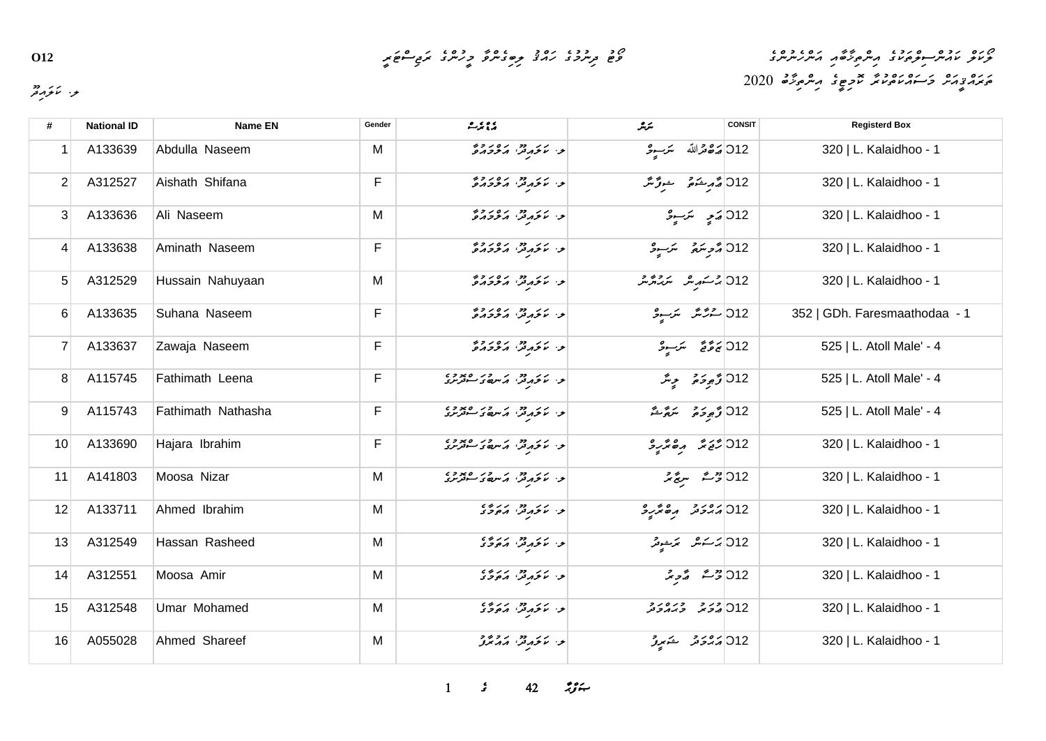*sCw7q7s5w7m< o<n9nOoAw7o< sCq;mAwBoEw7q<m; wBm;vB* م من المرة المرة المرة المرجع المرجع في المركبة 2020<br>مجم*د المريض المربوط المربع المرجع في المراجع المركبة* 

| .        |  |
|----------|--|
| ىق سومىر |  |
|          |  |

| #              | <b>National ID</b> | Name EN             | Gender      | ړ؛ پرُ -                     | سرپر                                    | <b>CONSIT</b> | <b>Registerd Box</b>          |
|----------------|--------------------|---------------------|-------------|------------------------------|-----------------------------------------|---------------|-------------------------------|
|                | A133639            | Abdulla Naseem      | M           | 5722, 222                    | 012 كەڭ ئەسبەنج                         |               | 320   L. Kalaidhoo - 1        |
| $\vert$ 2      | A312527            | Aishath Shifana     | $\mathsf F$ | أوستورقن أروروه              | 012 مۇم <i>رىشقۇ</i> سو <i>رۇنتر</i>    |               | 320   L. Kalaidhoo - 1        |
| 3 <sup>1</sup> | A133636            | Ali Naseem          | M           | والأكروني المرود وه          | 012   تەمىيە سىمب سور                   |               | 320   L. Kalaidhoo - 1        |
| 4              | A133638            | Aminath Naseem      | F           | و كورومي كودومو              | 012 مٌ مِ مَعَ مَ مَسِرِ و              |               | 320   L. Kalaidhoo - 1        |
| 5 <sup>5</sup> | A312529            | Hussain Nahuyaan    | M           | أوا المتحديق المتحدد والمحمد | 012 ترىسىمبە ئىر ئىرگە ئىر              |               | 320   L. Kalaidhoo - 1        |
| 6              | A133635            | Suhana Naseem       | F           | والأكرون أكروكرونج           | 012  كەنزىگە - سەرىبونۇ                 |               | 352   GDh. Faresmaathodaa - 1 |
|                | A133637            | Zawaja Naseem       | $\mathsf F$ | و الأكرومي الأورومي          | 012ع تم تحقی مترسو تحر                  |               | 525   L. Atoll Male' - 4      |
| 8              | A115745            | Fathimath Leena     | F           | و ناکردو ارسود دوده          | 012 ڙَجِرَةَ جِسَّ                      |               | 525   L. Atoll Male' - 4      |
| 9              | A115743            | Fathimath Nathasha  | F           | و نکوپه تر کرده د دوره       | 012 زَّەپرىق سَهَّتْ َ                  |               | 525   L. Atoll Male' - 4      |
| 10             | A133690            | Hajara Ibrahim      | F           | و نکوپرسی پر دور دورو        | 012 <i>جُوَءگو م</i> ُر <i>فوغُرب</i> و |               | 320   L. Kalaidhoo - 1        |
| 11             | A141803            | Moosa Nizar         | M           | و کوروژ کرسے و دورہ          | 012 فق سرچ تنه                          |               | 320   L. Kalaidhoo - 1        |
| 12             | A133711            | Ahmed Ibrahim       | M           | و ، ئۇمەتق مەدە ،            | 012 كەبرى قىرىدى ھەمگەرى                |               | 320   L. Kalaidhoo - 1        |
| 13             | A312549            | Hassan Rasheed      | M           | و نائورن مەدە،               | 012  كەسكەنلەر كەشپەتمى                 |               | 320   L. Kalaidhoo - 1        |
| 14             | A312551            | Moosa Amir          | M           | أوستكرموها المراوي           | 012 هجر محمد جرير                       |               | 320   L. Kalaidhoo - 1        |
| 15             | A312548            | <b>Umar Mohamed</b> | M           | والمتورقة المتوفات           | 012 كەنزىر بەردىگە                      |               | 320   L. Kalaidhoo - 1        |
| 16             | A055028            | Ahmed Shareef       | M           | و ، ئاڭرونق كەرگەن           | 012   پر برگاند متحق میں تحریفی         |               | 320   L. Kalaidhoo - 1        |

 $1$  *s* 42  $2$  *n*<sub>y</sub>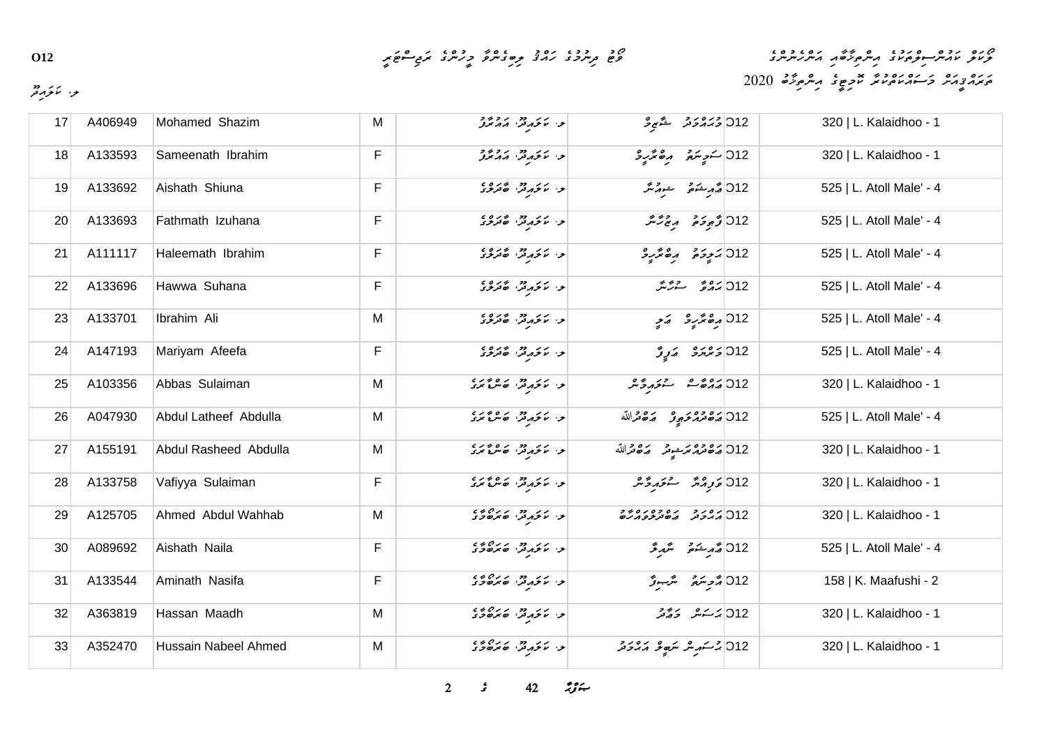*sCw7q7s5w7m< o<n9nOoAw7o< sCq;mAwBoEw7q<m; wBm;vB* م من المرة المرة المرة المرجع المرجع في المركبة 2020<br>مجم*د المريض المربوط المربع المرجع في المراجع المركبة* 

| $\overline{\phantom{a}}$ |           |  |
|--------------------------|-----------|--|
|                          | ىو، سورىر |  |
|                          |           |  |

| 17 | A406949 | Mohamed Shazim              | M            | و ، ئاڭەتى ، ئەمەمۇر | 012 كەبر كەندى ئىس ئىس ئى                                  | 320   L. Kalaidhoo - 1   |
|----|---------|-----------------------------|--------------|----------------------|------------------------------------------------------------|--------------------------|
| 18 | A133593 | Sameenath Ibrahim           | F            | و ، ئاڭەتى ، ئەمەتلى | 012 سَمِرٍ سَمَعٌ مِنْ مَحْرِبِهِ \$                       | 320   L. Kalaidhoo - 1   |
| 19 | A133692 | Aishath Shiuna              | $\mathsf F$  | و ، ئەقەبى ھەدە ،    | 012 مۇم شۇم ئىس ئىستىگە                                    | 525   L. Atoll Male' - 4 |
| 20 | A133693 | Fathmath Izuhana            | F            | و ، ئەقرەتى ھەدە ،   | 012 ۇ <sub>جو</sub> رَى <sub>م</sub> ب <sub>ى</sub> م ئىگە | 525   L. Atoll Male' - 4 |
| 21 | A111117 | Haleemath Ibrahim           | $\mathsf{F}$ | و ، ئاقەتر، ئەرەپ    | 012 كەردۇم مەمگەر 2                                        | 525   L. Atoll Male' - 4 |
| 22 | A133696 | Hawwa Suhana                | F            | و ، ئاقەتر، ئەرەپ    | 012 يَرْدُوْ سَنْرْسُرْ                                    | 525   L. Atoll Male' - 4 |
| 23 | A133701 | Ibrahim Ali                 | M            | و ، ئاقەتر، ئەرەپ    | 012 <i>مەھگىرى ھې</i> ر                                    | 525   L. Atoll Male' - 4 |
| 24 | A147193 | Mariyam Afeefa              | $\mathsf F$  | و ، ئاقەتر، ئەرەپ    | 012 <i>5 پر پر ق می ت</i> وتر                              | 525   L. Atoll Male' - 4 |
| 25 | A103356 | Abbas Sulaiman              | M            | و نړۍ ده کاره        | 012   ئەرمۇش سىغ بىر ئىر                                   | 320   L. Kalaidhoo - 1   |
| 26 | A047930 | Abdul Latheef Abdulla       | M            | و كوروش كالمروري     | 012 كەھىم <i>م ھەرەسى</i> ھەقراللە                         | 525   L. Atoll Male' - 4 |
| 27 | A155191 | Abdul Rasheed Abdulla       | M            | و ، ئائەرىق ئەس برە  | 012 كەھى <i>ر كەخىرى كەھەر</i> اللە                        | 320   L. Kalaidhoo - 1   |
| 28 | A133758 | Vafiyya Sulaiman            | F            | و ، ئاتۇرلىق ھەردە ، | 012 <i>ھَ پِروگھ شڪور جُ</i> ھر                            | 320   L. Kalaidhoo - 1   |
| 29 | A125705 | Ahmed Abdul Wahhab          | M            | $\frac{1}{2}$        | 012 كەمەم بەھ بەھ بەھ بەھ                                  | 320   L. Kalaidhoo - 1   |
| 30 | A089692 | Aishath Naila               | F            | 550/0                | 012 مُەمشىق شەق                                            | 525   L. Atoll Male' - 4 |
| 31 | A133544 | Aminath Nasifa              | F            | $\frac{1}{2}$        | 012 مٌ مِ سَمْعٍ مُ سَنَ مِنْ مِنْ مِنْ                    | 158   K. Maafushi - 2    |
| 32 | A363819 | Hassan Maadh                | M            | $\frac{1}{2}$        | 012 ئەسەھرىمى ئەھمى                                        | 320   L. Kalaidhoo - 1   |
| 33 | A352470 | <b>Hussain Nabeel Ahmed</b> | M            | و. ئاۋرىق، ھىر ھور   | 012  ترسكوبند مكهوفر وكرودقر                               | 320   L. Kalaidhoo - 1   |

*2 sC 42 nNw?mS*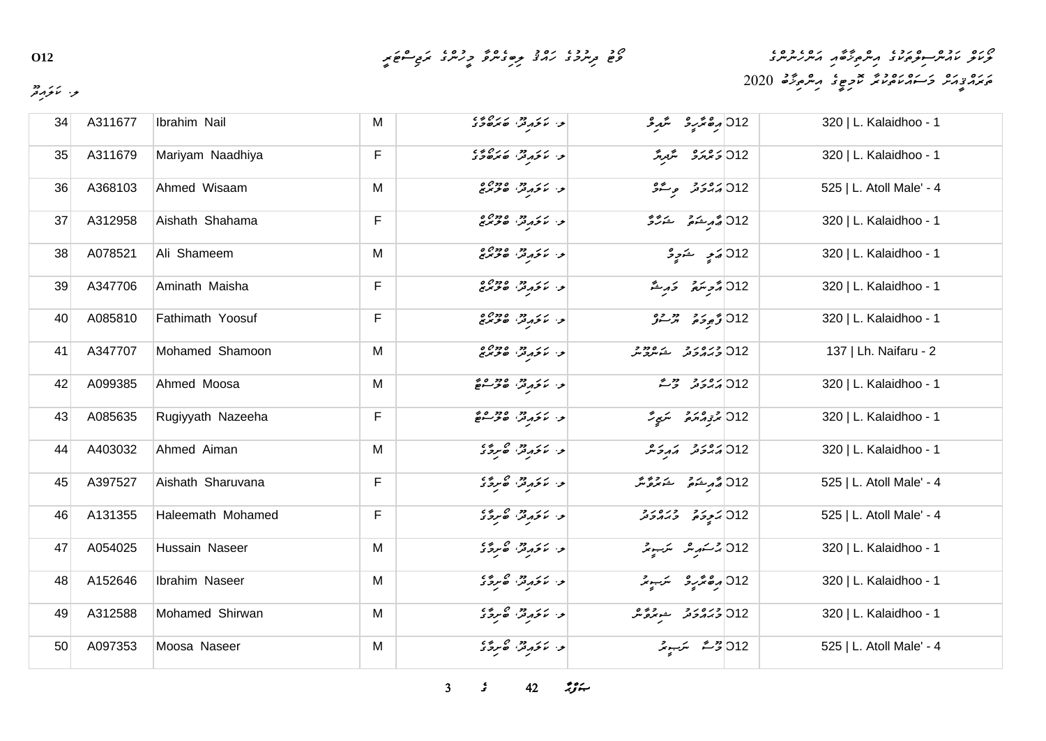*sCw7q7s5w7m< o<n9nOoAw7o< sCq;mAwBoEw7q<m; wBm;vB* م من المرة المرة المرة المرجع المرجع في المركبة 2020<br>مجم*د المريض المربوط المربع المرجع في المراجع المركبة* 

| $\overline{\phantom{a}}$ |  |
|--------------------------|--|
| و• المرار م              |  |
|                          |  |

| 34 | A311677 | Ibrahim Nail      | M           | و كوروز كوره ود        | 012 مەھ ئىر ئىسى ئىلىدى ئىس               | 320   L. Kalaidhoo - 1   |
|----|---------|-------------------|-------------|------------------------|-------------------------------------------|--------------------------|
| 35 | A311679 | Mariyam Naadhiya  | F           | 59010                  | 012 كەنگەر ئىگەرگە                        | 320   L. Kalaidhoo - 1   |
| 36 | A368103 | Ahmed Wisaam      | M           | $0.070$ $3.21$ $3.25$  | 012 كەبرى قىر مەشىر                       | 525   L. Atoll Male' - 4 |
| 37 | A312958 | Aishath Shahama   | $\mathsf F$ | $0.070$ $3.11$ $3.2$   | 012 مەم ئىشقى ھەر ئىچ                     | 320   L. Kalaidhoo - 1   |
| 38 | A078521 | Ali Shameem       | M           | و. كورور، 2000         | 012 کمبر شکرو و                           | 320   L. Kalaidhoo - 1   |
| 39 | A347706 | Aminath Maisha    | $\mathsf F$ | و. كورور، 2000         | 012 مُّجِسَّعُ وَمِثَّةً                  | 320   L. Kalaidhoo - 1   |
| 40 | A085810 | Fathimath Yoosuf  | F           | $0.070$ $0.750$ $0.75$ | 012 ڙَڄِڄَ ۾ "شور"                        | 320   L. Kalaidhoo - 1   |
| 41 | A347707 | Mohamed Shamoon   | M           | و. كورور، 2000         | 012 ويرەرو خەمدىر                         | 137   Lh. Naifaru - 2    |
| 42 | A099385 | Ahmed Moosa       | M           | 20, 30, 7, 7, 7, 7     | $23.521$ O12                              | 320   L. Kalaidhoo - 1   |
| 43 | A085635 | Rugiyyath Nazeeha | F           | 20, 20, 30, 7, 7, 7    | 012 <i>بر<sub>قو</sub>م مرتو</i> سرپر شرح | 320   L. Kalaidhoo - 1   |
| 44 | A403032 | Ahmed Aiman       | M           | و ، ئەقرىق ھېردى       | 012 <i>م برونه م مرکن</i> گر              | 320   L. Kalaidhoo - 1   |
| 45 | A397527 | Aishath Sharuvana | F           | و ، ئاڭروش ھېردى       | 012 مۇم شەھ سى <i>م ئىرىق ئى</i> ر        | 525   L. Atoll Male' - 4 |
| 46 | A131355 | Haleemath Mohamed | F           | و ، ئاقرارو ، ئامروگا  | 012 يَرْدِدَهُ - دُيَهْدَتْرُ             | 525   L. Atoll Male' - 4 |
| 47 | A054025 | Hussain Naseer    | M           | و ، ئاقرارو ، ئامروگا  | 012  پرستمبر مگرسپوتر                     | 320   L. Kalaidhoo - 1   |
| 48 | A152646 | Ibrahim Naseer    | M           | و ، ئاڭروقر، ھېردى     | 012  مەھ ئۇرى - ئىرىبونم                  | 320   L. Kalaidhoo - 1   |
| 49 | A312588 | Mohamed Shirwan   | M           | و ، ئاڭروقر، ھېردى     | 012 ۇرۇرۇقر سېرۇش                         | 320   L. Kalaidhoo - 1   |
| 50 | A097353 | Moosa Naseer      | M           | و ، ئاڭروقر، ھېردى     | 012 فخر متماسية مترجة                     | 525   L. Atoll Male' - 4 |

**3** *3* **<b>42** *z <i>z*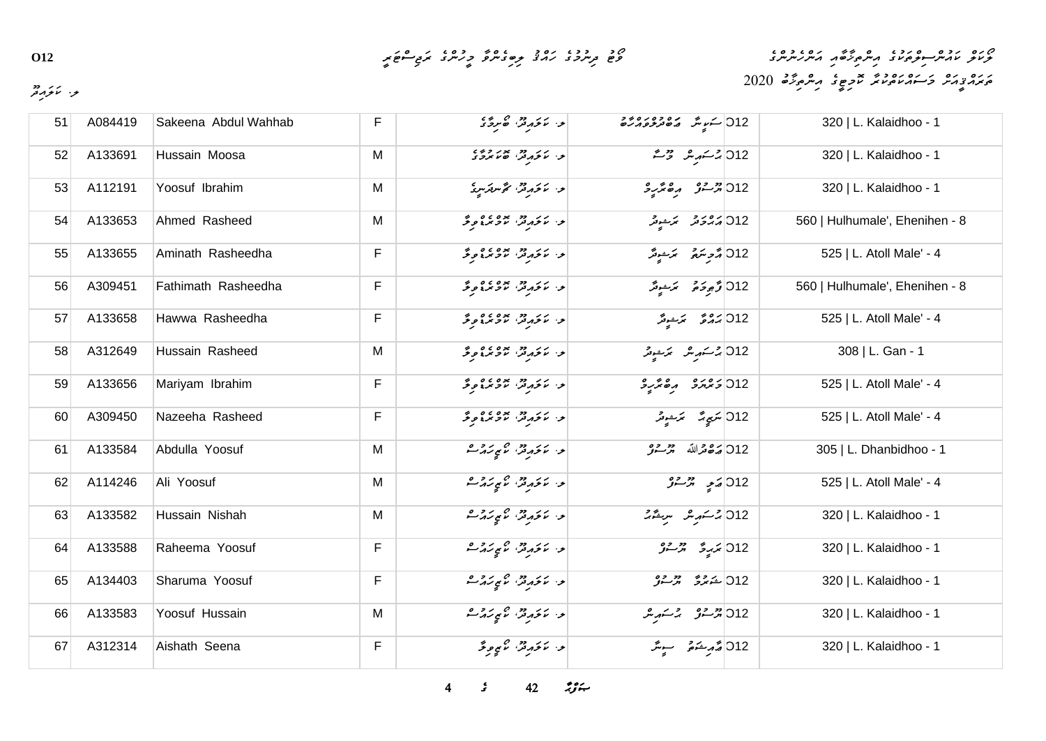*sCw7q7s5w7m< o<n9nOoAw7o< sCq;mAwBoEw7q<m; wBm;vB* م من المرة المرة المرة المرجع المرجع في المركبة 2020<br>مجم*د المريض المربوط المربع المرجع في المراجع المركبة* 

| 51 | A084419 | Sakeena Abdul Wahhab | F           | و ، ئەقرىق ھېردى            | 012 <i>سەبىر مەھىردە بۇ</i> ر     | 320   L. Kalaidhoo - 1         |
|----|---------|----------------------|-------------|-----------------------------|-----------------------------------|--------------------------------|
| 52 | A133691 | Hussain Moosa        | M           | و کورو مردو                 | 012 كەسىر بىر تۇش                 | 320   L. Kalaidhoo - 1         |
| 53 | A112191 | Yoosuf Ibrahim       | M           | و ، ئاڭروق گارىرىدىكى       | 012 ترتشۇ بەھ ئەيرى               | 320   L. Kalaidhoo - 1         |
| 54 | A133653 | Ahmed Rasheed        | M           | و ، ئەنگەنى ئاۋىر قاھۇ      | 012 كەيرى كى سىمىدىتى ئىشلىقى بىر | 560   Hulhumale', Ehenihen - 8 |
| 55 | A133655 | Aminath Rasheedha    | F           | و ، ئائۇرىق ئاۋىر قاھۇ      | 012 مَّ حِسَمَۃ سَمَسِہِ مَّ      | 525   L. Atoll Male' - 4       |
| 56 | A309451 | Fathimath Rasheedha  | $\mathsf F$ | و ، ئائۇرىق ئاۋىر قاھ ئى    | 012 رُّجِ دَمْ – مَرْسُوِمَّرُ –  | 560   Hulhumale', Ehenihen - 8 |
| 57 | A133658 | Hawwa Rasheedha      | F           | و ، ئەنگەش ئاۋىر قاھ ئى     | 012 رَمَّةً - مَرْشِيَّةً         | 525   L. Atoll Male' - 4       |
| 58 | A312649 | Hussain Rasheed      | M           | و ، ئائۇرنى ، ئاۋىر قانۇ ئى | 012  پرستمبر مگر میں مقرر ا       | 308   L. Gan - 1               |
| 59 | A133656 | Mariyam Ibrahim      | $\mathsf F$ | و ، ئائۇرىق ئاۋىر قوغ       | 012 كاندىرى مەھەر ك               | 525   L. Atoll Male' - 4       |
| 60 | A309450 | Nazeeha Rasheed      | F           | و ، ئائۇرۇش ئاۋىر دە بوڭ    | 012] سَمِيمٌ - سَرَسُومْر         | 525   L. Atoll Male' - 4       |
| 61 | A133584 | Abdulla Yoosuf       | M           | و ، ئۈمەتر، شىم ئەمرى       | 012 كەنھەتراللە مەرجۇ             | 305   L. Dhanbidhoo - 1        |
| 62 | A114246 | Ali Yoosuf           | M           | و ، ئاڭروش ئاي ئەرمى        | 012ھ پر چينو                      | 525   L. Atoll Male' - 4       |
| 63 | A133582 | Hussain Nishah       | M           | و ، ئاڭروقر، ئاي زۇر ھ      | 012 ترىسىمبىر سرىتىگە             | 320   L. Kalaidhoo - 1         |
| 64 | A133588 | Raheema Yoosuf       | $\mathsf F$ | و ، ئاڭروش كامېرىرقىش       | 012 تمدير قسيم ترين               | 320   L. Kalaidhoo - 1         |
| 65 | A134403 | Sharuma Yoosuf       | $\mathsf F$ | و ، ئۈمەتر، شىم ئەمرى       | 012 شەترى تۈرگۈ                   | 320   L. Kalaidhoo - 1         |
| 66 | A133583 | Yoosuf Hussain       | M           | و ، ئۇرۇش ئىي ئەرقى         | 012 پر قسمبر بر شهر بر            | 320   L. Kalaidhoo - 1         |
| 67 | A312314 | Aishath Seena        | $\mathsf F$ | و ، ئەقەرتى، ئاي ياقى       | 012 مۇم شقۇ ھېستىر                | 320   L. Kalaidhoo - 1         |

*4 s* 42 *i*<sub>s</sub> $\approx$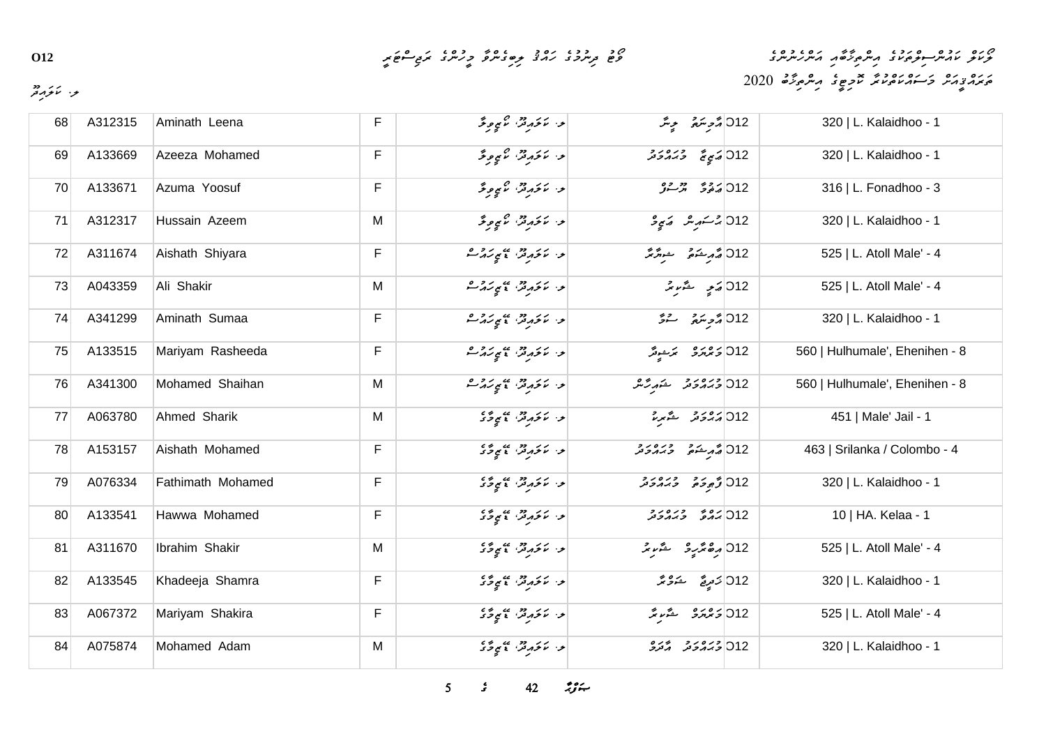*sCw7q7s5w7m< o<n9nOoAw7o< sCq;mAwBoEw7q<m; wBm;vB* م من المرة المرة المرة المرجع المرجع في المركبة 2020<br>مجم*د المريض المربوط المربع المرجع في المراجع المركبة* 

| $\tilde{z}$<br>ىق سومىر |  |
|-------------------------|--|
|-------------------------|--|

| 68 | A312315 | Aminath Leena     | $\mathsf{F}$ | و ، ئەنزەقر، ئاي دېۋ    | 012 مٌ مِسَمٌ مِسَّر                   | 320   L. Kalaidhoo - 1         |
|----|---------|-------------------|--------------|-------------------------|----------------------------------------|--------------------------------|
| 69 | A133669 | Azeeza Mohamed    | $\mathsf{F}$ | و ، ئەقەرشى ئاي يوقە    | 012 كەي قى ئەم ئەرىم                   | 320   L. Kalaidhoo - 1         |
| 70 | A133671 | Azuma Yoosuf      | $\mathsf F$  | و ، ئاخەرتى، ئاي بوڭ    | 012 كەنجۇ تېرىنى ئى                    | 316   L. Fonadhoo - 3          |
| 71 | A312317 | Hussain Azeem     | M            | و ، ئەقەقر، ئاي بوق     | 012 پرڪبريش ڪي پي                      | 320   L. Kalaidhoo - 1         |
| 72 | A311674 | Aishath Shiyara   | $\mathsf{F}$ | و ، ئاخروش ، ئاپرىزم    | 012 م <i>ەمبەتىمى</i> ھې <i>مگەنگە</i> | 525   L. Atoll Male' - 4       |
| 73 | A043359 | Ali Shakir        | M            | و ، ئاخورش ، ئاسى ئەرقى | 012ھ پو مقىرىمە                        | 525   L. Atoll Male' - 4       |
| 74 | A341299 | Aminath Sumaa     | F            | و ، ئاخورتى ، ئاي ئەرقى | 012 مُ مِسَمَّد شَرَّ                  | 320   L. Kalaidhoo - 1         |
| 75 | A133515 | Mariyam Rasheeda  | $\mathsf F$  | و ، ئاخورى ، ئاي ئەم ك  | 012 كەنزىرى - ئەخبەنز                  | 560   Hulhumale', Ehenihen - 8 |
| 76 | A341300 | Mohamed Shaihan   | M            | و ، ئاخورنى ، ئاي ئەر ق | 012 ۇرۇرۇقر شەرگىر                     | 560   Hulhumale', Ehenihen - 8 |
| 77 | A063780 | Ahmed Sharik      | M            | و ، ئەقرىق، ئام ۋە      | 012 كەندى قىلىدىق ھەمدىتقا             | 451   Male' Jail - 1           |
| 78 | A153157 | Aishath Mohamed   | $\mathsf F$  | و ، ئۈمەتتى ، ئاپا ۋە   | 012 مەم ئەھم ئەم ئەرەبىر               | 463   Srilanka / Colombo - 4   |
| 79 | A076334 | Fathimath Mohamed | $\mathsf F$  | و ، ئەقرىق، قىم ۋى      | 012 ۇ <sub>ج</sub> وڭ ئەرەپەتە         | 320   L. Kalaidhoo - 1         |
| 80 | A133541 | Hawwa Mohamed     | $\mathsf F$  | و ، ئۈرۈش ، ئاپاۋى      | 012 ئەمۇر جىمەدىر                      | 10   HA. Kelaa - 1             |
| 81 | A311670 | Ibrahim Shakir    | M            | و ، ئەقرىق، قىم ۋى      | 012 رەمگرىر ھەمرىگە                    | 525   L. Atoll Male' - 4       |
| 82 | A133545 | Khadeeja Shamra   | F            | و ، ئۈرۈش ، ئې ۋى       | 012] رَسٍعٌ صَوْمٌر                    | 320   L. Kalaidhoo - 1         |
| 83 | A067372 | Mariyam Shakira   | $\mathsf F$  | و ، ئەقرىق، قىم ۋى      | 012 كەنگەر ئىگە بىگە بىر               | 525   L. Atoll Male' - 4       |
| 84 | A075874 | Mohamed Adam      | M            | و ، ئەقرىق ، ئېچى       | 012 دېمبروتر گمه ترو                   | 320   L. Kalaidhoo - 1         |

 $5$   $5$   $42$   $75$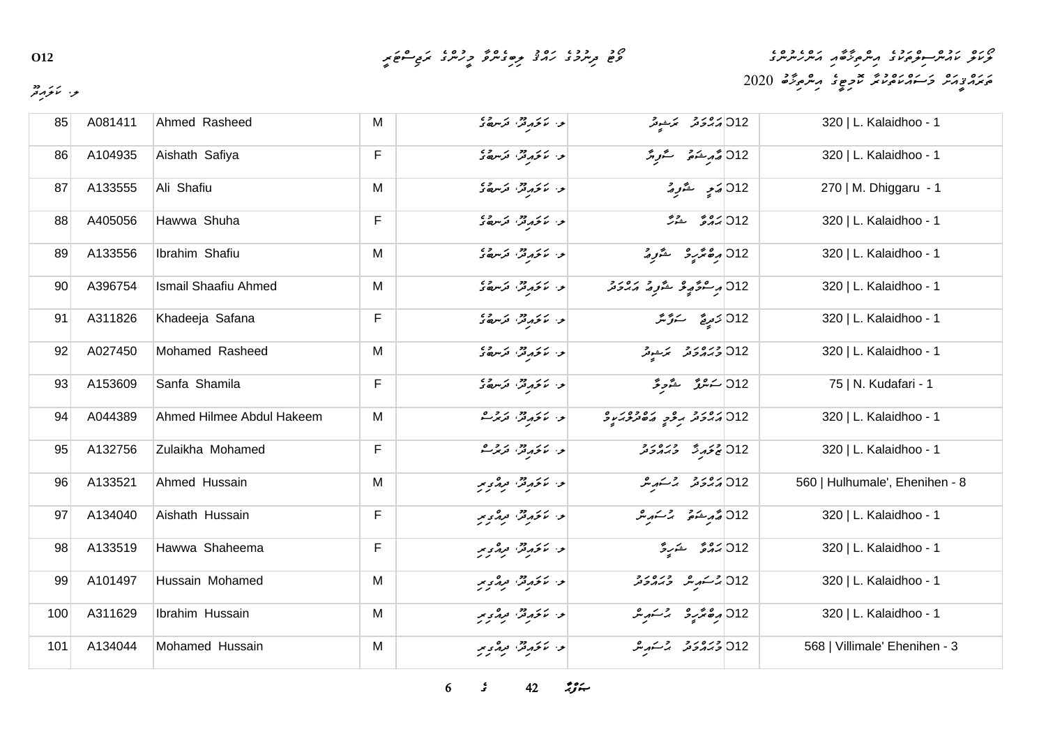*sCw7q7s5w7m< o<n9nOoAw7o< sCq;mAwBoEw7q<m; wBm;vB* م من المرة المرة المرة المرجع المرجع في المركبة 2020<br>مجم*د المريض المربوط المربع المرجع في المراجع المركبة* 

| $\overline{\phantom{a}}$<br>ىو، سومىر |  |
|---------------------------------------|--|
|---------------------------------------|--|

| 85  | A081411 | Ahmed Rasheed             | M           | و ، مَوَّدٍ قُرْسِهِ وَ        | 012   رَرُدُوَ مَرْ سِيمْرِ          | 320   L. Kalaidhoo - 1         |
|-----|---------|---------------------------|-------------|--------------------------------|--------------------------------------|--------------------------------|
| 86  | A104935 | Aishath Safiya            | F           | و كورود ترسي                   | 012 ۾ پرڪنو گروگر                    | 320   L. Kalaidhoo - 1         |
| 87  | A133555 | Ali Shafiu                | M           | والأكرار والمراسور             | 012 كەير شۇرگە                       | 270   M. Dhiggaru - 1          |
| 88  | A405056 | Hawwa Shuha               | $\mathsf F$ | والأقرار والمراسي              | $22 \times 22$                       | 320   L. Kalaidhoo - 1         |
| 89  | A133556 | Ibrahim Shafiu            | M           | والأكرار والمراسور             | 012 مەھمگىرى ھەرقە                   | 320   L. Kalaidhoo - 1         |
| 90  | A396754 | Ismail Shaafiu Ahmed      | M           | والأكرون ترسيروني              | 012م شۇمۇ شۇرۇ مەدەر                 | 320   L. Kalaidhoo - 1         |
| 91  | A311826 | Khadeeja Safana           | F           | والأكرار والمراسور             | 012  زَمِيعٌ سَتَوَّتَرُ             | 320   L. Kalaidhoo - 1         |
| 92  | A027450 | Mohamed Rasheed           | M           | والأقرار والمراسوي             | 012  <i>3223ھ - م</i> َرْحُومًا      | 320   L. Kalaidhoo - 1         |
| 93  | A153609 | Sanfa Shamila             | $\mathsf F$ | و. مَوَمِدْ مَرْسِمَةٌ         | 012 سَتَمَعَّرُ شَرَوَّزُ            | 75   N. Kudafari - 1           |
| 94  | A044389 | Ahmed Hilmee Abdul Hakeem | M           | و ، ئاڭەر تەر ئەر ئىس          | 012 كەبروتر برقرم كەھەر ئەبرە        | 320   L. Kalaidhoo - 1         |
| 95  | A132756 | Zulaikha Mohamed          | $\mathsf F$ | والأقرار فريرهما               | 012 تح <i>وّرتى تحكم تحف</i> ر       | 320   L. Kalaidhoo - 1         |
| 96  | A133521 | Ahmed Hussain             | M           | و ، ئاڭرونق بورى بو            | 012 كەبرى بىر يەسىر بىر              | 560   Hulhumale', Ehenihen - 8 |
| 97  | A134040 | Aishath Hussain           | F           | و ، ئەقەرش مەدى بر             | 012 مۇم شۇمۇ ھىر شىر بىر             | 320   L. Kalaidhoo - 1         |
| 98  | A133519 | Hawwa Shaheema            | $\mathsf F$ | و ، ئەقەق بورى بو              | 012 رَمَّةً شَرِقً                   | 320   L. Kalaidhoo - 1         |
| 99  | A101497 | Hussain Mohamed           | M           | و ، مَنْ وَرِقْرُ مِرْ وَ مِرْ | 012 يُرَسَمهِ شَرَ وَبَرَ يَرْوَتَرْ | 320   L. Kalaidhoo - 1         |
| 100 | A311629 | Ibrahim Hussain           | M           | و ، ئاڭرىق بىرمى بىر           | 012 مەھ ئىر بۇ سىمبىر                | 320   L. Kalaidhoo - 1         |
| 101 | A134044 | Mohamed Hussain           | M           | و ، ئەكرىرى بىرە ب             | 012 ۇرۇۋۇ بى سەرىر                   | 568   Villimale' Ehenihen - 3  |

 $6$   $\frac{1}{5}$   $42$   $\frac{1}{5}$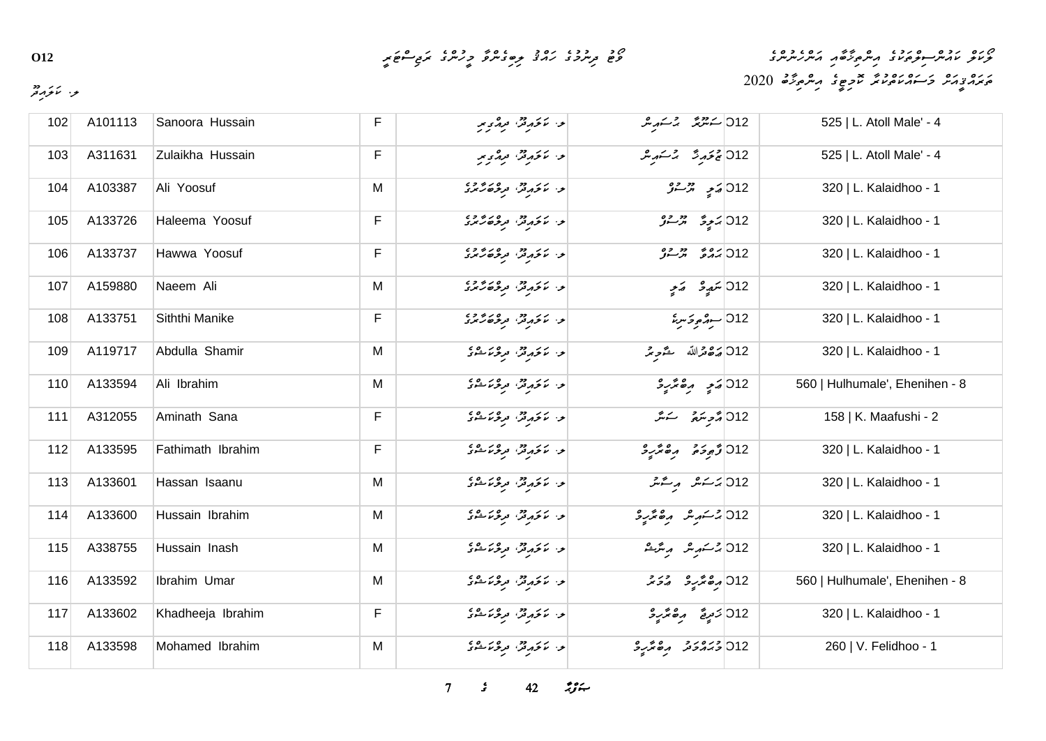*sCw7q7s5w7m< o<n9nOoAw7o< sCq;mAwBoEw7q<m; wBm;vB* م من المرة المرة المرة المرجع المرجع في المركبة 2020<br>مجم*د المريض المربوط المربع المرجع في المراجع المركبة* 

| י ככ     |  |
|----------|--|
| ىق سەھەم |  |
|          |  |

| 102 | A101113 | Sanoora Hussain   | $\mathsf{F}$ | و ، ئەكەرتى بورگە بو     | 012 كەنترىگە كەسكەر ش              | 525   L. Atoll Male' - 4       |
|-----|---------|-------------------|--------------|--------------------------|------------------------------------|--------------------------------|
| 103 | A311631 | Zulaikha Hussain  | F            | و ، ئاڭرىق بىرمى بىر     | 012  ج تحديث = جرشكريش             | 525   L. Atoll Male' - 4       |
| 104 | A103387 | Ali Yoosuf        | M            | و ، ئاڭەق بوڭ ئوغۇرىمدى  | 012ھ پر چينو                       | 320   L. Kalaidhoo - 1         |
| 105 | A133726 | Haleema Yoosuf    | F            | و نائورود تربوه ده       | 012 پرچو پڻ چو                     | 320   L. Kalaidhoo - 1         |
| 106 | A133737 | Hawwa Yoosuf      | F            | و ، ئەقەبىرى بېرىھەر بور | 012 بَرْدْءٌ بِرْ- بِنْ            | 320   L. Kalaidhoo - 1         |
| 107 | A159880 | Naeem Ali         | M            | و کوروژ دون دوه          | 012 <i>سَمِي وَ مَ</i> حٍ          | 320   L. Kalaidhoo - 1         |
| 108 | A133751 | Siththi Manike    | F            | و ، ئاڭەت موڭەت دە       | 012 سورگو بخرینگ                   | 320   L. Kalaidhoo - 1         |
| 109 | A119717 | Abdulla Shamir    | M            | و ، ئاقەق بوقرىقى        | 012 كَەھْتَراللە مەھم <i>ۇم</i> گە | 320   L. Kalaidhoo - 1         |
| 110 | A133594 | Ali Ibrahim       | M            | و ، ئاقەق بوقرىقى        | 012 أربح برە ئربر 3                | 560   Hulhumale', Ehenihen - 8 |
| 111 | A312055 | Aminath Sana      | F            | و ، ئەقەبىقى بولۇن شى    | 012 مٌ مِینَ سَمَّرٌ               | 158   K. Maafushi - 2          |
| 112 | A133595 | Fathimath Ibrahim | $\mathsf F$  | و ، ئەقەبىقى بولۇن شى    | 012 زَّەپ ئەھ ئەھ ئەر بۇ           | 320   L. Kalaidhoo - 1         |
| 113 | A133601 | Hassan Isaanu     | M            | و ، ئاقەتى بوقرىقى       | 012 بزشکر پرگٹر                    | 320   L. Kalaidhoo - 1         |
| 114 | A133600 | Hussain Ibrahim   | M            | و ، ئەقەرىق مەۋرىشى      | 012 كەسىر مەھ ئەرىج                | 320   L. Kalaidhoo - 1         |
| 115 | A338755 | Hussain Inash     | M            | و ، ئاقەق بوقرىقى        | 012 ترىنىمبەش بەيئەشقە             | 320   L. Kalaidhoo - 1         |
| 116 | A133592 | Ibrahim Umar      | M            | و ، ئەقەبىقى موقرىقىدە ، | 012 مەھمگىيە ھەم ھەم               | 560   Hulhumale', Ehenihen - 8 |
| 117 | A133602 | Khadheeja Ibrahim | $\mathsf F$  | و ، ئاقەتى بوقرىقى       | 012 زَمِيعٌ مِنْ حُمْدِةٌ          | 320   L. Kalaidhoo - 1         |
| 118 | A133598 | Mohamed Ibrahim   | M            | و ، ئەقەرىق مەۋرىشى      | 012 دُبرورو مِهْتَرِدْ             | 260   V. Felidhoo - 1          |

*7 sC 42 nNw?mS*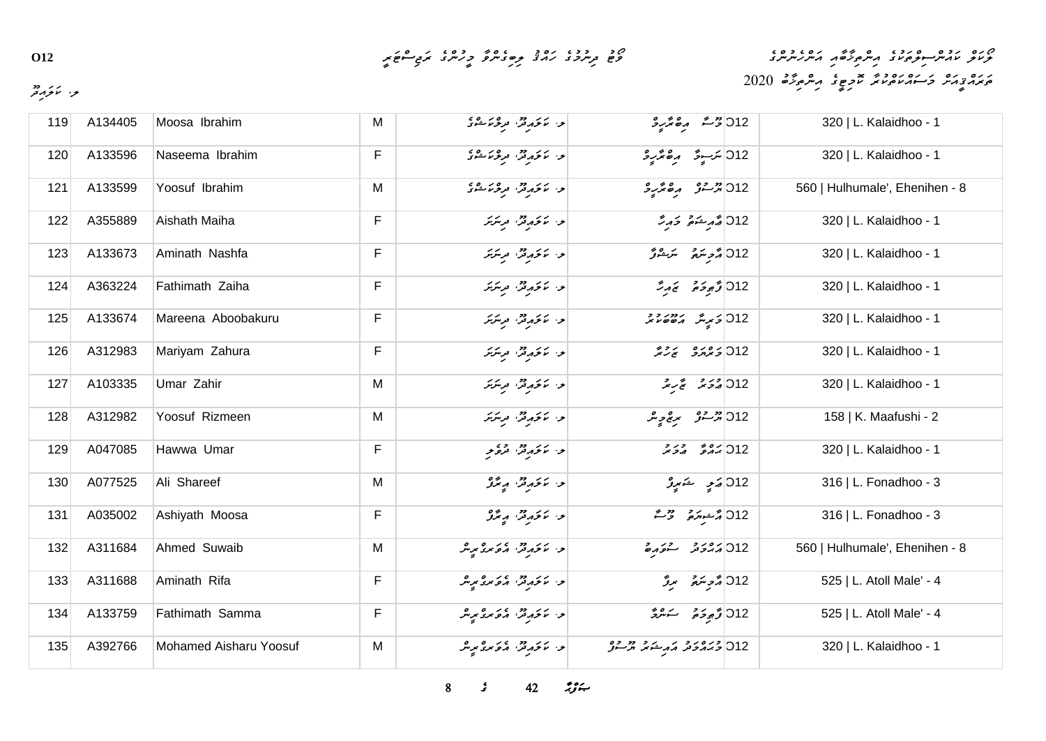*sCw7q7s5w7m< o<n9nOoAw7o< sCq;mAwBoEw7q<m; wBm;vB* م من المرة المرة المرة المرجع المرجع في المركبة 2020<br>مجم*د المريض المربوط المربع المرجع في المراجع المركبة* 

## *r@o<mBm; .B*

| 119 | A134405 | Moosa Ibrahim                 | M           | و ، ئەقەرقۇ، مەۋراشى        | 012 جنگ مەھمگەپە                    | 320   L. Kalaidhoo - 1         |
|-----|---------|-------------------------------|-------------|-----------------------------|-------------------------------------|--------------------------------|
| 120 | A133596 | Naseema Ibrahim               | $\mathsf F$ | و ، ئەقەبىقى بولۇن شى       | 012  سَرَ—وَدَّ   مِرْهُ مَدْرِدْ   | 320   L. Kalaidhoo - 1         |
| 121 | A133599 | Yoosuf Ibrahim                | M           | و ، ئەقەق مەۋىت دە ،        | 012 مركسوفر م <i>وه مدي</i> ر مح    | 560   Hulhumale', Ehenihen - 8 |
| 122 | A355889 | Aishath Maiha                 | F           | والأقرادين وبتركز           | 012 م <i>مّەخۇ خەر</i> م            | 320   L. Kalaidhoo - 1         |
| 123 | A133673 | Aminath Nashfa                | $\mathsf F$ | والأقرادة ولأكر             | 012 گەج ئىرقى سىنىشۇر               | 320   L. Kalaidhoo - 1         |
| 124 | A363224 | Fathimath Zaiha               | $\mathsf F$ | و ، ئاقەت مەش ك             | 012 زَّجِرْۃَ یَہُرُّ               | 320   L. Kalaidhoo - 1         |
| 125 | A133674 | Mareena Aboobakuru            | $\mathsf F$ | والأقرارين الإسكاكر         | 012 كۈمىيەتتە بە <i>مەھەملى</i> ر   | 320   L. Kalaidhoo - 1         |
| 126 | A312983 | Mariyam Zahura                | $\mathsf F$ | والأقرادهي وبترتر           | 012 كەبىر بۇ يەخەتتى                | 320   L. Kalaidhoo - 1         |
| 127 | A103335 | Umar Zahir                    | M           | و ، ئاڭەتر، بەيرىكە         | 012 ړُنَه پُرېرُ                    | 320   L. Kalaidhoo - 1         |
| 128 | A312982 | Yoosuf Rizmeen                | M           | والأقرادة ويتركز            | 012 تركسۇ پەيدېرىشە                 | 158   K. Maafushi - 2          |
| 129 | A047085 | Hawwa Umar                    | $\mathsf F$ | و ، مَنْ تَرْوُمْ الرَّوْمِ | $7.50$ $2.20$ $2.50$ $2.50$         | 320   L. Kalaidhoo - 1         |
| 130 | A077525 | Ali Shareef                   | M           | و ، ئەقەق ەپرى              | 012 کمبر شمېرو                      | 316   L. Fonadhoo - 3          |
| 131 | A035002 | Ashiyath Moosa                | $\mathsf F$ | و ، ئەقرىق رېترو            | 012 گەخورتى قرمىگە                  | 316   L. Fonadhoo - 3          |
| 132 | A311684 | Ahmed Suwaib                  | M           | و ، ئاڭرىق مۇمۇمىيىت        | 012 كەبرى كىر سىمكىر ھ              | 560   Hulhumale', Ehenihen - 8 |
| 133 | A311688 | Aminath Rifa                  | F           | و ، ئاڭرىق مۇمۇمپىر         | 012 مٌ حِسَمٌ مِنْزٌ                | 525   L. Atoll Male' - 4       |
| 134 | A133759 | Fathimath Samma               | $\mathsf F$ | و ، ئاڭرىق مۇمۇمىيىت        | 012 <i>ۋې<sub>و</sub>خۇ</i> سەمىرىم | 525   L. Atoll Male' - 4       |
| 135 | A392766 | <b>Mohamed Aisharu Yoosuf</b> | M           | و ، ئاڭرىق مۇمۇمىيى         | 012 دېمەدىگە ئەمەھىگە «رىسىرق       | 320   L. Kalaidhoo - 1         |

**8** *s* **42** *z***<sub>***s***</sub>**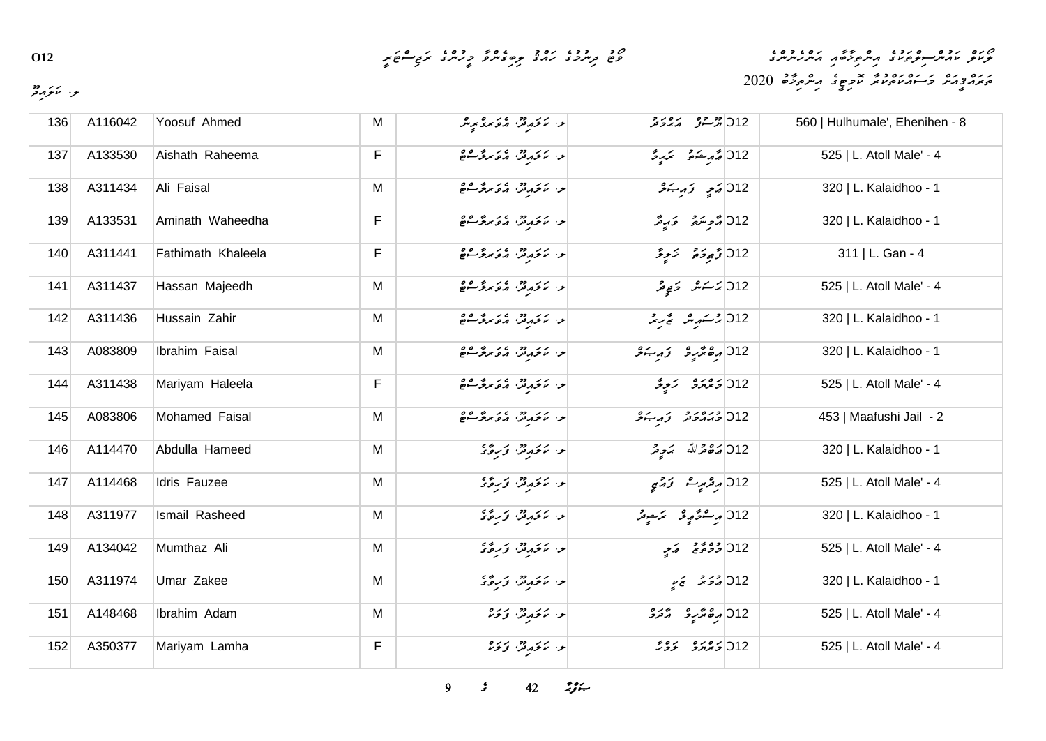*sCw7q7s5w7m< o<n9nOoAw7o< sCq;mAwBoEw7q<m; wBm;vB* م من المرة المرة المرة المرجع المرجع في المركبة 2020<br>مجم*د المريض المربوط المربع المرجع في المراجع المركبة* 

| 136 | A116042 | Yoosuf Ahmed       | M            | و ، ئاڭروقر، مۇمۇمۇمرىش    | 012 تېر - تۇ ئەير ئەر                       | 560   Hulhumale', Ehenihen - 8 |
|-----|---------|--------------------|--------------|----------------------------|---------------------------------------------|--------------------------------|
| 137 | A133530 | Aishath Raheema    | $\mathsf{F}$ | و ، ئاقەقر، مەنگە قى       | 012 مُ مِشَعْ - مَدِيعٌ                     | 525   L. Atoll Male' - 4       |
| 138 | A311434 | Ali Faisal         | M            | و ، ئاقەقر، مەنگە قى       | 012 مَعٍ تَصِبَعٌ                           | 320   L. Kalaidhoo - 1         |
| 139 | A133531 | Aminath Waheedha   | $\mathsf F$  | والأقراش المقابرة فاقع     | 012 مُّ حِسَمُ – حَ بِيمُّ                  | 320   L. Kalaidhoo - 1         |
| 140 | A311441 | Fathimath Khaleela | $\mathsf F$  | و ، ئاقەقر، مەنگە قى       | 012 <i>ؤُ<sub>م</sub>ودَة</i> دَمٍوَّ       | 311   L. Gan - 4               |
| 141 | A311437 | Hassan Majeedh     | M            | و ، ئەقەقۇ، مەئەرگەشق      | 012 بَرَسَسْ وَمِومْر                       | 525   L. Atoll Male' - 4       |
| 142 | A311436 | Hussain Zahir      | M            | و ، ئەكەرتى، مەكەرگەشق     | 012 برُسَمبر مَرَ گَرِیْرَ                  | 320   L. Kalaidhoo - 1         |
| 143 | A083809 | Ibrahim Faisal     | M            | و ، ئاقەقر، مەنگە قى       | 012 مەھەر تۇم ئەر                           | 320   L. Kalaidhoo - 1         |
| 144 | A311438 | Mariyam Haleela    | $\mathsf F$  | والأقهق المقابرة فاقع      | 012 كەندىرى - زىرى                          | 525   L. Atoll Male' - 4       |
| 145 | A083806 | Mohamed Faisal     | M            | والأقهق المقابرة فاقع      | 012 ۇرۇرۇ تەرىند                            | 453   Maafushi Jail - 2        |
| 146 | A114470 | Abdulla Hameed     | M            | و ، ئاقەق كەرگە            | 012 <i>مَدَّة مَدَ</i> اللَّهُ تَمَّدِمَّرَ | 320   L. Kalaidhoo - 1         |
| 147 | A114468 | Idris Fauzee       | M            | و ، ئاقەق كەندە كە         | 012 <sub>مو</sub> شرىر ئەرتمىي              | 525   L. Atoll Male' - 4       |
| 148 | A311977 | Ismail Rasheed     | M            | والأقراريق وروء            | 012 مەشگەر تەربىرىتى                        | 320   L. Kalaidhoo - 1         |
| 149 | A134042 | Mumthaz Ali        | M            | والأقراريق وروء            | 012 <i>جۇڭگى</i> كەم                        | 525   L. Atoll Male' - 4       |
| 150 | A311974 | Umar Zakee         | M            | والأقراري وروء             | 012 ۾ تخت تج پا                             | 320   L. Kalaidhoo - 1         |
| 151 | A148468 | Ibrahim Adam       | M            | و ، مَعَهُ قُرْمَ وَعَمَّا | 012 مەھمىر ئەمەر ئەر                        | 525   L. Atoll Male' - 4       |
| 152 | A350377 | Mariyam Lamha      | F            | و ، ئائۇرۇش ئەنزە          | 012 كەبەر ئەمەر                             | 525   L. Atoll Male' - 4       |

*9 s* 42 *i*<sub>s</sub> $\approx$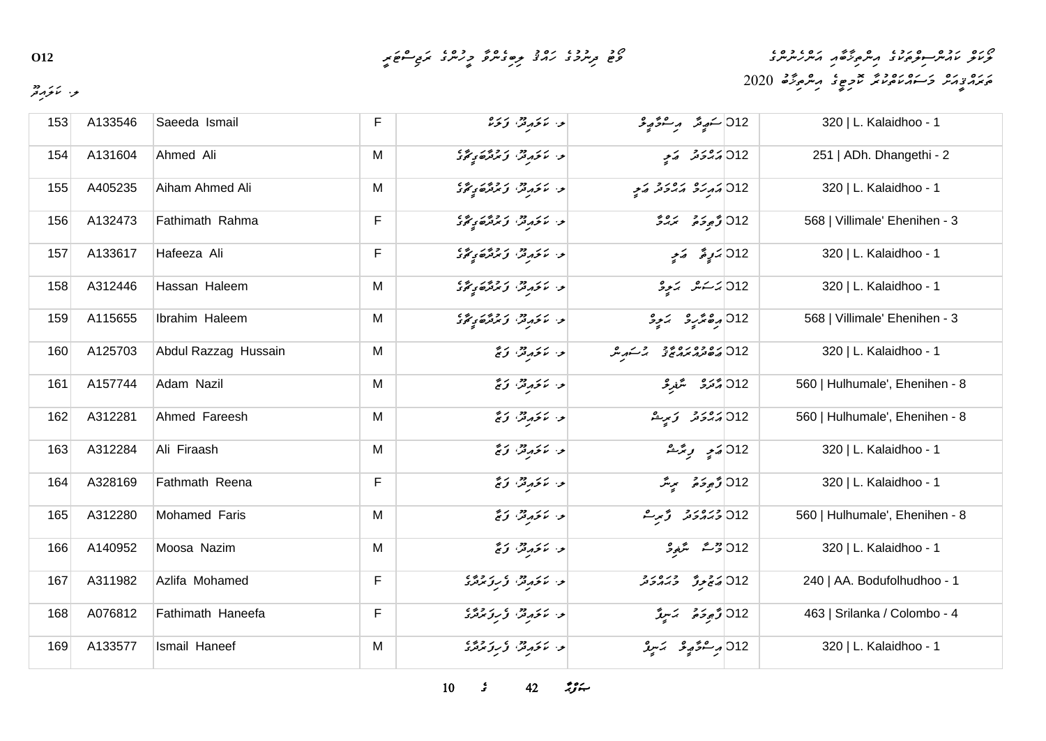*sCw7q7s5w7m< o<n9nOoAw7o< sCq;mAwBoEw7q<m; wBm;vB* م من المرة المرة المرة المرجع المرجع في المركبة 2020<br>مجم*د المريض المربوط المربع المرجع في المراجع المركبة* 

| ,, ,    |  |
|---------|--|
| ىق سومى |  |
|         |  |

| 153 | A133546 | Saeeda Ismail        | $\mathsf F$ | ى ئاقەتى تەترە                        | 012 سَمِيعٌ پِ سِمْحَمِيعٌ                         | 320   L. Kalaidhoo - 1         |  |
|-----|---------|----------------------|-------------|---------------------------------------|----------------------------------------------------|--------------------------------|--|
| 154 | A131604 | Ahmed Ali            | M           | و ، ئاقەق ، دەر ، دە                  | 012 <i>ټرې پې</i> ته په                            | 251   ADh. Dhangethi - 2       |  |
| 155 | A405235 | Aiham Ahmed Ali      | M           | و ، ئاقەق ، دەر ، دە                  | 012 <i>בَ, رَبَّہُ وَ وَوَ وَ وِ</i>               | 320   L. Kalaidhoo - 1         |  |
| 156 | A132473 | Fathimath Rahma      | F           | و ناكروژ ويروژه ده                    | 012 <i>وُجِ حَمَّى مَدَدُ</i> حَّ                  | 568   Villimale' Ehenihen - 3  |  |
| 157 | A133617 | Hafeeza Ali          | $\mathsf F$ | و ، ئاقەتى، ئەيرىرە ، ئەي             | 012 <i>پرنگ مک</i> م                               | 320   L. Kalaidhoo - 1         |  |
| 158 | A312446 | Hassan Haleem        | M           | و ، مَوَرِدْهُ ، وَ مِرْمَرْهِ ، وَ ، | 012 ټر سر ټروو                                     | 320   L. Kalaidhoo - 1         |  |
| 159 | A115655 | Ibrahim Haleem       | M           | و ، ئاقەق ، دەر ، دە                  | 012 <i><sub>م</sub>ەنگىرى توپ</i> ۇ                | 568   Villimale' Ehenihen - 3  |  |
| 160 | A125703 | Abdul Razzag Hussain | M           | والأقراري وتج                         | 012 <sub>م</sub> ەھ <i>رە بورە بويەت كى</i> سكىرىش | 320   L. Kalaidhoo - 1         |  |
| 161 | A157744 | Adam Nazil           | M           | و مَعَهِ قُرْمٌ وَمَحْ                | 012 <i>مُرْتَوْ سُنْدِوْ</i>                       | 560   Hulhumale', Ehenihen - 8 |  |
| 162 | A312281 | Ahmed Fareesh        | M           | والأقرارين وكالحج                     | 012 كەندى كى كەمپەش                                | 560   Hulhumale', Ehenihen - 8 |  |
| 163 | A312284 | Ali Firaash          | M           | والأقرارة وتج                         | 012 کھ وگٹ                                         | 320   L. Kalaidhoo - 1         |  |
| 164 | A328169 | Fathmath Reena       | F           | والأقرارة وتج                         | 012 ۇ <sub>ج</sub> وخۇ م <sub>ې</sub> تر           | 320   L. Kalaidhoo - 1         |  |
| 165 | A312280 | Mohamed Faris        | M           | والأقراري وتج                         | 012 دېم دېم توم د                                  | 560   Hulhumale', Ehenihen - 8 |  |
| 166 | A140952 | Moosa Nazim          | M           | والأقرارة وتج                         | 012 فق شَعْرَة مُحَمَّدَة السَّرْحَة بِهِ مُحْ     | 320   L. Kalaidhoo - 1         |  |
| 167 | A311982 | Azlifa Mohamed       | F           | و ، ئاڭرونى كۆپرۈترورى                | 012 كەيج بورى ئەممەد تەر                           | 240   AA. Bodufolhudhoo - 1    |  |
| 168 | A076812 | Fathimath Haneefa    | $\mathsf F$ | والأقرارص وكروبرون                    | 012 رَّ <sub>مِو</sub> حَمَّ بَرَسِيَّ             | 463   Srilanka / Colombo - 4   |  |
| 169 | A133577 | Ismail Haneef        | M           | و ، ئاڭەق ۋېرۇپرىدى                   | 012 <sub>م</sub> رےد <sub>گھی</sub> و تہ پیڈ       | 320   L. Kalaidhoo - 1         |  |

*10 sC 42 nNw?mS*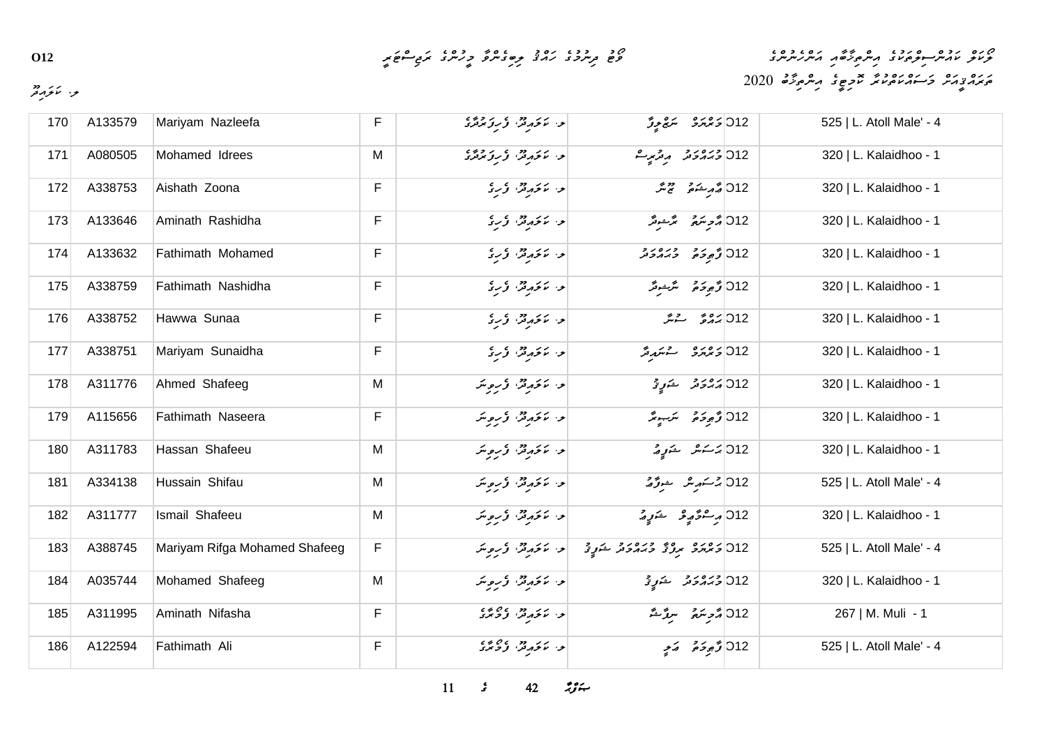*sCw7q7s5w7m< o<n9nOoAw7o< sCq;mAwBoEw7q<m; wBm;vB* م من المرة المرة المرة المرجع المرجع في المركبة 2020<br>مجم*د المريض المربوط المربع المرجع في المراجع المركبة* 

| 170 | A133579 | Mariyam Nazleefa              | F | و ، ئائۇرۇش ئۇرىزىدىدى                  | 012 كەندىرى سىنج بورً                                                        | 525   L. Atoll Male' - 4 |
|-----|---------|-------------------------------|---|-----------------------------------------|------------------------------------------------------------------------------|--------------------------|
| 171 | A080505 | Mohamed Idrees                | M | والأكرام في المحركة والمحافظة والمحافظة | 012 <i>ۇنەۋەتى بەترىي</i><br>~                                               | 320   L. Kalaidhoo - 1   |
| 172 | A338753 | Aishath Zoona                 | F | والأقراري وراد                          | 012 ھُەمسىھ تى تىگە                                                          | 320   L. Kalaidhoo - 1   |
| 173 | A133646 | Aminath Rashidha              | F | والأقرار فرق والراد                     | 012 مُّحِسَمُ مُّسْبِعٌ                                                      | 320   L. Kalaidhoo - 1   |
| 174 | A133632 | Fathimath Mohamed             | F | أوا المتحدثة المرائي                    | 012 تۇپوقى ئەتەر ئەر                                                         | 320   L. Kalaidhoo - 1   |
| 175 | A338759 | Fathimath Nashidha            | F | و عَوَمِيْنَ وَرِدَ                     | 012 گەچەقە ئىسىمىتىگە                                                        | 320   L. Kalaidhoo - 1   |
| 176 | A338752 | Hawwa Sunaa                   | F | و مَعَهِ فِي وَرِيْ                     | 012 كَنْدْهُ مَنْ سَنْدَرْ                                                   | 320   L. Kalaidhoo - 1   |
| 177 | A338751 | Mariyam Sunaidha              | F | و مَعَهِ فِي وَرِدِ                     | 012 كەبۇر ئەسىر ق                                                            | 320   L. Kalaidhoo - 1   |
| 178 | A311776 | Ahmed Shafeeg                 | M | و ، مَعَهُمْ وَ رَوِيرَ                 | 012 <i>كەنگەنىڭ سىنمو</i> تۇ                                                 | 320   L. Kalaidhoo - 1   |
| 179 | A115656 | Fathimath Naseera             | F | والأقرار قرار وبتر                      | 012 كۇچوڭۇ ھىكىبونىگە                                                        | 320   L. Kalaidhoo - 1   |
| 180 | A311783 | Hassan Shafeeu                | M | والأقهق وروش                            | 012 <i>بزشتر خورڈ</i>                                                        | 320   L. Kalaidhoo - 1   |
| 181 | A334138 | Hussain Shifau                | M | والأقرار فكالمج وسره بكر                | 012 برڪهر شوگره ک                                                            | 525   L. Atoll Male' - 4 |
| 182 | A311777 | Ismail Shafeeu                | M | أوا المتحدثة المربوش                    | 012 مرڪوگريو - ڪنورگ                                                         | 320   L. Kalaidhoo - 1   |
| 183 | A388745 | Mariyam Rifga Mohamed Shafeeg | F |                                         | 012 وَجَهْرَى مِرْوَةً وَيَهْدُونَ حَبَوِيْهِ = وَ يَأْتَوْرِيْنُ وَرِوِيْرَ | 525   L. Atoll Male' - 4 |
| 184 | A035744 | Mohamed Shafeeg               | M | والأقهق وتبوش                           | 012 <i>, 25% كەرى</i> ئىكتىمى كىلىمى ئىكتار ئىس                              | 320   L. Kalaidhoo - 1   |
| 185 | A311995 | Aminath Nifasha               | F | والمتوكدين الملطمة                      | 012 أُمُّ حِسَمٌ سِمَدٌّتُ اللَّهُ عَلَيْ                                    | 267   M. Muli - 1        |
| 186 | A122594 | Fathimath Ali                 | F | كمخاطب والمتحارث والمحامري              | 012 گوچر کا کال                                                              | 525   L. Atoll Male' - 4 |

 $11$  *s*  $42$  *n***<sub>s</sub>**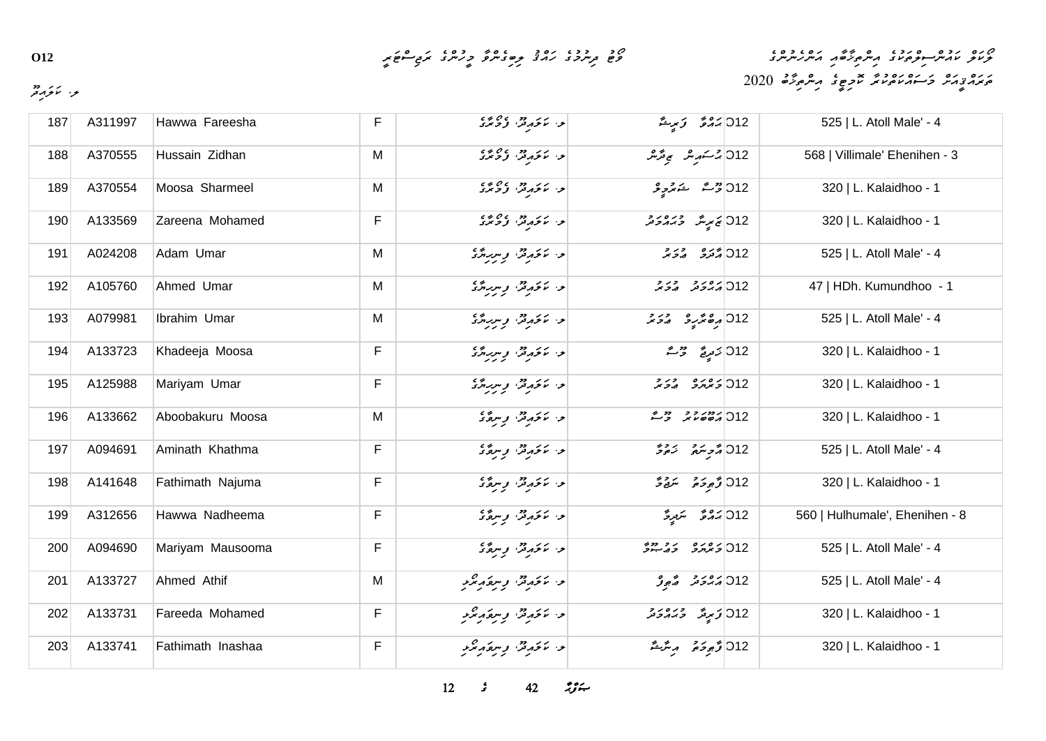*sCw7q7s5w7m< o<n9nOoAw7o< sCq;mAwBoEw7q<m; wBm;vB* م من المرة المرة المرة المرجع المرجع في المركبة 2020<br>مجم*د المريض المربوط المربع المرجع في المراجع المركبة* 

| 187 | A311997 | Hawwa Fareesha    | F           | والأقراره والملحاء   | 012 بَرْدُوَّ كَرَمْرِيْدَ               | 525   L. Atoll Male' - 4       |
|-----|---------|-------------------|-------------|----------------------|------------------------------------------|--------------------------------|
| 188 | A370555 | Hussain Zidhan    | M           | والمتوكد فراد والأور | 012 پر شہر میں پر پر                     | 568   Villimale' Ehenihen - 3  |
| 189 | A370554 | Moosa Sharmeel    | M           | والمتحدثة المحصري    | 012 جميع متمور محمد برقم                 | 320   L. Kalaidhoo - 1         |
| 190 | A133569 | Zareena Mohamed   | $\mathsf F$ | والمتواردة الملحان   | 012 <sub>تك</sub> ېرى <i>گ دېمگەدى</i> ر | 320   L. Kalaidhoo - 1         |
| 191 | A024208 | Adam Umar         | M           | والأقرارص والرامرة   | 012 ج <i>ج ج ج ج</i>                     | 525   L. Atoll Male' - 4       |
| 192 | A105760 | Ahmed Umar        | M           | و مكوري وسرچ         | 012 كەبروتىر كەرىر                       | 47   HDh. Kumundhoo - 1        |
| 193 | A079981 | Ibrahim Umar      | M           | و ، ئاڭرونى ۋېرىدىگە | 012 <sub>مو</sub> ڭ <i>ئۇرۇھىمى</i> تى   | 525   L. Atoll Male' - 4       |
| 194 | A133723 | Khadeeja Moosa    | F           | والأقرادة والإرادة   | 012  رَمِيعٌ تَحْتَ ا                    | 320   L. Kalaidhoo - 1         |
| 195 | A125988 | Mariyam Umar      | F           | والأقرارص والربارة   | 012 كەبىر بۇرگە يەر                      | 320   L. Kalaidhoo - 1         |
| 196 | A133662 | Aboobakuru Moosa  | M           | و ، ئەقەق ۋىرقى      | 27.20012                                 | 320   L. Kalaidhoo - 1         |
| 197 | A094691 | Aminath Khathma   | $\mathsf F$ | و ، ئاڭروش وسۇڭ      | 012 مُّحِسَمُ دَمُوْدً                   | 525   L. Atoll Male' - 4       |
| 198 | A141648 | Fathimath Najuma  | F           | و ، ئاڭرىق ۋىرغۇ     | 012 <i>وُّجِ حَمَّى سَنَّة</i> مُحَ      | 320   L. Kalaidhoo - 1         |
| 199 | A312656 | Hawwa Nadheema    | $\mathsf F$ | و ، ئاڭرونق وسرەتى   | 012 <i>بَرْدُوَّ سَعِ</i> رِوَّ          | 560   Hulhumale', Ehenihen - 8 |
| 200 | A094690 | Mariyam Mausooma  | F           | و ، ئاڭروش وسۇڭ      | $5 - 25$ $5 - 25$ $012$                  | 525   L. Atoll Male' - 4       |
| 201 | A133727 | Ahmed Athif       | M           | والأقراش والعقر محلو | 012 كەندى قەھ بۇ ھەمبۇ ئى                | 525   L. Atoll Male' - 4       |
| 202 | A133731 | Fareeda Mohamed   | F           | و ناڭەت رىبۇرىگە     | 012 كۇم <sub>ى</sub> نگ ئ <i>ۇنىڭ ئۇ</i> | 320   L. Kalaidhoo - 1         |
| 203 | A133741 | Fathimath Inashaa | F           | والأقرادي والبقارعة  | 012 رَّجِوَة مِسَّرْشَة                  | 320   L. Kalaidhoo - 1         |

 $12$  *s*  $42$  *n*<sub>3</sub> *i*<sub>3</sub> *i*<sub>3</sub> *i*<sub>3</sub>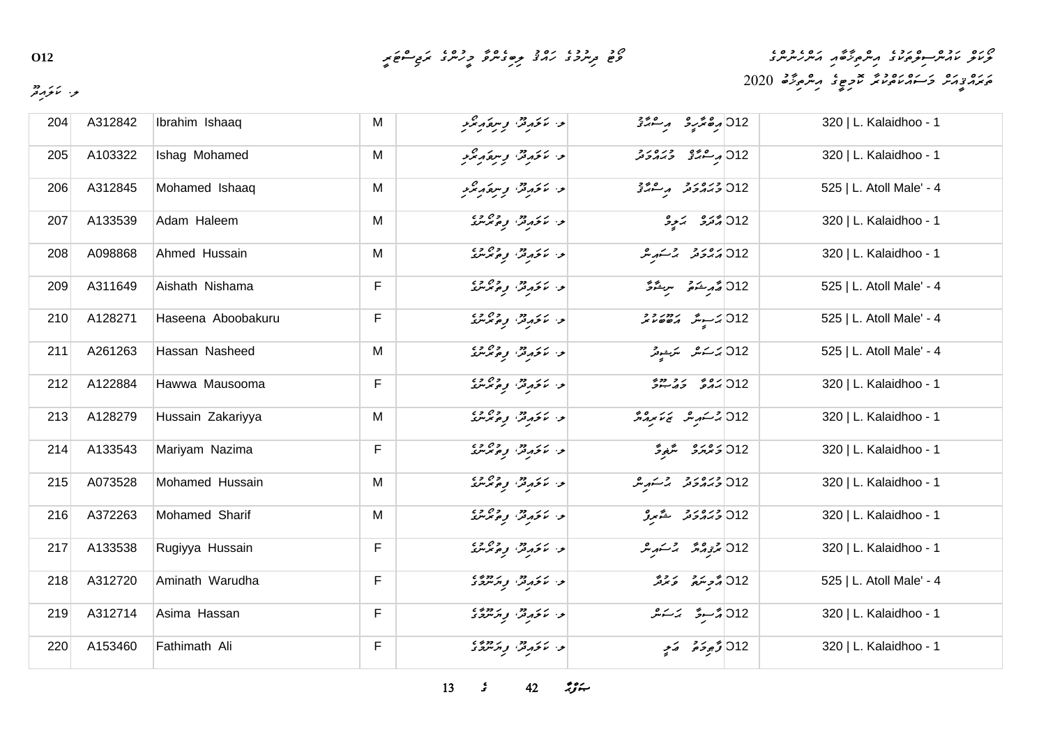*sCw7q7s5w7m< o<n9nOoAw7o< sCq;mAwBoEw7q<m; wBm;vB* م من المرة المرة المرة المرجع المرجع في المركبة 2020<br>مجم*د المريض المربوط المربع المرجع في المراجع المركبة* 

| 204 | A312842 | Ibrahim Ishaaq     | M           | و ، ئاڭدىق رىيزۇرگرىز   | 012 <sub>مو</sub> ھ م <i>زرد</i> و مرے مج                                                                     | 320   L. Kalaidhoo - 1   |
|-----|---------|--------------------|-------------|-------------------------|---------------------------------------------------------------------------------------------------------------|--------------------------|
| 205 | A103322 | Ishag Mohamed      | M           | و ، ئاڭرىق رسۇرىگىر     | 012 م شرچ ھي جي مرد تر                                                                                        | 320   L. Kalaidhoo - 1   |
| 206 | A312845 | Mohamed Ishaaq     | M           | و ، ئاڭلاش وسقلانتور    | 012 <i>ۇنەمۇقى بە</i> شتۇ                                                                                     | 525   L. Atoll Male' - 4 |
| 207 | A133539 | Adam Haleem        | M           | و نکورتر وه ده د        | 012 <i>مُمَرَّدٌ بَ</i> حِرَّدُ                                                                               | 320   L. Kalaidhoo - 1   |
| 208 | A098868 | Ahmed Hussain      | M           | و نکوروژ و ده ده        | 012 كەيرى ئەسىر يىلىدىن ئىككىن ئىككەن ئىككەن ئىككەن ئىككەن ئىككەن ئىككەن ئىككەن ئىككەن ئىككەن ئىككەن ئىككەن ئ | 320   L. Kalaidhoo - 1   |
| 209 | A311649 | Aishath Nishama    | $\mathsf F$ | و نگروه وه ده د         | 012 <i>۾ ميڪو سرڪو</i> ءَ                                                                                     | 525   L. Atoll Male' - 4 |
| 210 | A128271 | Haseena Aboobakuru | F           | و ، ئاڭەق ۋەترىترى      | 012 ئەسپىگە مەھقىدىمە                                                                                         | 525   L. Atoll Male' - 4 |
| 211 | A261263 | Hassan Nasheed     | M           | و ، ئائۇرىق ۋە ئەرە     | 012  كەسكەنلەر سەئىيەتىر                                                                                      | 525   L. Atoll Male' - 4 |
| 212 | A122884 | Hawwa Mausooma     | F           | و ، ئائۇرۇژ، بېرەردە دە | $5 - 25$ $5 - 21$                                                                                             | 320   L. Kalaidhoo - 1   |
| 213 | A128279 | Hussain Zakariyya  | M           | و· ئائۇرىق، ۋە ئەرەپ    | 012 ترىسىمە ئەسىمە ئىر                                                                                        | 320   L. Kalaidhoo - 1   |
| 214 | A133543 | Mariyam Nazima     | $\mathsf F$ | و· ئائۇرىق، ۋە ئەرەپ    | 012 <i>' جۇنىڭ شىنى</i> ئ                                                                                     | 320   L. Kalaidhoo - 1   |
| 215 | A073528 | Mohamed Hussain    | M           | و ، ئائۇرىق ۋە ئەرە     | 012 ۇرۇرۇقر كەسىر ش                                                                                           | 320   L. Kalaidhoo - 1   |
| 216 | A372263 | Mohamed Sharif     | M           | و· ئائۇرىق، ۋە ئەرەپ    | 012 جەيز جۇ ھەمبۇ                                                                                             | 320   L. Kalaidhoo - 1   |
| 217 | A133538 | Rugiyya Hussain    | F           | و· ئائۇرىق، ۋە ئەرەپ    | 012 ترتو پر پر شرک مر                                                                                         | 320   L. Kalaidhoo - 1   |
| 218 | A312720 | Aminath Warudha    | $\mathsf F$ | والأقرارص والمنفرى      | 012 مُّجِسَعُ وَتَمَعَّرُ                                                                                     | 525   L. Atoll Male' - 4 |
| 219 | A312714 | Asima Hassan       | F           | والأقراري والمتعدي      | 012 ۾ سيرم - برڪيشر                                                                                           | 320   L. Kalaidhoo - 1   |
| 220 | A153460 | Fathimath Ali      | F           | و ، ئاڭدىق رەزىلگەن     | 012 وٌموحَمْ - مَسٍ                                                                                           | 320   L. Kalaidhoo - 1   |

 $13$  *s*  $42$  *n***<sub>s</sub>**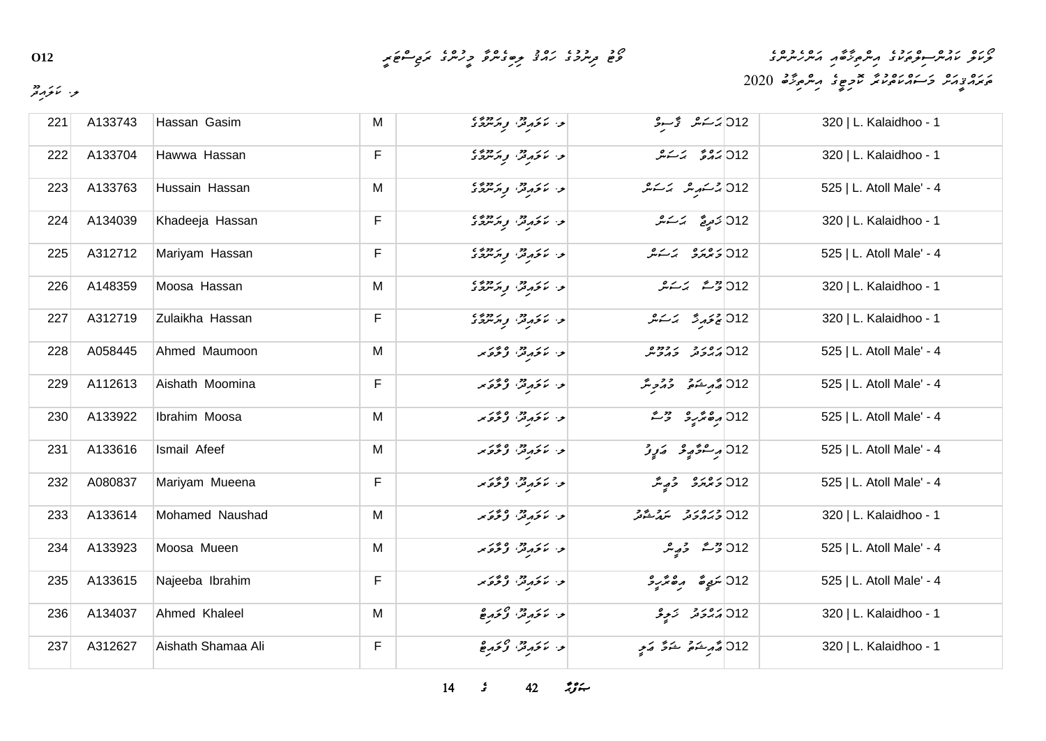*sCw7q7s5w7m< o<n9nOoAw7o< sCq;mAwBoEw7q<m; wBm;vB* م من المرة المرة المرة المرجع المرجع في المركبة 2020<br>مجم*د المريض المربوط المربع المرجع في المراجع المركبة* 

| 221 | A133743 | Hassan Gasim       | M           | و ، ئاڭروش و مەمدە ئ               | 012 كەسكەر تۇسىۋ                                  | 320   L. Kalaidhoo - 1   |
|-----|---------|--------------------|-------------|------------------------------------|---------------------------------------------------|--------------------------|
| 222 | A133704 | Hawwa Hassan       | F           | و ، مَکْرَمْ فِرْ، و مَرْسُرْدَ دُ | 012 كەندۇ كەشكە                                   | 320   L. Kalaidhoo - 1   |
| 223 | A133763 | Hussain Hassan     | M           | و ، ئاڭەق بەر «دە»                 | 012  پرستہر پر برے پر                             | 525   L. Atoll Male' - 4 |
| 224 | A134039 | Khadeeja Hassan    | $\mathsf F$ | و ، مأكر وهي و مرجوع ،             | 012 كَتَعِيقٌ - يَرْسَسُ                          | 320   L. Kalaidhoo - 1   |
| 225 | A312712 | Mariyam Hassan     | F           | و ناځه چې و پر «وه                 | 012 كەبۇرى بەسەيىلە                               | 525   L. Atoll Male' - 4 |
| 226 | A148359 | Moosa Hassan       | M           | والمكرود والمتعددة                 | 012 جي پرسند س                                    | 320   L. Kalaidhoo - 1   |
| 227 | A312719 | Zulaikha Hassan    | $\mathsf F$ | والأقرارص والمتعدي                 | 012 ىج تزىر تخ بر سكىش                            | 320   L. Kalaidhoo - 1   |
| 228 | A058445 | Ahmed Maumoon      | M           | والأقهاش وقرقاند                   | 012 كەبرو بەدە بور                                | 525   L. Atoll Male' - 4 |
| 229 | A112613 | Aishath Moomina    | F           | و ، ئاقەت ۋۇئام                    | 012 مۇرىشقۇ ھەمرىگە                               | 525   L. Atoll Male' - 4 |
| 230 | A133922 | Ibrahim Moosa      | M           | و ، ئاقەت ۋۇئام                    | 012 مەھمەر ئەستە                                  | 525   L. Atoll Male' - 4 |
| 231 | A133616 | Ismail Afeef       | M           | و ، ئائۇرۇش ۋۇئاير                 | 012 <sub>م</sub> رےد <i>و <sub>ی</sub>و می</i> رو | 525   L. Atoll Male' - 4 |
| 232 | A080837 | Mariyam Mueena     | $\mathsf F$ | و ، ئاقەقر، ۋۇئامە                 | 012 <i>ٰ 5 جگہ بحقی تھی</i> تھ                    | 525   L. Atoll Male' - 4 |
| 233 | A133614 | Mohamed Naushad    | M           | و ، ئاقەقر، ۋۇئامە                 | 012 <i>ۋېرو تو</i> تر شم <i>ر ش</i> ور            | 320   L. Kalaidhoo - 1   |
| 234 | A133923 | Moosa Mueen        | M           | و ، ئائۇرىق ۋۇئاير                 | 012 فخريم تحمي شر                                 | 525   L. Atoll Male' - 4 |
| 235 | A133615 | Najeeba Ibrahim    | $\mathsf F$ | و ، ئاقەت ۋۇئام                    | 012 سَمِعٌ مِنْ مِنْ مِنْ مِنْ                    | 525   L. Atoll Male' - 4 |
| 236 | A134037 | Ahmed Khaleel      | M           | و ، ئاڭرىق ۋىزرە                   | 012 <i>2325 زې</i> ږو                             | 320   L. Kalaidhoo - 1   |
| 237 | A312627 | Aishath Shamaa Ali | $\mathsf F$ | والأقرار وتحرارها                  | 012 م <i>ۇم شۇڭ مۇي</i>                           | 320   L. Kalaidhoo - 1   |

 $14$  *s*  $42$   $23$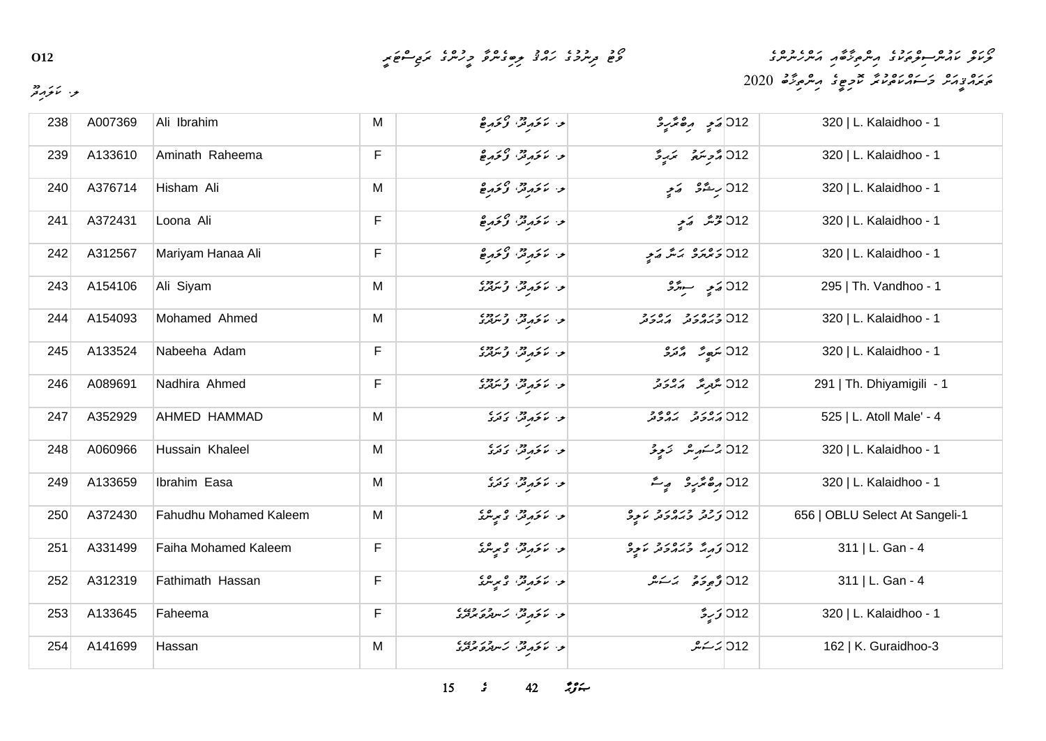*sCw7q7s5w7m< o<n9nOoAw7o< sCq;mAwBoEw7q<m; wBm;vB* م من المرة المرة المرة المرجع المرجع في المركبة 2020<br>مجم*د المريض المربوط المربع المرجع في المراجع المركبة* 

| י ככ        |  |
|-------------|--|
| و• المرار م |  |
|             |  |

| 238 | A007369 | Ali Ibrahim            | M           | والأخراج ومخروع                                                            | 012 أيمو به مصمَّر ع                         | 320   L. Kalaidhoo - 1         |
|-----|---------|------------------------|-------------|----------------------------------------------------------------------------|----------------------------------------------|--------------------------------|
| 239 | A133610 | Aminath Raheema        | F           | والأقرقش وتخرج                                                             | 012 <i>مُّ حِسَمُ</i> مَر <sub>ْ</sub> بِوَّ | 320   L. Kalaidhoo - 1         |
| 240 | A376714 | Hisham Ali             | M           | والأقراري وتخرافا                                                          | 012 رِحَدَّۃ کے پ                            | 320   L. Kalaidhoo - 1         |
| 241 | A372431 | Loona Ali              | $\mathsf F$ | و ، ئاقىدىق ئۇ قام ھ                                                       | 012 جيمبر - چير                              | 320   L. Kalaidhoo - 1         |
| 242 | A312567 | Mariyam Hanaa Ali      | F           | والأقراري ومحراره                                                          | 012 <i>وَبُرْدَوْ بَرْسُ مَ</i> عٍ           | 320   L. Kalaidhoo - 1         |
| 243 | A154106 | Ali Siyam              | M           | و ، ئائۇرۇش ۋىرەدە                                                         | 012ھ پہ سوچری                                | 295   Th. Vandhoo - 1          |
| 244 | A154093 | Mohamed Ahmed          | M           | والمتحدق والمطرو                                                           | 012 دېمبرد ته ده د                           | 320   L. Kalaidhoo - 1         |
| 245 | A133524 | Nabeeha Adam           | F           | و ، ئائۇرۇش ۋىرەدە                                                         | 012 <i>سَمِع تَّہُ مُ</i> تَعَرَّدُ          | 320   L. Kalaidhoo - 1         |
| 246 | A089691 | Nadhira Ahmed          | $\mathsf F$ | والأقراري والردوء                                                          | 012 <i>سُمْدِيمُ - مَدْوَنْرُ</i>            | 291   Th. Dhiyamigili - 1      |
| 247 | A352929 | AHMED HAMMAD           | M           | والأكومي المرداء                                                           | 012 كەبرو بەر بەر                            | 525   L. Atoll Male' - 4       |
| 248 | A060966 | Hussain Khaleel        | M           | و ، مَا مَحْمَدِيْنَ الْمَامَلِينَ                                         | 012  پرستهر بر زیرو                          | 320   L. Kalaidhoo - 1         |
| 249 | A133659 | Ibrahim Easa           | M           | و ، مَا قَرْمٍ لِمَنْ الْمَرْسَى وَ الْمَرْسَى وَ الْمَرْسَى وَ الْمَرْسَى | 012 م <i>ەھتىب</i> ۇ بېت                     | 320   L. Kalaidhoo - 1         |
| 250 | A372430 | Fahudhu Mohamed Kaleem | M           | والأقرارة وبرامى                                                           | 012 كررقر تربر وتر تأمر و                    | 656   OBLU Select At Sangeli-1 |
| 251 | A331499 | Faiha Mohamed Kaleem   | $\mathsf F$ | والأقرار والمحامر الدوي                                                    | 012 زَرِبُّ دْبَرْدْدَتْرْ تَارِدْ           | 311   L. Gan - 4               |
| 252 | A312319 | Fathimath Hassan       | F           | و ، ئاڭرىق ئايرىكى                                                         | 012 ۇ <sub>جو</sub> رَى ئەسەش                | 311   L. Gan - 4               |
| 253 | A133645 | Faheema                | $\mathsf F$ | و . مَا تَوَمِّدِيْنَ كَ سَرْبُرُهُ مَرْبُرِيَّ                            | 012 تۇرىچ                                    | 320   L. Kalaidhoo - 1         |
| 254 | A141699 | Hassan                 | M           | و . مَا تَوَمِّدِيْنَ كَ سَرْبُرُهُ مَرْبُرِيَّ                            | 012 پرسٹر                                    | 162   K. Guraidhoo-3           |

 $15$  *s*  $42$  *n***<sub>s</sub>** $\frac{2}{5}$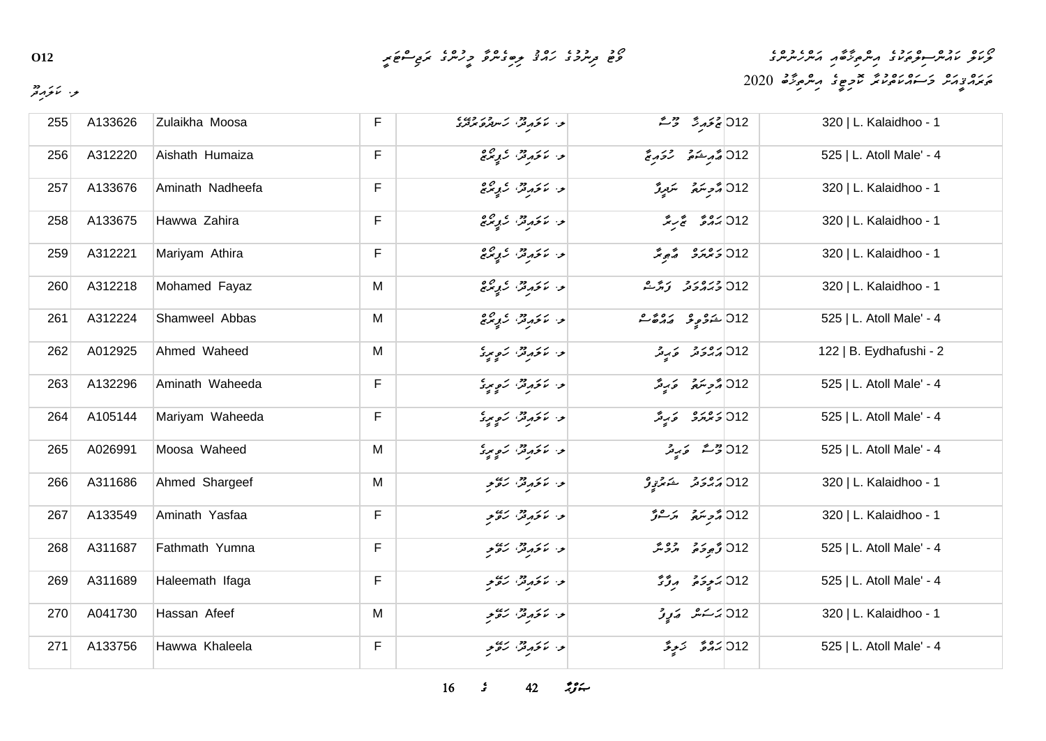*sCw7q7s5w7m< o<n9nOoAw7o< sCq;mAwBoEw7q<m; wBm;vB* م من المرة المرة المرة المرجع المرجع في المركبة 2020<br>مجم*د المريض المربوط المربع المرجع في المراجع المركبة* 

| ,, ,        |  |
|-------------|--|
| ىر. ئاتومىز |  |
|             |  |

| 255 | A133626 | Zulaikha Moosa   | F            | و . ئۈگرۈش كەنگەنى بىرلىرى | 012 كانج تحديث فتحر شد                 | 320   L. Kalaidhoo - 1   |
|-----|---------|------------------|--------------|----------------------------|----------------------------------------|--------------------------|
| 256 | A312220 | Aishath Humaiza  | F            | و ، ئاڭروقر، ئارچى         | 012 مەم شىم ئىق بۇ                     | 525   L. Atoll Male' - 4 |
| 257 | A133676 | Aminath Nadheefa | $\mathsf F$  | والأقراري كرويمي           | 012 مُّ حِ سَمَّ سَمَّدٍتَّر           | 320   L. Kalaidhoo - 1   |
| 258 | A133675 | Hawwa Zahira     | $\mathsf{F}$ | و ، ئەقەق ئۇنىڭ            | 012 ئەيمۇ ھىم بىر                      | 320   L. Kalaidhoo - 1   |
| 259 | A312221 | Mariyam Athira   | $\mathsf{F}$ | والأقرار كروندج            | 012 كەبھەر ئەھ بۇ بۇ                   | 320   L. Kalaidhoo - 1   |
| 260 | A312218 | Mohamed Fayaz    | M            | والأقرار كروندج            | 012 <i>ۋېرونى ۋېژىن</i>                | 320   L. Kalaidhoo - 1   |
| 261 | A312224 | Shamweel Abbas   | M            | و ، ئەقەقرى ئوچمى          | $2.53$ خۇم بۇ ئەرگىسىسى                | 525   L. Atoll Male' - 4 |
| 262 | A012925 | Ahmed Waheed     | M            | و ، ئاڭرونى كۆپرى          | 012 كەش <sup>ى</sup> كەر قەرىقر        | 122   B. Eydhafushi - 2  |
| 263 | A132296 | Aminath Waheeda  | $\mathsf F$  | و ، ئاڭەتى ئۈمرى           | 012 <i>مُّ حِسَمُ مَ</i> يَرَّمُ       | 525   L. Atoll Male' - 4 |
| 264 | A105144 | Mariyam Waheeda  | $\mathsf{F}$ | و ، ئاڭرونى، ئام بولا      | 012 كەندىرى كەرىگە                     | 525   L. Atoll Male' - 4 |
| 265 | A026991 | Moosa Waheed     | M            | و ، ئاڭرونۇ، كوپرى         | 012 جي تھ تھا تھ                       | 525   L. Atoll Male' - 4 |
| 266 | A311686 | Ahmed Shargeef   | M            | و ، ئەقەق ئۇم              | 012 <i>22.5 شەمرىي</i> ۇ               | 320   L. Kalaidhoo - 1   |
| 267 | A133549 | Aminath Yasfaa   | $\mathsf F$  | ى ئەنزەق رەي               | 012 مٌ <i>جِينَهُ مَنْ شَوَّ</i>       | 320   L. Kalaidhoo - 1   |
| 268 | A311687 | Fathmath Yumna   | $\mathsf{F}$ | ى ئەنزەق ئۇي               | 012 <i>وُّجِودَة</i> م <i>ُ</i> وْسُرَ | 525   L. Atoll Male' - 4 |
| 269 | A311689 | Haleemath Ifaga  | $\mathsf{F}$ | ى ئەنزەق ئۇي               | 012 كەردە مۇگ                          | 525   L. Atoll Male' - 4 |
| 270 | A041730 | Hassan Afeef     | M            | ى ئەنزەق ئۇي               | 012 پرسش کەروژ                         | 320   L. Kalaidhoo - 1   |
| 271 | A133756 | Hawwa Khaleela   | F            | ى ئەنگەنىڭ ئەھمىي          | 012 <i>بَرْدُوَ</i> دَمِوَدَ           | 525   L. Atoll Male' - 4 |

 $16$  *s*  $42$  *z***<sub>3</sub>**  $\frac{2}{3}$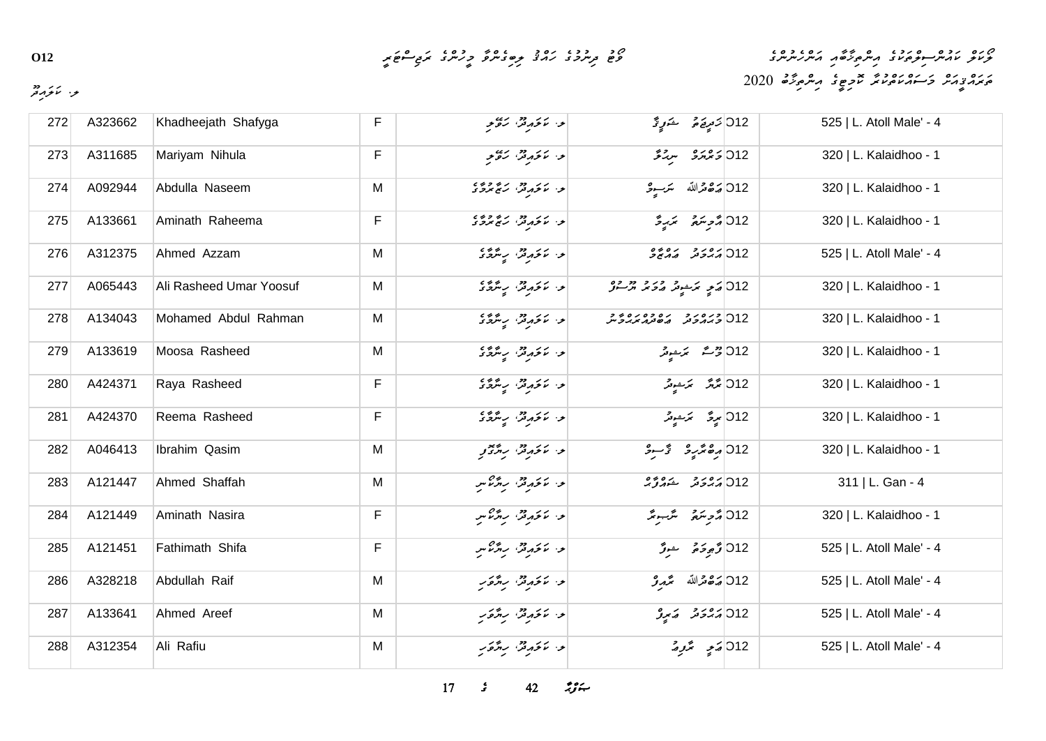*sCw7q7s5w7m< o<n9nOoAw7o< sCq;mAwBoEw7q<m; wBm;vB* م من المرة المرة المرة المرجع المرجع في المركبة 2020<br>مجم*د المريض المربوط المربع المرجع في المراجع المركبة* 

| $\overline{\phantom{a}}$ |  |
|--------------------------|--|
| ىو. مەمەمە               |  |
|                          |  |

| 272 | A323662 | Khadheejath Shafyga     | $\mathsf{F}$ | و ، ئەقەق رەپى        | 012 كىمپىقى ھىمپ <sup>ى</sup> تىگە بىر      | 525   L. Atoll Male' - 4 |
|-----|---------|-------------------------|--------------|-----------------------|---------------------------------------------|--------------------------|
| 273 | A311685 | Mariyam Nihula          | $\mathsf{F}$ | و ، ئائۇرۇش رىيىمى    | 012 كەنگەنى سىڭگ                            | 320   L. Kalaidhoo - 1   |
| 274 | A092944 | Abdulla Naseem          | M            | و كورود رؤود          | 012 <i>مَەھْتَر</i> اللە سَرَسِو <i>نَى</i> | 320   L. Kalaidhoo - 1   |
| 275 | A133661 | Aminath Raheema         | $\mathsf F$  | و ، ئائۇرۇش رەپرورى   | 012 مٌ مِسَمٌ سَرَبِرَّ                     | 320   L. Kalaidhoo - 1   |
| 276 | A312375 | Ahmed Azzam             | M            | و ، ئاڭروش رېڭرى      | $5502$ $222$ $012$                          | 525   L. Atoll Male' - 4 |
| 277 | A065443 | Ali Rasheed Umar Yoosuf | M            | و ، ئاڭروش پەنگەنى    | 012 كەي ترىنېدىر كەرىر مەرجۇ                | 320   L. Kalaidhoo - 1   |
| 278 | A134043 | Mohamed Abdul Rahman    | M            | و ، ئۇرۇش پەترى       | 012 <i>درورو ده ده ده و د</i>               | 320   L. Kalaidhoo - 1   |
| 279 | A133619 | Moosa Rasheed           | M            | و ، ئەقرىق پەنگەى     | 012 فخرشته مخرجونژ                          | 320   L. Kalaidhoo - 1   |
| 280 | A424371 | Raya Rasheed            | $\mathsf F$  | و ، ئاڭەتر، بەشگە،    | 012 بَرْتَرٌ - بَرَشِيشٌ                    | 320   L. Kalaidhoo - 1   |
| 281 | A424370 | Reema Rasheed           | $\mathsf{F}$ | و ، ئەقەق بەشقا       | 012] سرِدَّ - سَرَشوِسْ                     | 320   L. Kalaidhoo - 1   |
| 282 | A046413 | Ibrahim Qasim           | M            | و ، ئاڭروقر، رەمجى بە | 012 مەھ ئەربى - ئۇسور                       | 320   L. Kalaidhoo - 1   |
| 283 | A121447 | Ahmed Shaffah           | M            | و ، ئاڭروقر، روزناس   | 012 كەبروتر شەھرىر                          | 311   L. Gan - 4         |
| 284 | A121449 | Aminath Nasira          | $\mathsf F$  | و ، ئائەرىش رومىس     | 012 مُّ مِيهُمْ مُسْبِعُهُ                  | 320   L. Kalaidhoo - 1   |
| 285 | A121451 | Fathimath Shifa         | F            | و ، ئاڭروقر، روزناس   | 012 رُّجِرَةُ مُسِرَّ                       | 525   L. Atoll Male' - 4 |
| 286 | A328218 | Abdullah Raif           | M            | و ، ئاڭرىق رېڭۇر      | 012 كەھىراللە م <i>ەرى</i> ر                | 525   L. Atoll Male' - 4 |
| 287 | A133641 | Ahmed Areef             | M            | و ، ئاڭروش روزۇر      | 012 كەندى كەيدۇ                             | 525   L. Atoll Male' - 4 |
| 288 | A312354 | Ali Rafiu               | M            | و ، ئاڭرىق رىڭگەر     | 012 <i>۾ ڇپي جي</i>                         | 525   L. Atoll Male' - 4 |

 $17$  *s*  $42$  *i*<sub>s</sub> $\div$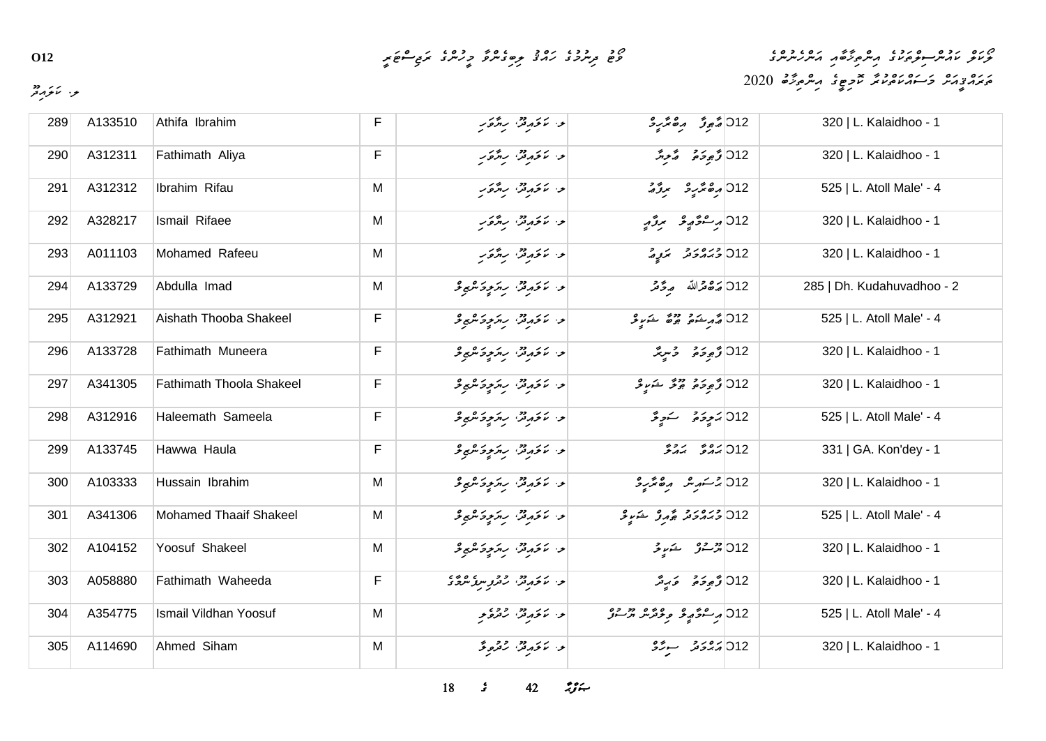*sCw7q7s5w7m< o<n9nOoAw7o< sCq;mAwBoEw7q<m; wBm;vB* م من المرة المرة المرة المرجع المرجع في المركبة 2020<br>مجم*د المريض المربوط المربع المرجع في المراجع المركبة* 

| י ככ     |  |
|----------|--|
| ىق سەھەم |  |
|          |  |

| 289 | A133510 | Athifa Ibrahim                | $\mathsf{F}$ | و ، ئاڭدىق رىڭدۇر                | 012 مۇق مەھمگەپە                                    | 320   L. Kalaidhoo - 1     |
|-----|---------|-------------------------------|--------------|----------------------------------|-----------------------------------------------------|----------------------------|
| 290 | A312311 | Fathimath Aliya               | $\mathsf F$  | و ، ئاڭدىق رىۋۇر                 | 012 <i>وُّجِ حَقَّ</i> م <i>ُّحِيثُ</i>             | 320   L. Kalaidhoo - 1     |
| 291 | A312312 | Ibrahim Rifau                 | M            | و ، ئاڭدىق رىڭگەر                | 012 مەھمگىرى مىرگە                                  | 525   L. Atoll Male' - 4   |
| 292 | A328217 | <b>Ismail Rifaee</b>          | M            | و ، ئاڭدىق رىڭگەر                | 012 <sub>م</sub> رىت <sub>ۇمپ</sub> ۇ بر <i>ۇ</i> پ | 320   L. Kalaidhoo - 1     |
| 293 | A011103 | Mohamed Rafeeu                | M            | و ، ئاڭدىق رىڭگەر                | 012 <i>ۋىزۇ جۇ ئىزۇ</i>                             | 320   L. Kalaidhoo - 1     |
| 294 | A133729 | Abdulla Imad                  | M            | و ، ئەكەنى رىزۇڭرىگى ئ           | 012 كەنھەراللە مەدىر                                | 285   Dh. Kudahuvadhoo - 2 |
| 295 | A312921 | Aishath Thooba Shakeel        | $\mathsf F$  | أوا الأكراري المركوكرالوجو       | 012 مُرِسْدَمُ ۚ مِنْ سَرِيْرِ                      | 525   L. Atoll Male' - 4   |
| 296 | A133728 | Fathimath Muneera             | $\mathsf F$  | أوا الأقراري الرادية وكريمونو    | 012 رَّجِ دَمَّةَ _ دُسِيَّةَ                       | 320   L. Kalaidhoo - 1     |
| 297 | A341305 | Fathimath Thoola Shakeel      | $\mathsf F$  | أوا الأكراري المركوكرالوجو       | 012 ژ <sub>ّج</sub> ودَ ۾ "دُوَ خَس <i>رِ</i> و     | 320   L. Kalaidhoo - 1     |
| 298 | A312916 | Haleemath Sameela             | F            | و ، ئەكەرتى رىزوچە ئىي ۋ         | 012 كَمْ وِدَةْ مَسْ كَمْ يَوْمَدُ                  | 525   L. Atoll Male' - 4   |
| 299 | A133745 | Hawwa Haula                   | $\mathsf F$  | و ، ئاڭرىق رىزچەكرېمۇ            | $5.72$ $5.2$ $012$                                  | 331   GA. Kon'dey - 1      |
| 300 | A103333 | Hussain Ibrahim               | M            | أوا الأكراري الراكر وكالرواقع    | 012 ترىسىر مەھزىرى                                  | 320   L. Kalaidhoo - 1     |
| 301 | A341306 | <b>Mohamed Thaaif Shakeel</b> | M            | أوا الأقراري الرادية وكريمونو    | 012 دېرو دي. پورو خوړنو                             | 525   L. Atoll Male' - 4   |
| 302 | A104152 | Yoosuf Shakeel                | M            | أوا الأكراري الراكر وكالرواقع    | 012 تېرىنىق ئىقتىرقى                                | 320   L. Kalaidhoo - 1     |
| 303 | A058880 | Fathimath Waheeda             | F            | و ، ئەكەرلەش كەنگەنى بىرى ھەم كە | 012 <i>ؤُوِحَ</i> مَدِمَّرٌ                         | 320   L. Kalaidhoo - 1     |
| 304 | A354775 | <b>Ismail Vildhan Yoosuf</b>  | M            | و ، مَعَهُ قِرْءٌ ، رَفَرَهُ مِ  | 012م ڪمر پوءِ و پونگر ترگيبو ۾                      | 525   L. Atoll Male' - 4   |
| 305 | A114690 | Ahmed Siham                   | M            | و ، ئەقەرىق رىمرو ئ              | 012 كەندى قىرىنىچە                                  | 320   L. Kalaidhoo - 1     |

 $18$  *s*  $42$  *n***<sub>s</sub>** $\frac{2}{5}$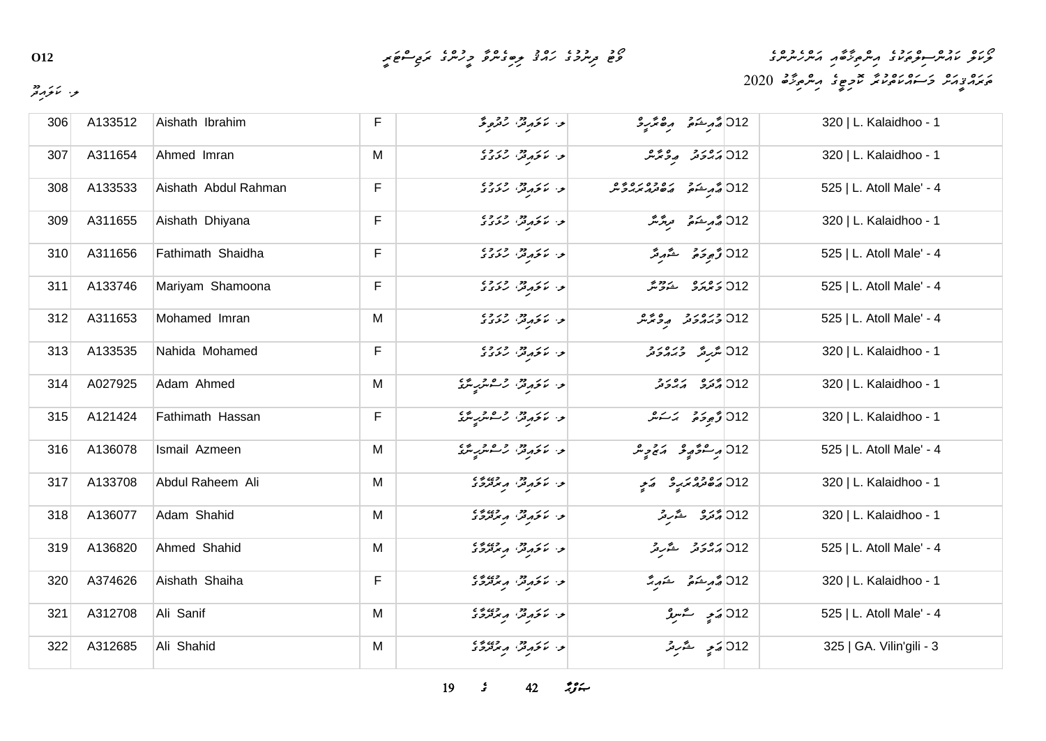*sCw7q7s5w7m< o<n9nOoAw7o< sCq;mAwBoEw7q<m; wBm;vB* م من المرة المرة المرة المرجع المرجع في المركبة 2020<br>مجم*د المريض المربوط المربع المرجع في المراجع المركبة* 

| 306 | A133512 | Aishath Ibrahim      | F  | و ، ئەقەرىق رىرە ئە           | 012 مۇرىشمۇ بەھ ئىر بى                        | 320   L. Kalaidhoo - 1   |
|-----|---------|----------------------|----|-------------------------------|-----------------------------------------------|--------------------------|
| 307 | A311654 | Ahmed Imran          | M  | والأقرار فرود و و و و ع       | 012 <i>222 مۇمۇنى</i> ر                       | 320   L. Kalaidhoo - 1   |
| 308 | A133533 | Aishath Abdul Rahman | F  | كمخارج المتحمد فرائع والمحاوي | 012 مەم شوق مەھەرمەم ب                        | 525   L. Atoll Male' - 4 |
| 309 | A311655 | Aishath Dhiyana      | F  | و ، ئاقەق 222                 | 012 ۾ په ڪنھ - مرمگنگر                        | 320   L. Kalaidhoo - 1   |
| 310 | A311656 | Fathimath Shaidha    | F  | والأقهاش ولاوه                | 012 زَّجِرَةَ شَّهِ شَّ                       | 525   L. Atoll Male' - 4 |
| 311 | A133746 | Mariyam Shamoona     | F  | و نکوماتی کرده                | 012 كەبىر بەر ھەشىر                           | 525   L. Atoll Male' - 4 |
| 312 | A311653 | Mohamed Imran        | M  | و نکوماتی کرده                | 012 <i>ۇنەمۇقى مۇقىتى</i> ر                   | 525   L. Atoll Male' - 4 |
| 313 | A133535 | Nahida Mohamed       | F  | و ، ئەقەق ئەدە ،              | 012 <i>مگرىدگە ئىمكەم</i> گە                  | 320   L. Kalaidhoo - 1   |
| 314 | A027925 | Adam Ahmed           | M  | و ، ئەقەق ئەسىرىيەتلى         | 012 كەترى كەردىتى                             | 320   L. Kalaidhoo - 1   |
| 315 | A121424 | Fathimath Hassan     | F  | و ، ئائۇرۇش راس ئىر ئىرىگە    | 012 ز <sub>ىمبو</sub> رى ئەسەمىر              | 320   L. Kalaidhoo - 1   |
| 316 | A136078 | Ismail Azmeen        | M  | و ، ئەكەرلىق راشلىر بىرىدى    | 012 <sub>م</sub> رشۇ <sub>م</sub> پۇ كەنج چىر | 525   L. Atoll Male' - 4 |
| 317 | A133708 | Abdul Raheem Ali     | M  | و کوروژ مرگزده                | 012 <i>مەھەممىر بىر مۇ</i> ر                  | 320   L. Kalaidhoo - 1   |
| 318 | A136077 | Adam Shahid          | M  | و کوکروژ مرکزدی               | 012 كەنىۋە شەرىتى                             | 320   L. Kalaidhoo - 1   |
| 319 | A136820 | Ahmed Shahid         | M  | و کوکرفر و دره ده             | 012 كەنزىق ئىقرىتر                            | 525   L. Atoll Male' - 4 |
| 320 | A374626 | Aishath Shaiha       | F. | و کوکروژ مرکزدی               | 012 مەم ئىقمى ئىقمەتمە                        | 320   L. Kalaidhoo - 1   |
| 321 | A312708 | Ali Sanif            | M  | و کوکرفر و ده ده              | 012ھ پر گھور                                  | 525   L. Atoll Male' - 4 |
| 322 | A312685 | Ali Shahid           | M  | و کوکروژ دیون                 | 012  رَمِ شَرِيرٌ                             | 325   GA. Vilin'gili - 3 |

*19 s* 42 *i*<sub>s</sub> $\approx$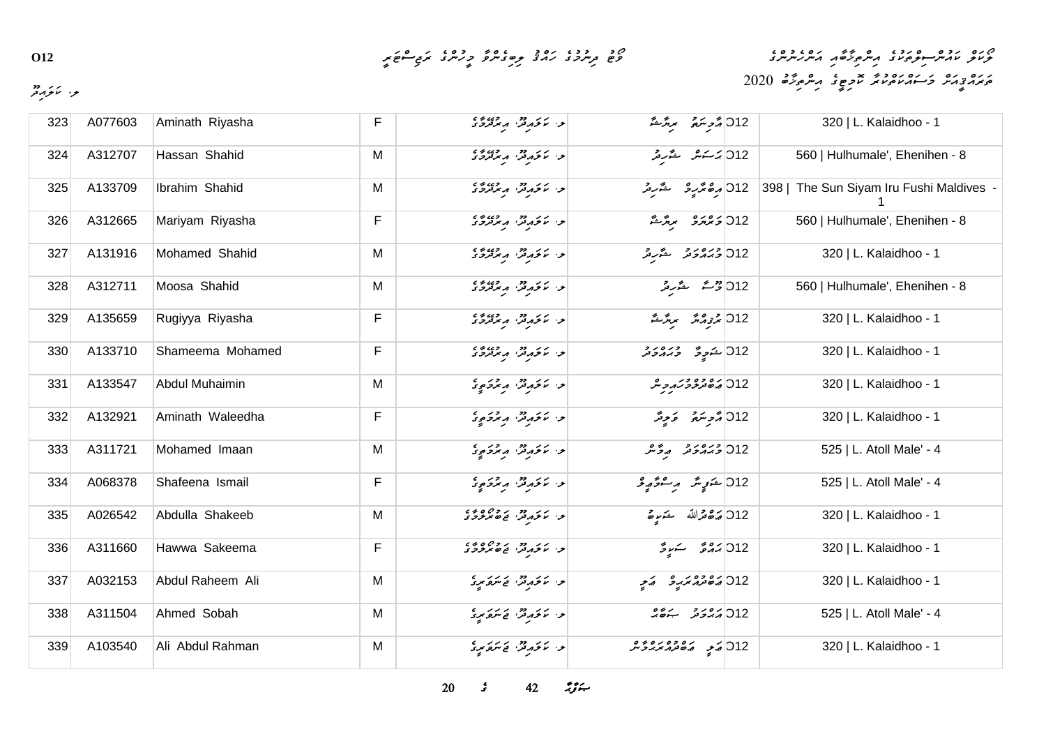*sCw7q7s5w7m< o<n9nOoAw7o< sCq;mAwBoEw7q<m; wBm;vB* م من المرة المرة المرة المرجع المرجع في المركبة 2020<br>مجم*د المريض المربوط المربع المرجع في المراجع المركبة* 

| 323 | A077603 | Aminath Riyasha  | F            | و کوروژ پروژوی             | 012 مُّ حِ سَمَّة مُسِمَّثَة مُّ       | 320   L. Kalaidhoo - 1                    |
|-----|---------|------------------|--------------|----------------------------|----------------------------------------|-------------------------------------------|
| 324 | A312707 | Hassan Shahid    | M            | و· ناكروژه و پرتروی        | 012 بزسترشر مقررتمر                    | 560   Hulhumale', Ehenihen - 8            |
| 325 | A133709 | Ibrahim Shahid   | M            | و· ناكروژه و پرتروی        | 012 مەھ ئۇر ئاس ئىسىمىتىكى ئىس         | The Sun Siyam Iru Fushi Maldives -<br>398 |
| 326 | A312665 | Mariyam Riyasha  | F            | و کوروژ مروروی             | 012 كەبۇرۇ بىر ئەشق                    | 560   Hulhumale', Ehenihen - 8            |
| 327 | A131916 | Mohamed Shahid   | M            | و· ناكروژه و پرتروی        | 012 ق. يرو قر مستمريز                  | 320   L. Kalaidhoo - 1                    |
| 328 | A312711 | Moosa Shahid     | M            | و کوکرفر پروروی            | 012 فق شىرىتىر                         | 560   Hulhumale', Ehenihen - 8            |
| 329 | A135659 | Rugiyya Riyasha  | F            | و نکورتر میتروی            | 012 ترتوپرهر مرمرمگ                    | 320   L. Kalaidhoo - 1                    |
| 330 | A133710 | Shameema Mohamed | $\mathsf F$  | و کورن مرور                | 012  شەرِرَة - 25,3%                   | 320   L. Kalaidhoo - 1                    |
| 331 | A133547 | Abdul Muhaimin   | M            | و ، ئاڭروش و برگرو ،       | 012 كەھىرى <i>ۋە ئەم</i> رىرى <i>گ</i> | 320   L. Kalaidhoo - 1                    |
| 332 | A132921 | Aminath Waleedha | $\mathsf{F}$ | و ، ئاڭرىق مەترىم ئ        | 012 مٌ مِسَمٌ – مَ مِسَّ               | 320   L. Kalaidhoo - 1                    |
| 333 | A311721 | Mohamed Imaan    | M            | و ، ئاڭروقر، مەنزۈي ئ      | 012 <i>ۋېزودى م</i> ېۋىر               | 525   L. Atoll Male' - 4                  |
| 334 | A068378 | Shafeena Ismail  | F            | و ، ئاڭرىق مەنگەم ئ        | 012] ڪنوپنگ - ميڪوچي گ                 | 525   L. Atoll Male' - 4                  |
| 335 | A026542 | Abdulla Shakeeb  | M            | و کورن ده ده ۲۶۵           | 012 كەچمەللە خىرى                      | 320   L. Kalaidhoo - 1                    |
| 336 | A311660 | Hawwa Sakeema    | F            | والمتوردة المروه والمعا    | 012   يَدْرُقُ سَنَبِيقُ               | 320   L. Kalaidhoo - 1                    |
| 337 | A032153 | Abdul Raheem Ali | M            | والأكراري فأسكر بالمحالج   | 012 كەھەر كەرچە كەمچە                  | 320   L. Kalaidhoo - 1                    |
| 338 | A311504 | Ahmed Sobah      | M            | والأكرار وحماله والمتكامرة | 012 كەبروتر بەھەر                      | 525   L. Atoll Male' - 4                  |
| 339 | A103540 | Ali Abdul Rahman | M            | والأكروج لكركون            | 012 كەبىر بەھەرمەر ئەھر                | 320   L. Kalaidhoo - 1                    |

 $20$  *s*  $42$  *z*  $2\frac{1}{2}$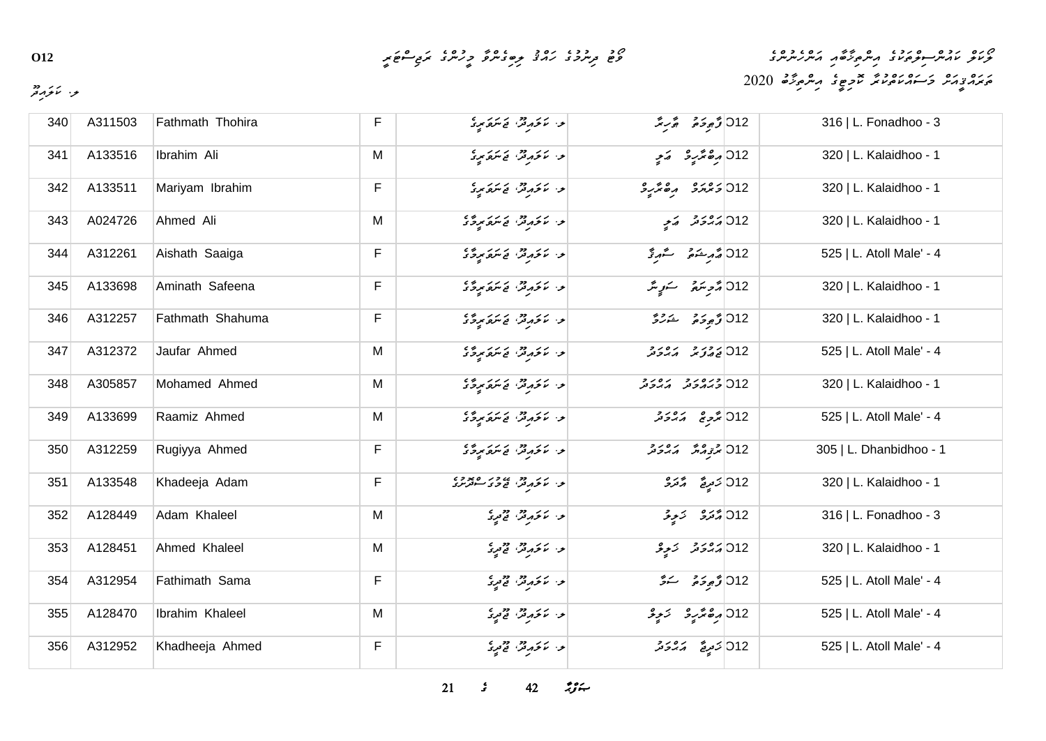*sCw7q7s5w7m< o<n9nOoAw7o< sCq;mAwBoEw7q<m; wBm;vB* م من المرة المرة المرة المرجع المرجع في المركبة 2020<br>مجم*د المريض المربوط المربع المرجع في المراجع المركبة* 

| י ככ        |  |
|-------------|--|
| و• المرار م |  |
|             |  |

| 340 | A311503 | Fathmath Thohira | F           | والأكروج فأمكر مركح                 | 012 رَّجِوحَةُ تَجْرِبَّدُ                               | 316   L. Fonadhoo - 3    |
|-----|---------|------------------|-------------|-------------------------------------|----------------------------------------------------------|--------------------------|
| 341 | A133516 | Ibrahim Ali      | M           | والأقرار فتم يتكامره                | 012 <i>مەھتىپ</i> ۇ ك <i>ەي</i>                          | 320   L. Kalaidhoo - 1   |
| 342 | A133511 | Mariyam Ibrahim  | $\mathsf F$ | والأكروم فالكريمي                   | 012 كوبرېزى بەھ ئېرىۋ                                    | 320   L. Kalaidhoo - 1   |
| 343 | A024726 | Ahmed Ali        | M           | والأكرار والمستكم والمحافية         | 012 <i>ړې. څې</i> ته په                                  | 320   L. Kalaidhoo - 1   |
| 344 | A312261 | Aishath Saaiga   | $\mathsf F$ | و ، ئاڭروش ئاسھىردى                 | 012 مەم ئىقتىم ئىستىم قىچ                                | 525   L. Atoll Male' - 4 |
| 345 | A133698 | Aminath Safeena  | $\mathsf F$ | والأكراري فالتكامرة والمحا          | 012 مٌ حِسَمَۃٌ سَوَرٍ مَدَّ                             | 320   L. Kalaidhoo - 1   |
| 346 | A312257 | Fathmath Shahuma | $\mathsf F$ | والأكرار فالكرودة                   | 012 رَّجِ دَمَ صَدَرْدً                                  | 320   L. Kalaidhoo - 1   |
| 347 | A312372 | Jaufar Ahmed     | M           | والأقرار والمتحا المتحا بروائي      | 012 غەرىپە كەردىتە                                       | 525   L. Atoll Male' - 4 |
| 348 | A305857 | Mohamed Ahmed    | M           | والأكرار والمستكم والمحافية         | 012 دېمبروتر كېمبروتر                                    | 320   L. Kalaidhoo - 1   |
| 349 | A133699 | Raamiz Ahmed     | M           | والأكرار والمستكم والمحافية         | 012 ترّديع سي در در ا                                    | 525   L. Atoll Male' - 4 |
| 350 | A312259 | Rugiyya Ahmed    | $\mathsf F$ | والأكرار فالكرودة                   |                                                          | 305   L. Dhanbidhoo - 1  |
| 351 | A133548 | Khadeeja Adam    | $\mathsf F$ |                                     | 012 <i>كَتعي</i> قَ مُرَّمَرَدُ                          | 320   L. Kalaidhoo - 1   |
| 352 | A128449 | Adam Khaleel     | M           | و ، مَا قَرْمِ فِي الْمَرْيَ        | 012 <i>مُمَرَّدٌ</i> دَمِر <i>ِیْ</i>                    | 316   L. Fonadhoo - 3    |
| 353 | A128451 | Ahmed Khaleel    | M           | و ، مَا قَرْمِرْ فَيْ قَرْمِرِي     | 012   پَرْدُوَسْ _ زَمٍ تَى عَمَّدَ                      | 320   L. Kalaidhoo - 1   |
| 354 | A312954 | Fathimath Sama   | F           | و ، مَا قَرْمِرْتُمْ ، فَيَ فَرِيدٌ | 012 ۇ <sub>جو</sub> رۇ سۇ                                | 525   L. Atoll Male' - 4 |
| 355 | A128470 | Ibrahim Khaleel  | M           | و ، مَا قَرْمِرْتُمْ ، فَيَ فَرِي   | 012 <sub>م</sub> ەنگ <sub>ىي</sub> ۇ   زى <sub>چ</sub> ۇ | 525   L. Atoll Male' - 4 |
| 356 | A312952 | Khadheeja Ahmed  | F           | و ، مَا قَرْمِرْ فَيْ قَرْمِرَ      |                                                          | 525   L. Atoll Male' - 4 |

 $21$  *s*  $42$  *n***<sub>s</sub>** $\frac{2}{5}$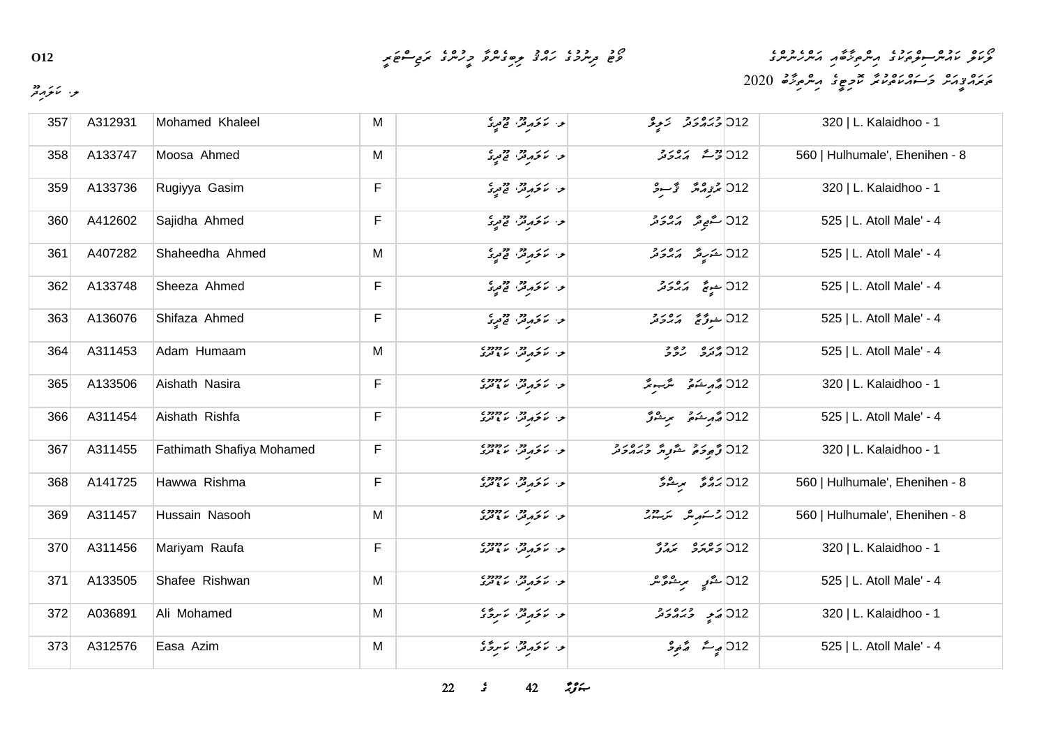*sCw7q7s5w7m< o<n9nOoAw7o< sCq;mAwBoEw7q<m; wBm;vB* م من المرة المرة المرة المرجع المرجع في المركبة 2020<br>مجم*د المريض المربوط المربع المرجع في المراجع المركبة* 

| $\overline{\phantom{a}}$ |  |  |
|--------------------------|--|--|
| ىو. مەمەمە               |  |  |

| 357 | A312931 | Mohamed Khaleel           | M            | و ، ئەقرىرى قامرى               | 012 <i>وَبَہُ وَمَدْ</i> دَمِوْ وَ             | 320   L. Kalaidhoo - 1         |
|-----|---------|---------------------------|--------------|---------------------------------|------------------------------------------------|--------------------------------|
| 358 | A133747 | Moosa Ahmed               | M            | و ، مَا قَرْمِرْ فَيْ قَرْمِرِي | 012 ص پروتر                                    | 560   Hulhumale', Ehenihen - 8 |
| 359 | A133736 | Rugiyya Gasim             | $\mathsf F$  | و ، مَا قَرْمِ فِي الْمَرِي     | 012 - جرة مركز - تخ سبور                       | 320   L. Kalaidhoo - 1         |
| 360 | A412602 | Sajidha Ahmed             | $\mathsf F$  | و ، مَا قَرْمِ فِي الْمَرِي     | 012 گىم قىم ئەركىمىتى كىل                      | 525   L. Atoll Male' - 4       |
| 361 | A407282 | Shaheedha Ahmed           | M            | و ، مَا قَرْمِرْ فَيْ قَرْمِرَى | 012 ڪر <i>پنگ مذکر دگر</i>                     | 525   L. Atoll Male' - 4       |
| 362 | A133748 | Sheeza Ahmed              | $\mathsf F$  | و ، مَا قَرْمِرْ فَيْ قَرِيرٌ   | 012 حي <i>مة - مُدْوَنْ</i> رُ                 | 525   L. Atoll Male' - 4       |
| 363 | A136076 | Shifaza Ahmed             | F            | والممكوماتي المحافرى            |                                                | 525   L. Atoll Male' - 4       |
| 364 | A311453 | Adam Humaam               | M            | و کوړن کړي                      | $33.2$ $32/012$                                | 525   L. Atoll Male' - 4       |
| 365 | A133506 | Aishath Nasira            | $\mathsf F$  | والمتورقة المعقرى               | 012 مۇم شىقى ئىسى ئىر                          | 320   L. Kalaidhoo - 1         |
| 366 | A311454 | Aishath Rishfa            | $\mathsf{F}$ | و کوړنځه روووه                  | 012 م <i>ۇم شۇمۇ</i> بىر شۇ <i>م</i> ۇ         | 525   L. Atoll Male' - 4       |
| 367 | A311455 | Fathimath Shafiya Mohamed | $\mathsf F$  | و کوړنځه روووه                  | 012 ز <sub>ۇ</sub> چەر شۇرى <i>گە جەمەدى</i> ر | 320   L. Kalaidhoo - 1         |
| 368 | A141725 | Hawwa Rishma              | $\mathsf{F}$ | والمتورفة المروودة              | 012 كەمگە ئەر يىش                              | 560   Hulhumale', Ehenihen - 8 |
| 369 | A311457 | Hussain Nasooh            | M            | والمتوكدي الأودون               | 012 برُسَمَ مِنْ سَرَسِيْنَهُ                  | 560   Hulhumale', Ehenihen - 8 |
| 370 | A311456 | Mariyam Raufa             | $\mathsf{F}$ | والمتورقة المعقرى               | 012 كەبىر ئەرگە ئەرگە                          | 320   L. Kalaidhoo - 1         |
| 371 | A133505 | Shafee Rishwan            | M            | و کوړنځه روووه                  | 012 گو پرڪوگر                                  | 525   L. Atoll Male' - 4       |
| 372 | A036891 | Ali Mohamed               | M            | و ، ئەقەرىق ئابرۇق              | 012 <i>ڇَجِ وَبَرُوَتَرُ</i>                   | 320   L. Kalaidhoo - 1         |
| 373 | A312576 | Easa Azim                 | M            | و ، ئاڭەتى ، ئابرۇي             | 012 ۾ ٿُ گھُجو گ                               | 525   L. Atoll Male' - 4       |

 $22$  *s*  $42$  *n***<sub>s</sub>** $\frac{2}{5}$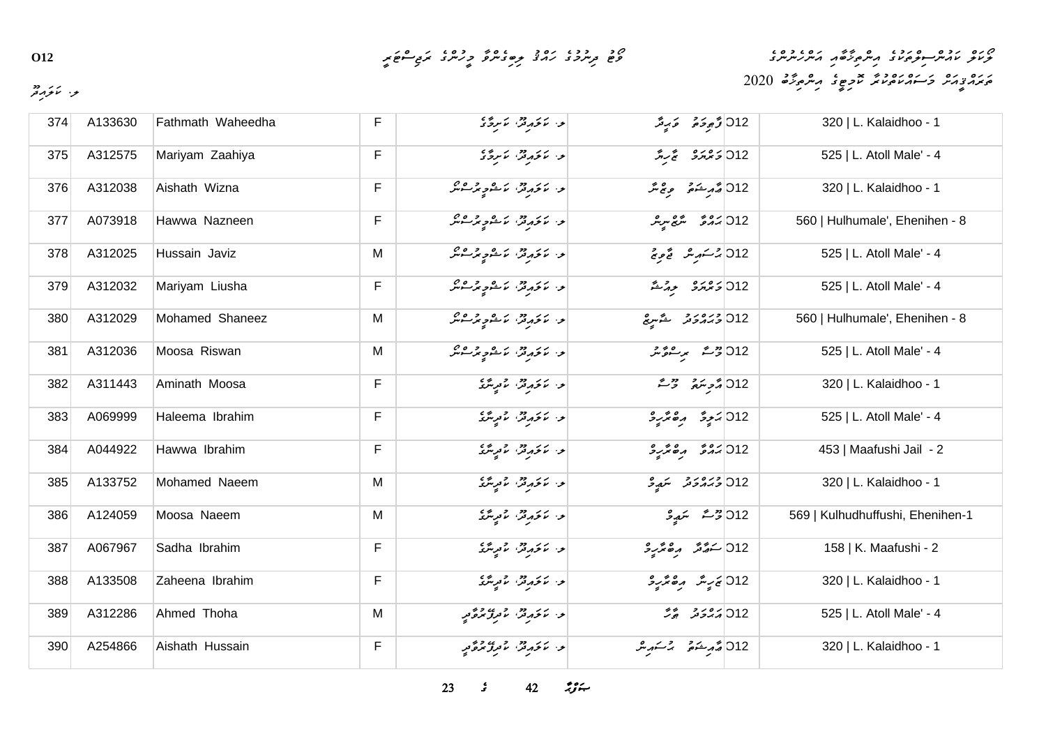*sCw7q7s5w7m< o<n9nOoAw7o< sCq;mAwBoEw7q<m; wBm;vB* م من المرة المرة المرة المرجع المرجع في المركبة 2020<br>مجم*د المريض المربوط المربع المرجع في المراجع المركبة* 

| $\overline{\phantom{a}}$ |  |  |
|--------------------------|--|--|
| ىو، سورىر                |  |  |
|                          |  |  |

| 374 | A133630 | Fathmath Waheedha | F           | و ، ئەقەرىق ئابرۇقى       | 012 ۇ <sub>ج</sub> و <i>خىۋە ھې</i> رى <i>گ</i> | 320   L. Kalaidhoo - 1           |
|-----|---------|-------------------|-------------|---------------------------|-------------------------------------------------|----------------------------------|
| 375 | A312575 | Mariyam Zaahiya   | $\mathsf F$ | و ، ئاڭروقر، ئاپروگو      | 012 كەبھەر قى تج بەتگە                          | 525   L. Atoll Male' - 4         |
| 376 | A312038 | Aishath Wizna     | $\mathsf F$ | ى ئائۇرىق ئاشوپرىشى       | 012 مۇم شەقر بويى ئىگە                          | 320   L. Kalaidhoo - 1           |
| 377 | A073918 | Hawwa Nazneen     | $\mathsf F$ | ى ئاڭەق ئاشوپرىشى         | 012 كَنْدْدْدْ مْسَنْجْسِرْسْر                  | 560   Hulhumale', Ehenihen - 8   |
| 378 | A312025 | Hussain Javiz     | M           | ى ئائۇرىق ئاشوپرىشى       | 012 پرڪيريش ٿھ موتھ                             | 525   L. Atoll Male' - 4         |
| 379 | A312032 | Mariyam Liusha    | $\mathsf F$ | ى ئائۇرىق ئاشوپرىشى       | 012 كەبىر ئەرقىقە                               | 525   L. Atoll Male' - 4         |
| 380 | A312029 | Mohamed Shaneez   | M           | ى ئائۇرىق ئاشوپرىشى       | 012 دېم دېمريز کې مشتر پنځ                      | 560   Hulhumale', Ehenihen - 8   |
| 381 | A312036 | Moosa Riswan      | M           | ى ئاكرىرى ئاشرىرىشى       | 012 وَيْسُهُ بِرِسْتَوَيْتَر                    | 525   L. Atoll Male' - 4         |
| 382 | A311443 | Aminath Moosa     | F           | و ، ئەكرىرى ، ئويۇي       | 012 مَّ مِسَمَّد حَمَّ                          | 320   L. Kalaidhoo - 1           |
| 383 | A069999 | Haleema Ibrahim   | F           | و ، ئەكرىرى ئامرىكرى      | 012 ك <sub>ى</sub> چى مەھمىچە                   | 525   L. Atoll Male' - 4         |
| 384 | A044922 | Hawwa Ibrahim     | $\mathsf F$ | و ، ئەقرىرى ئامرىكى       | 012 ئەمۇھ مەھەممىيە 3.                          | 453   Maafushi Jail - 2          |
| 385 | A133752 | Mohamed Naeem     | M           | و ، ئاڭرىق ، ئايرىنگە     | 012 <i>  3223 \$ متمدٍ \$</i>                   | 320   L. Kalaidhoo - 1           |
| 386 | A124059 | Moosa Naeem       | M           | و ، ئەكرىرى ، ئويۇي       | 012 جُمْعَہ شَہْرَ \$                           | 569   Kulhudhuffushi, Ehenihen-1 |
| 387 | A067967 | Sadha Ibrahim     | $\mathsf F$ | و ، ئەقرىق ، ئويىتمە      | 012 سَمَّةَ مَّدَّ مِنْ مِحْدَبِ دَّ            | 158   K. Maafushi - 2            |
| 388 | A133508 | Zaheena Ibrahim   | F           | و ، ئاڭرىق ، ئايرىنگە     | 012 ىَرِيْرَ بِرەڭرىرِدْ                        | 320   L. Kalaidhoo - 1           |
| 389 | A312286 | Ahmed Thoha       | M           | و ، ئەكەرلىر، ئامرۇنجەگەر | 012 كەبۇر قۇرىم                                 | 525   L. Atoll Male' - 4         |
| 390 | A254866 | Aishath Hussain   | F           | و ، ئەكەرلىر، ئامرۇنجەگەر | 012 مۇم شەمۇر سىمبەشر                           | 320   L. Kalaidhoo - 1           |

 $23$  *s* **42** *n***<sub>3</sub> <b>***n*<sub>3</sub> *n*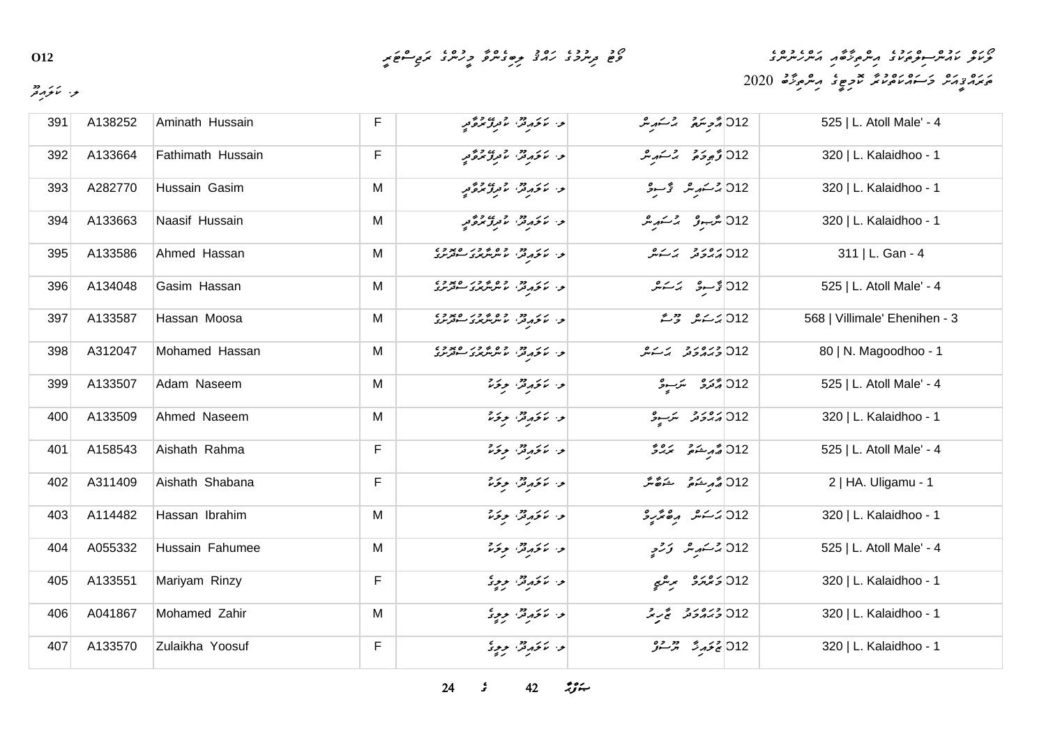*sCw7q7s5w7m< o<n9nOoAw7o< sCq;mAwBoEw7q<m; wBm;vB* م من المرة المرة المرة المرجع المرجع في المركبة 2020<br>مجم*د المريض المربوط المربع المرجع في المراجع المركبة* 

| $\overline{\phantom{a}}$ |  |
|--------------------------|--|
| ىر. ئاتومىز              |  |
|                          |  |

| 391 | A138252 | Aminath Hussain   | F            | و ، ئەخرىرى ، ئورۇ ئرۇمر                                         | 012 مۇجەتتى ب <sub>ە</sub> جەمرىكە      | 525   L. Atoll Male' - 4      |
|-----|---------|-------------------|--------------|------------------------------------------------------------------|-----------------------------------------|-------------------------------|
| 392 | A133664 | Fathimath Hussain | F            | و ، ئۈرۈش ئامرۇنزىرگەر                                           | 012 ۇ <sub>ج</sub> ودۇ گەسىرى <i>گ</i>  | 320   L. Kalaidhoo - 1        |
| 393 | A282770 | Hussain Gasim     | M            | و ، ئاڭەق ، ئابورگە ئاھۇم                                        | 012 برڪيريش ٿڙسوش                       | 320   L. Kalaidhoo - 1        |
| 394 | A133663 | Naasif Hussain    | M            | و ، ئۈرۈش ئامرۇنرۇمر                                             | 012 مگرسوژ پر تئے ہر مگر                | 320   L. Kalaidhoo - 1        |
| 395 | A133586 | Ahmed Hassan      | M            | و گروه وه وه ور ه پروه<br>و گروهی کانگریزی ستربری                | 012 كەبروتىر كەسكىلى                    | 311   L. Gan - 4              |
| 396 | A134048 | Gasim Hassan      | M            |                                                                  | 012 تۇسىۋە بەسكىلە                      | 525   L. Atoll Male' - 4      |
| 397 | A133587 | Hassan Moosa      | M            | د کرد. دو وه ود ه دون<br>د کوکړنو، کامرمر <sub>ک</sub> وکسوترنړۍ | 012 پرسٹر تی تھ                         | 568   Villimale' Ehenihen - 3 |
| 398 | A312047 | Mohamed Hassan    | M            | و گروه وه وه ور ه پروه<br>و گروهی کانگریزی ستربری                | 012 دېم دېمر تر ټرين                    | 80   N. Magoodhoo - 1         |
| 399 | A133507 | Adam Naseem       | M            | و ، ئاقەتق جۇئا                                                  | 012 مُمَرَّدُ - سَرَ-دِرْ               | 525   L. Atoll Male' - 4      |
| 400 | A133509 | Ahmed Naseem      | M            | ى ئەقەبىق جۇئا                                                   | 012   دَيْرْدَتْرَ - سَرَ-دِرْ          | 320   L. Kalaidhoo - 1        |
| 401 | A158543 | Aishath Rahma     | $\mathsf{F}$ | و ، مَعَهِ فِرْ مِعَهُ                                           | 012 مُ مِسْمَعِ مَرَكَّرٌ               | 525   L. Atoll Male' - 4      |
| 402 | A311409 | Aishath Shabana   | $\mathsf F$  | ى ئەقەبىق جۇئا                                                   | 012 م <i>ۇم ش<del>ەھ شى</del>ڭ ئىگە</i> | 2   HA. Uligamu - 1           |
| 403 | A114482 | Hassan Ibrahim    | M            | ى ئەقەبىق جۇئا                                                   | 012 ئەسىر مەھمگەيدى                     | 320   L. Kalaidhoo - 1        |
| 404 | A055332 | Hussain Fahumee   | M            | و ، ئاقەتق بوقرا                                                 | 012  پرستهر ترژ <sub>مچ</sub>           | 525   L. Atoll Male' - 4      |
| 405 | A133551 | Mariyam Rinzy     | F            | و ، ئەقەرشى بويدى                                                | 012 كۇپرىۋە مېشىپ                       | 320   L. Kalaidhoo - 1        |
| 406 | A041867 | Mohamed Zahir     | M            | و ، ئەقەرشى مەمرى                                                | 012 دېم دېمر تم تريز                    | 320   L. Kalaidhoo - 1        |
| 407 | A133570 | Zulaikha Yoosuf   | F            | و ، ئاقەتق ووڭ                                                   | 012 كېمخوړنځ پېژمندنو                   | 320   L. Kalaidhoo - 1        |

 $24$  *s*  $42$  *z*  $2\frac{2}{3}$  *x*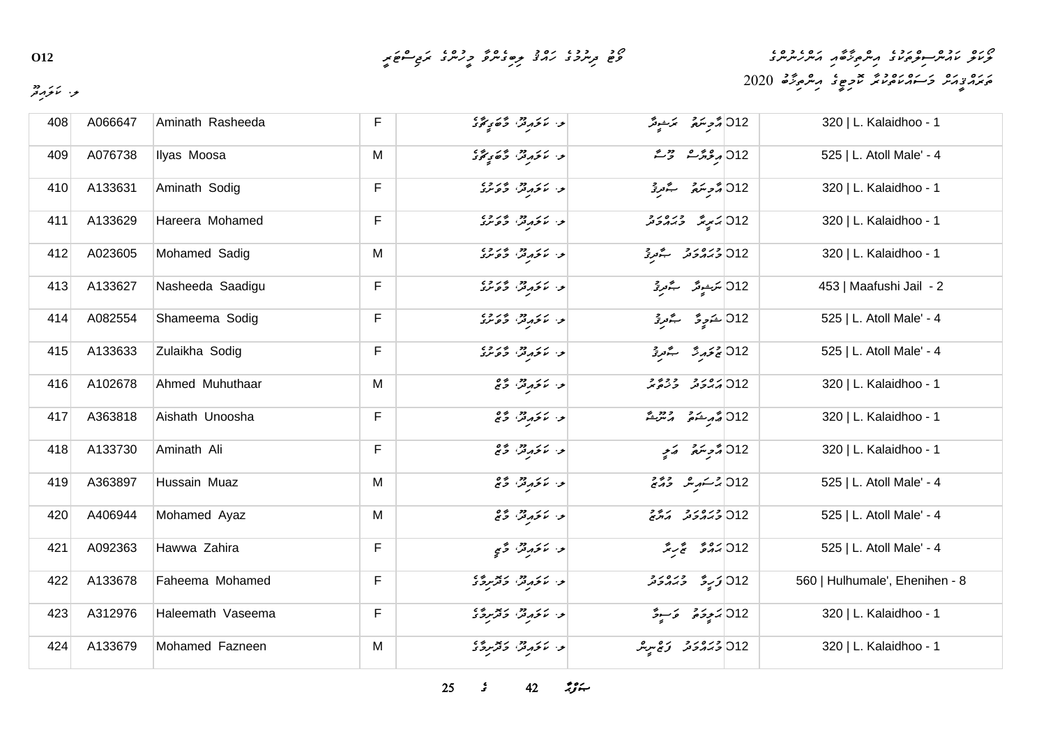*sCw7q7s5w7m< o<n9nOoAw7o< sCq;mAwBoEw7q<m; wBm;vB* م من المرة المرة المرة المرجع المرجع في المركبة 2020<br>مجم*د المريض المربوط المربع المرجع في المراجع المركبة* 

| ,,,,         |  |
|--------------|--|
| و• المرار تر |  |
|              |  |

| 408 | A066647 | Aminath Rasheeda  | $\mathsf{F}$ | و ، ئاڭروقر، دەئمى ئوق      | 012 مَّ حِسَمَۃ سَمَسِيقَہ                       | 320   L. Kalaidhoo - 1         |
|-----|---------|-------------------|--------------|-----------------------------|--------------------------------------------------|--------------------------------|
| 409 | A076738 | Ilyas Moosa       | M            | و ، مَوَمِنْ وُصَحِبَمُو    | 012م پروگر شہر حق                                | 525   L. Atoll Male' - 4       |
| 410 | A133631 | Aminath Sodig     | $\mathsf F$  | والأقهاش وواده              | 012 گەجە ئىكرچى ئىستىرچ                          | 320   L. Kalaidhoo - 1         |
| 411 | A133629 | Hareera Mohamed   | $\mathsf{F}$ | والأقهاش وتحالون            | 012 كىمبەنگە ئ <i>ۇنەڭ قە</i>                    | 320   L. Kalaidhoo - 1         |
| 412 | A023605 | Mohamed Sadig     | M            | والأقراري وكالروه           | 012 دېرورو جگورتی                                | 320   L. Kalaidhoo - 1         |
| 413 | A133627 | Nasheeda Saadigu  | $\mathsf F$  | و ، ئاقەتى ئەرەپ            | 012 مَرَسُومَّہ گے مرتج                          | 453   Maafushi Jail - 2        |
| 414 | A082554 | Shameema Sodig    | F            | و ، ئاقەتى ئەدە ،           | 012 ڪورگ سگورگر                                  | 525   L. Atoll Male' - 4       |
| 415 | A133633 | Zulaikha Sodig    | F            | و ، ئاقەتى ئەدە ،           | 012 كى <i>خەر</i> ئەسىر ئىستىر تەرىخ             | 525   L. Atoll Male' - 4       |
| 416 | A102678 | Ahmed Muhuthaar   | M            | و ، ئەقرىق دى               | 012 كەبرو قارقۇمۇ                                | 320   L. Kalaidhoo - 1         |
| 417 | A363818 | Aishath Unoosha   | $\mathsf{F}$ | و ، ئەقەرشى ئ               | 012 <sub>م</sub> ُّم <i>ِي شَهْرِ مُ</i> مُّرْتُ | 320   L. Kalaidhoo - 1         |
| 418 | A133730 | Aminath Ali       | $\mathsf F$  | و ، ئەقرىق دى               | 012 مٌ حِسَمَ مَعٍ                               | 320   L. Kalaidhoo - 1         |
| 419 | A363897 | Hussain Muaz      | M            | ى ئەترەرىش ۋە               | 012 برڪبر عرمي حي                                | 525   L. Atoll Male' - 4       |
| 420 | A406944 | Mohamed Ayaz      | M            | و ، ئەقرەتى 35              | 012 جەمھەر مەمگى                                 | 525   L. Atoll Male' - 4       |
| 421 | A092363 | Hawwa Zahira      | $\mathsf F$  | والأقرارين وحمي             | 012 ئەيمۇ ئىچ بىر                                | 525   L. Atoll Male' - 4       |
| 422 | A133678 | Faheema Mohamed   | F            | و ، ئاڭروقرا دېمرگړي        | 012 تۇرپۇ ئەممەم ئەر                             | 560   Hulhumale', Ehenihen - 8 |
| 423 | A312976 | Haleemath Vaseema | $\mathsf F$  | والأكرار وللمرور وللمرورة و | 012] بَرْجِرَة _ وَسِرِدًّ                       | 320   L. Kalaidhoo - 1         |
| 424 | A133679 | Mohamed Fazneen   | M            | و ، ئاڭروقر، ئەقرىردۇ ئ     | 012 ۇرۇۋۇ ئۇچمىرىلا                              | 320   L. Kalaidhoo - 1         |

 $25$  *s* **42** *n***<sub>3</sub> <b>***n*<sub>3</sub> *n*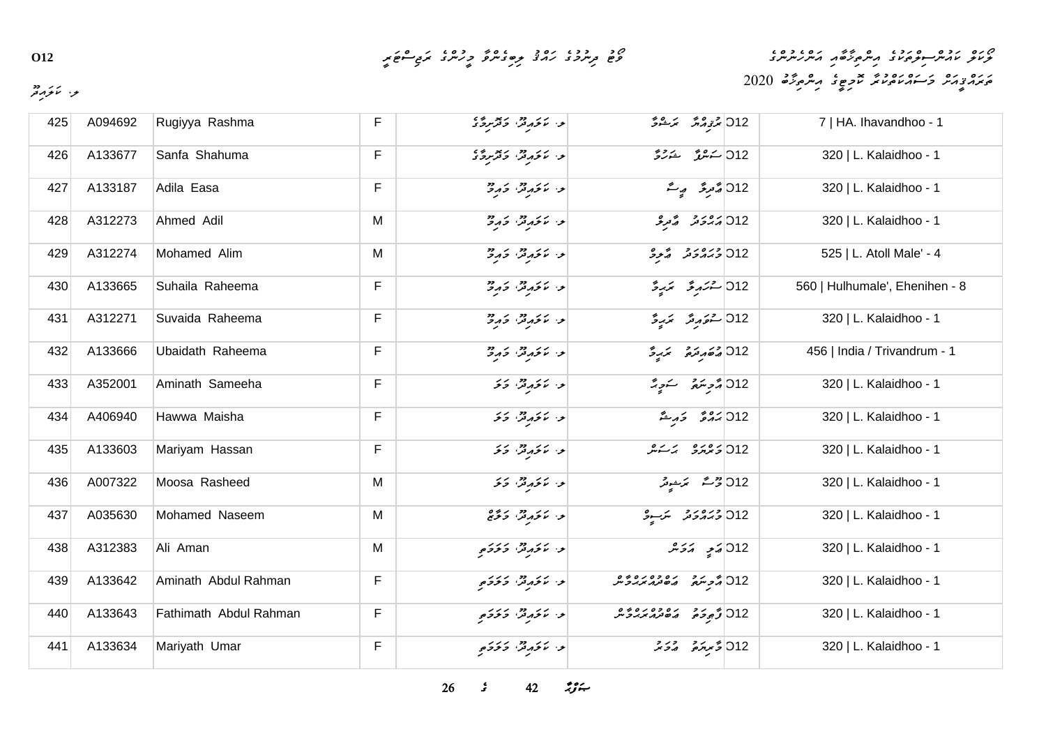*sCw7q7s5w7m< o<n9nOoAw7o< sCq;mAwBoEw7q<m; wBm;vB* م من المرة المرة المرة المرجع المرجع في المركبة 2020<br>مجم*د المريض المربوط المربع المرجع في المراجع المركبة* 

| $\overline{\phantom{a}}$ |  |
|--------------------------|--|
| ىر. ئاتومىز              |  |
|                          |  |

| 425 | A094692 | Rugiyya Rashma         | F            | و ، ئاڭروش كەترىردۇ ئ        | 012 <i>بڭ<sub>ۇ</sub>م</i> ىگە بەلسىمى       | 7   HA. Ihavandhoo - 1         |
|-----|---------|------------------------|--------------|------------------------------|----------------------------------------------|--------------------------------|
| 426 | A133677 | Sanfa Shahuma          | F            | و ، ئاڭروقر، ئەقرىردۇ ئ      | 012 سُمْرٌ شَرْرٌ                            | 320   L. Kalaidhoo - 1         |
| 427 | A133187 | Adila Easa             | $\mathsf{F}$ | و عَوَمِنْ وَمِنْ            | 012 مٌ مِرمَّۃ پہ بے                         | 320   L. Kalaidhoo - 1         |
| 428 | A312273 | Ahmed Adil             | M            | و ، ئاڭروق دارد              | 012 كەش <sup>ى</sup> كەنگە ئەربى             | 320   L. Kalaidhoo - 1         |
| 429 | A312274 | Mohamed Alim           | M            | والأقرارة وأرق               | 012 دېرونه گړو                               | 525   L. Atoll Male' - 4       |
| 430 | A133665 | Suhaila Raheema        | $\mathsf{F}$ | والأقرارة وأرق               | 012  س <i>ترتمب</i> ونژ تمری <sub>م</sub> وژ | 560   Hulhumale', Ehenihen - 8 |
| 431 | A312271 | Suvaida Raheema        | $\mathsf{F}$ | والأقرارة وردة               | 012 <i>ستوم</i> يتر بر <sub>يچ</sub> و       | 320   L. Kalaidhoo - 1         |
| 432 | A133666 | Ubaidath Raheema       | $\mathsf{F}$ | والأقرارة وأرق               | 012 <i>مەھەمەتمۇ تىرى</i> دۇ                 | 456   India / Trivandrum - 1   |
| 433 | A352001 | Aminath Sameeha        | $\mathsf{F}$ | و مكورتى 35                  | 012 گەجەتىقى سەجەتتە                         | 320   L. Kalaidhoo - 1         |
| 434 | A406940 | Hawwa Maisha           | F            | وا الأقراري الأنجار          | 012 كَمَدْهُمْ - كَامِسْةٌ -                 | 320   L. Kalaidhoo - 1         |
| 435 | A133603 | Mariyam Hassan         | $\mathsf{F}$ | وا الأقراري الأنجار          | 012 كەنگەنىڭ بەشكەنلەر                       | 320   L. Kalaidhoo - 1         |
| 436 | A007322 | Moosa Rasheed          | M            | ى ئەترەق 35                  | 012 جي مگر مئر مقر                           | 320   L. Kalaidhoo - 1         |
| 437 | A035630 | Mohamed Naseem         | M            | و ، ئاقەتى ئاقى              | 012  32.3 كى سَرَسِ بىر                      | 320   L. Kalaidhoo - 1         |
| 438 | A312383 | Ali Aman               | M            | و ، ئاڭرىق دۇدۇ.             | 012 كەير كەنزىش                              | 320   L. Kalaidhoo - 1         |
| 439 | A133642 | Aminath Abdul Rahman   | $\mathsf{F}$ | أوا لأقرارهما وكرونمو        | 012 مُوسَع مەھىرمىدى مە                      | 320   L. Kalaidhoo - 1         |
| 440 | A133643 | Fathimath Abdul Rahman | $\mathsf F$  | و ، ، دَرِيْنَ ، دَ دَوَهِ ، | 012 ژ <sub>جو</sub> زه مەمەرەبەر             | 320   L. Kalaidhoo - 1         |
| 441 | A133634 | Mariyath Umar          | F            | والأقراشي وكمروني            | 012 گەبىرىنى ھەدىمە                          | 320   L. Kalaidhoo - 1         |

 $26$  *s*  $42$  *z*  $2\frac{3}{5}$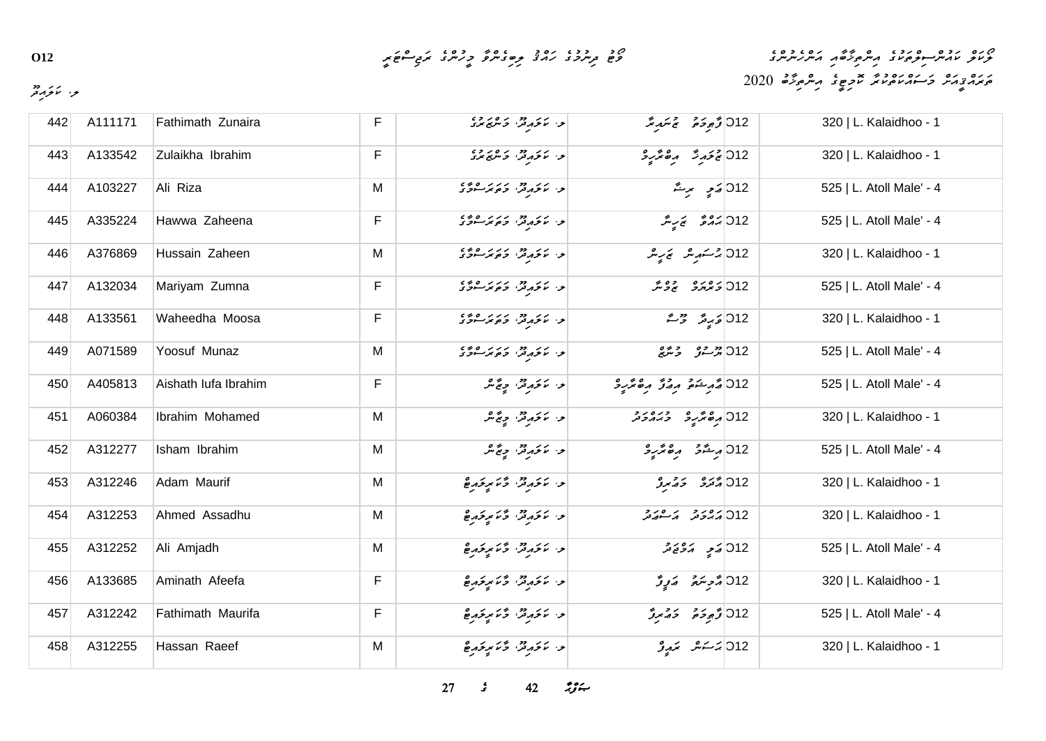*sCw7q7s5w7m< o<n9nOoAw7o< sCq;mAwBoEw7q<m; wBm;vB* م من المرة المرة المرة المرجع المرجع في المركبة 2020<br>مجم*د المريض المربوط المربع المرجع في المراجع المركبة* 

| י ככ        |  |
|-------------|--|
| و• المرار م |  |
|             |  |

| 442 | A111171 | Fathimath Zunaira    | F | و ، ئاڭروقر، ئاشى برى  | 012 وَجِوَدَهُ نَجْسَمِيدٌ                                | 320   L. Kalaidhoo - 1   |
|-----|---------|----------------------|---|------------------------|-----------------------------------------------------------|--------------------------|
| 443 | A133542 | Zulaikha Ibrahim     | F | والمتورقة كالروه       | 012 ت <sub>ح</sub> ورث <sub>ر</sub> مەمگرى <sub>د</sub> ى | 320   L. Kalaidhoo - 1   |
| 444 | A103227 | Ali Riza             | M | والمكرود المراد والمحا | 012  تەمچە موت                                            | 525   L. Atoll Male' - 4 |
| 445 | A335224 | Hawwa Zaheena        | F | و نائورتر، درس دور     | 012 ئەيمۇ ئىچ بەتتى                                       | 525   L. Atoll Male' - 4 |
| 446 | A376869 | Hussain Zaheen       | M | والمكرود المراد والمحا | 012 پرڪمبرنگر ڪي پنگر                                     | 320   L. Kalaidhoo - 1   |
| 447 | A132034 | Mariyam Zumna        | F | والمكروز الأرادان      | 012 كەبۇر ئەمەتىر                                         | 525   L. Atoll Male' - 4 |
| 448 | A133561 | Waheedha Moosa       | F | و ، ئەقەق دەرە ە       | 012  وَرِنَّز وَّرْحَ                                     | 320   L. Kalaidhoo - 1   |
| 449 | A071589 | Yoosuf Munaz         | M | والمكرود المراد والمحا | 012 تېرىشق ئەشقى                                          | 525   L. Atoll Male' - 4 |
| 450 | A405813 | Aishath lufa Ibrahim | F | و ، ئەقەق دېڭىر        | 012 مُدِينَةً دِمَرٌ دِهْتُرٍ وُ                          | 525   L. Atoll Male' - 4 |
| 451 | A060384 | Ibrahim Mohamed      | M | و ، ئەنگەنش چەنگ       | 012 مەھگرىي ئەممەمىر                                      | 320   L. Kalaidhoo - 1   |
| 452 | A312277 | Isham Ibrahim        | M | و ، ئۈرۈش جۇنىر        | 012 مِشَرْحَ مِرْهُ مَّرِدْ                               | 525   L. Atoll Male' - 4 |
| 453 | A312246 | Adam Maurif          | M | والأكرون كالمركروع     | 012 جۇنىۋە ئەجمەتلىرى                                     | 320   L. Kalaidhoo - 1   |
| 454 | A312253 | Ahmed Assadhu        | M | والأكراري كالمركروع    | 012 كەبرى كەرگە كەشلەر                                    | 320   L. Kalaidhoo - 1   |
| 455 | A312252 | Ali Amjadh           | M | و ، ئاڭروش دىكى بورگو  | 012 كەير كەۋەتكە                                          | 525   L. Atoll Male' - 4 |
| 456 | A133685 | Aminath Afeefa       | F | والأكرون كالمركروع     | 012 مٌ <i>جِسَعْه - مَرِي</i> رَّ                         | 320   L. Kalaidhoo - 1   |
| 457 | A312242 | Fathimath Maurifa    | F | و ، ئاڭرىق دىكىرىگە ھ  | 012 <i>وُّجِوَة وَم</i> ُ <i>بِروُّ</i>                   | 525   L. Atoll Male' - 4 |
| 458 | A312255 | Hassan Raeef         | M | والأكراري كالمركروع    | 012 ترىكى ترىرى                                           | 320   L. Kalaidhoo - 1   |

 $27$  *s*  $42$  *z***<sub>3</sub>**  $\frac{2}{3}$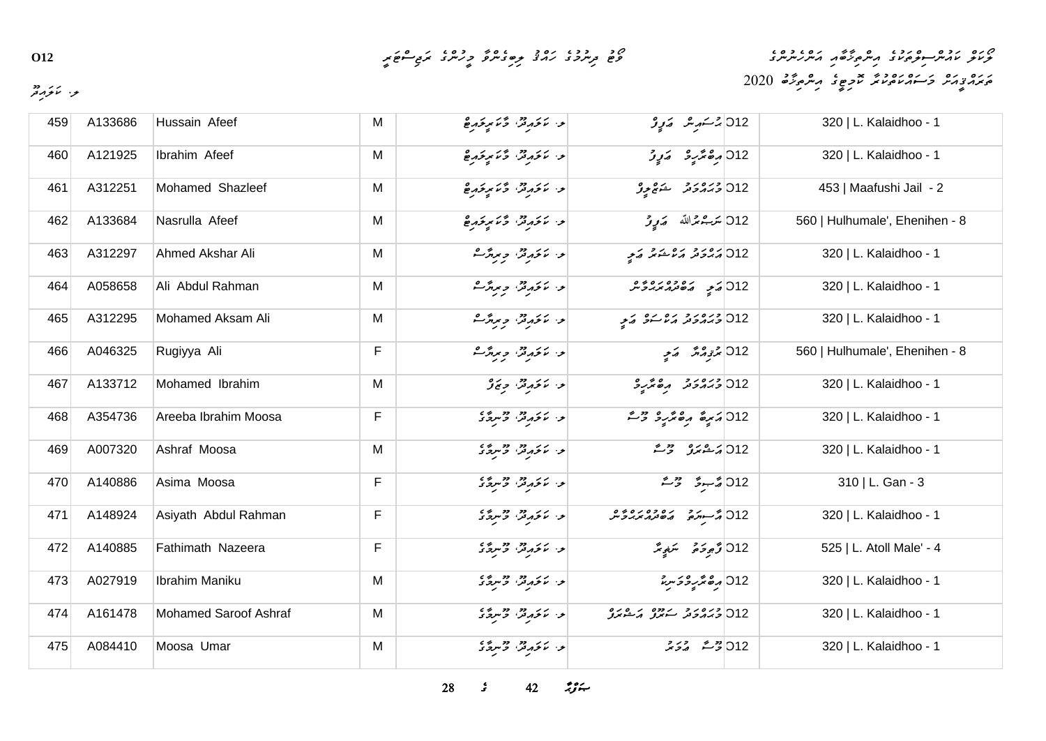*sCw7q7s5w7m< o<n9nOoAw7o< sCq;mAwBoEw7q<m; wBm;vB* م من المرة المرة المرة المرجع المرجع في المركبة 2020<br>مجم*د المريض المربوط المربع المرجع في المراجع المركبة* 

| 459 | A133686 | Hussain Afeef                | M           | و ، ئەكرىق دىكىر كروم        | 012  جُسَم بِرْ - مَرْدٍ وْ                      | 320   L. Kalaidhoo - 1         |
|-----|---------|------------------------------|-------------|------------------------------|--------------------------------------------------|--------------------------------|
| 460 | A121925 | Ibrahim Afeef                | M           | و ، ئەقرىق دىئىر قرىرى       | 012 <sub>م</sub> ەنگەر <i>5 مۇ</i> رۇ            | 320   L. Kalaidhoo - 1         |
| 461 | A312251 | Mohamed Shazleef             | M           | و ، مَوَرِثْرُ وَمَعِرْوَرِ، | 012 دېم دېمر د شتم دو                            | 453   Maafushi Jail - 2        |
| 462 | A133684 | Nasrulla Afeef               | M           | و ، ئاقرىقى دىم برۇرغ        | 012 <i>سَرْ- ج</i> ُرَاللّه <i>مَرْوِقْ</i>      | 560   Hulhumale', Ehenihen - 8 |
| 463 | A312297 | Ahmed Akshar Ali             | M           | و ، ئاڭرونق دېروگ            | 012   كەبرى قرار كەبىر كەبچە                     | 320   L. Kalaidhoo - 1         |
| 464 | A058658 | Ali Abdul Rahman             | M           | و ، ئاڭرونق دېروگ            | 012 كەبىر كەھەرمەر ئەھر                          | 320   L. Kalaidhoo - 1         |
| 465 | A312295 | <b>Mohamed Aksam Ali</b>     | M           | و ، ئاڭرونق دېروگ            | 012 ديروبرو برە ئىبى كەبى                        | 320   L. Kalaidhoo - 1         |
| 466 | A046325 | Rugiyya Ali                  | F           | و ، ئاڭرونق دېروگ            | 012 <i>برت<sub>و</sub> ۾ پڙھي</i> جو پير         | 560   Hulhumale', Ehenihen - 8 |
| 467 | A133712 | Mohamed Ibrahim              | M           | و ، ئاقەتى دېڭ               | 012 دُبَرْدُونْ مِعْبُرِدْ                       | 320   L. Kalaidhoo - 1         |
| 468 | A354736 | Areeba Ibrahim Moosa         | F           | و کورن و دو                  | 012 كەبىرى مەھەر بولى 2.5                        | 320   L. Kalaidhoo - 1         |
| 469 | A007320 | Ashraf Moosa                 | M           | و ، ئاڭروقر، ۋىردۇ ئ         | 012 كەشكەر قەشقە                                 | 320   L. Kalaidhoo - 1         |
| 470 | A140886 | Asima Moosa                  | F           | و نائورو ورود                | 012 هُ سِرَةٌ وَ"سَدَّ                           | 310   L. Gan - 3               |
| 471 | A148924 | Asiyath Abdul Rahman         | $\mathsf F$ | و ، ئاڭرونى ئۇسرى            |                                                  | 320   L. Kalaidhoo - 1         |
| 472 | A140885 | Fathimath Nazeera            | F           | و ، ئاڭرىق 3 مرد د           | 012 <i>ؤُهِ دَءُ</i> سَم <i>ٰدٍ مَّ</i>          | 525   L. Atoll Male' - 4       |
| 473 | A027919 | Ibrahim Maniku               | M           | و ، ئاڭروقر، دىسردى          | 012 <sub>مو</sub> ڭ ئ <sup>ۇ</sup> ر بىر بىر ئىس | 320   L. Kalaidhoo - 1         |
| 474 | A161478 | <b>Mohamed Saroof Ashraf</b> | M           | أوالأكرادي وحميرة والمحا     | 012 درورد سے پرو پرے پرو                         | 320   L. Kalaidhoo - 1         |
| 475 | A084410 | Moosa Umar                   | M           | و ، ئاڭرىق 3 سرد د           | $752$ $23$ 012                                   | 320   L. Kalaidhoo - 1         |

 $28$  *s* **42** *n***<sub>s</sub>***n***<sub>s</sub>**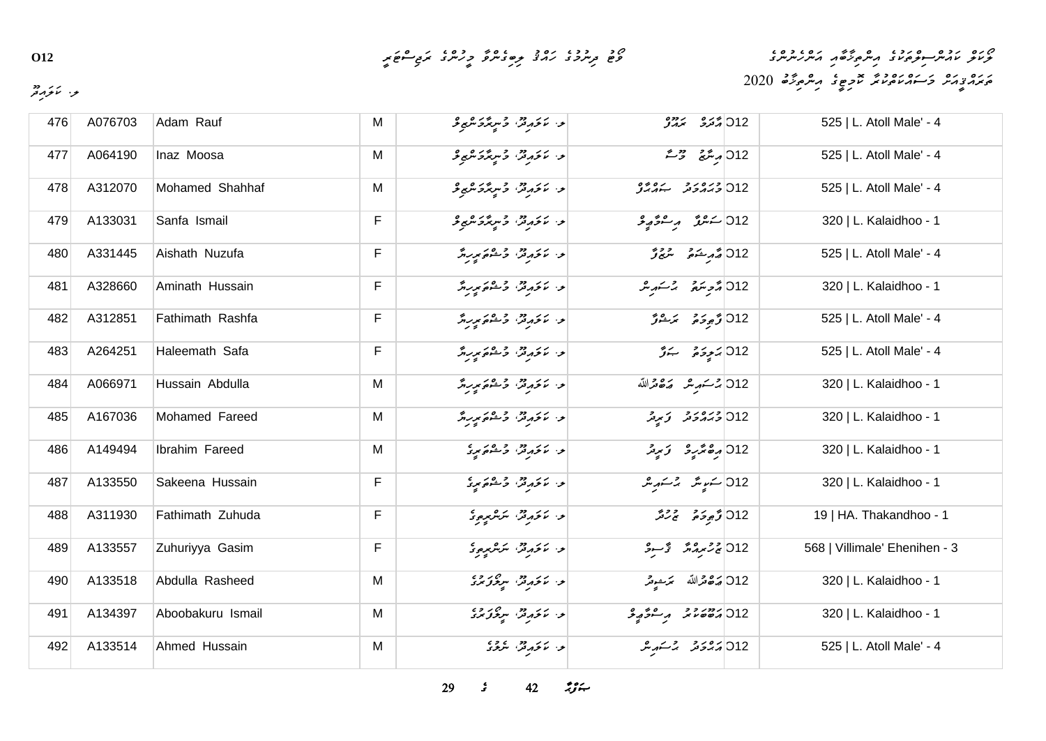*sCw7q7s5w7m< o<n9nOoAw7o< sCq;mAwBoEw7q<m; wBm;vB* م من المرة المرة المرة المرجع المرجع في المركبة 2020<br>مجم*د المريض المربوط المربع المرجع في المراجع المركبة* 

| 476 | A076703 | Adam Rauf         | M           | د ، ئەكەرتى كەس كەنگەنى ئ   | 012 گەنىۋە ئىردە بو                            | 525   L. Atoll Male' - 4      |
|-----|---------|-------------------|-------------|-----------------------------|------------------------------------------------|-------------------------------|
| 477 | A064190 | Inaz Moosa        | M           | و ، ئەكەرلا، كەسپەگەنگەنجەن | 012 مبرنىنج قرحتم                              | 525   L. Atoll Male' - 4      |
| 478 | A312070 | Mohamed Shahhaf   | M           | و ، ئەكەرلىق كەسپگەكلىرى    | 012 دېږورو په ۱۹۶۰ کل                          | 525   L. Atoll Male' - 4      |
| 479 | A133031 | Sanfa Ismail      | F           | أوا الأكراري وسرتركر ترياكو | 012 سَمْنَزَ مِسْتَرَمٍ فِرْ                   | 320   L. Kalaidhoo - 1        |
| 480 | A331445 | Aishath Nuzufa    | F           | و ، ئاكەرنى كەشھېرىد        | 012 مۇم شىم ئىسى ئى                            | 525   L. Atoll Male' - 4      |
| 481 | A328660 | Aminath Hussain   | F           | و ، ئاكەرلار، ئاھمۇمرىرىگ   | 012 مٌ <i>وِ سَمَعُ بِهُ شَهْرِ مُ</i> رُ      | 320   L. Kalaidhoo - 1        |
| 482 | A312851 | Fathimath Rashfa  | F           | و ، ئاكەرلار، ئاھمۇمرىرىگ   | 012 زَّجِرَةَ مَرَسْرَتَرَ                     | 525   L. Atoll Male' - 4      |
| 483 | A264251 | Haleemath Safa    | F           | و ، ئەكەنى ئاسلام برىد      | 012 كەردە ئەق                                  | 525   L. Atoll Male' - 4      |
| 484 | A066971 | Hussain Abdulla   | M           | و ، ئەكەنى ئاسلامبرىد       | 012 تر <i>شهر شهر مق</i> ائله                  | 320   L. Kalaidhoo - 1        |
| 485 | A167036 | Mohamed Fareed    | M           | و نكورتر، وشهورتر           | 012 دېمگە دىگە ئەرىتر                          | 320   L. Kalaidhoo - 1        |
| 486 | A149494 | Ibrahim Fareed    | M           | والأقرار ووالمحاضرين        | 012 مەھ ئۇر قىم يىتىلى                         | 320   L. Kalaidhoo - 1        |
| 487 | A133550 | Sakeena Hussain   | F           | و ، ئاڭەق قىشقىرى           | 012  سىرىش - يرسىرىش                           | 320   L. Kalaidhoo - 1        |
| 488 | A311930 | Fathimath Zuhuda  | $\mathsf F$ | و ، ئاڭروقرا سكىرىنى ئ      | 012 گ <sub>ۇ</sub> چەققى ئ <sub>ى تە</sub> مگە | 19   HA. Thakandhoo - 1       |
| 489 | A133557 | Zuhuriyya Gasim   | F           | و ، ئاڭروش سەھرىي ئ         | 012 ىزىر مۇرگە ئۇسىۋ                           | 568   Villimale' Ehenihen - 3 |
| 490 | A133518 | Abdulla Rasheed   | M           | و ، ئاڭروقرا سرگەردە        |                                                | 320   L. Kalaidhoo - 1        |
| 491 | A134397 | Aboobakuru Ismail | M           | و ، ئاڭەرتى سرگەردە         | 012 كەھۋەتتىر بەيدىقلۇم بىر                    | 320   L. Kalaidhoo - 1        |
| 492 | A133514 | Ahmed Hussain     | M           | و ، ئەقەقۇ، ئىروي           | 012   كەبرى ئەسىمبە ئىر بىر                    | 525   L. Atoll Male' - 4      |

*r@o<mBm; .B*

*29 sC 42 nNw?mS*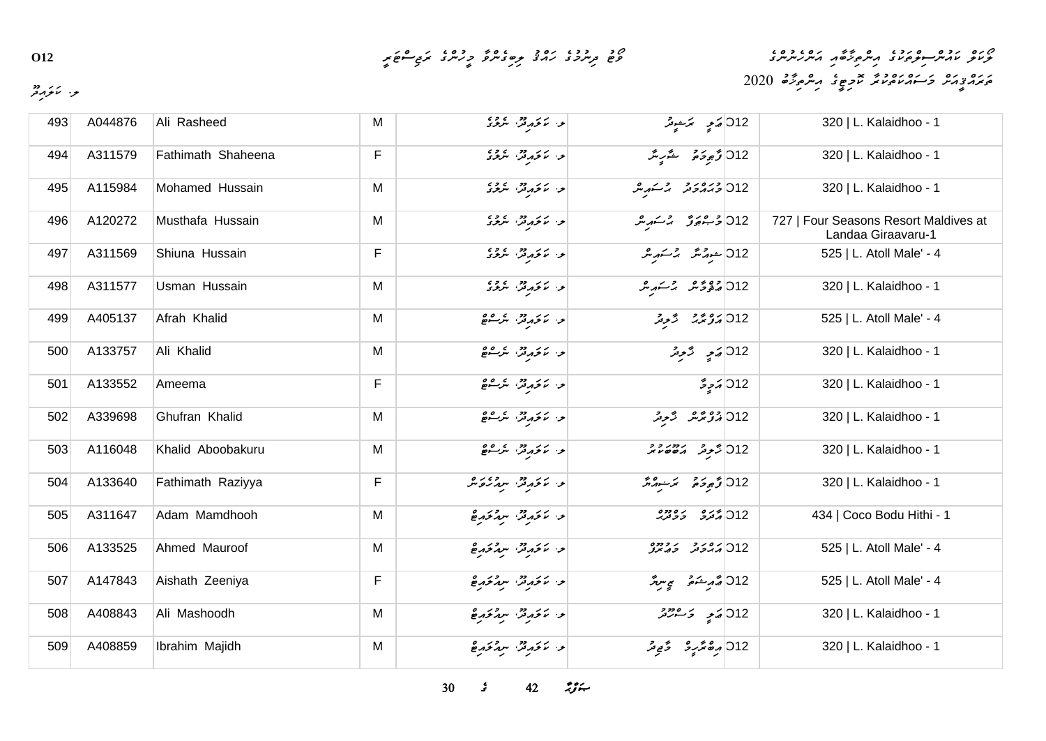*sCw7q7s5w7m< o<n9nOoAw7o< sCq;mAwBoEw7q<m; wBm;vB* م من المرة المرة المرة المرجع المرجع في المركبة 2020<br>مجم*د المريض المربوط المربع المرجع في المراجع المركبة* 

| י ככ     |  |
|----------|--|
| و . مورم |  |
|          |  |

| 493 | A044876 | Ali Rasheed        | M            | و ، ئاقەقۇ، ئىروي     | 012  مَرِمٍ - مَرْشِيْتَر               | 320   L. Kalaidhoo - 1                                      |
|-----|---------|--------------------|--------------|-----------------------|-----------------------------------------|-------------------------------------------------------------|
| 494 | A311579 | Fathimath Shaheena | F            | و ، ئاقەقۇ، ئىروي     | 012 زَّەپرىق شَىرِىتَر                  | 320   L. Kalaidhoo - 1                                      |
| 495 | A115984 | Mohamed Hussain    | M            | والأقراري الروا       | 012 <i>ۋېزودىق بى</i> شمەش              | 320   L. Kalaidhoo - 1                                      |
| 496 | A120272 | Musthafa Hussain   | M            | والأقرارة للمروء      | 012 ۇببۇق برىشمەش                       | 727   Four Seasons Resort Maldives at<br>Landaa Giraavaru-1 |
| 497 | A311569 | Shiuna Hussain     | $\mathsf F$  | والأقراري الروا       | 012 جوړنگر کرکسمبرنگر                   | 525   L. Atoll Male' - 4                                    |
| 498 | A311577 | Usman Hussain      | M            | والممكوماتي الروي     | 012 مەۋرىس بىر ئىسرىس                   | 320   L. Kalaidhoo - 1                                      |
| 499 | A405137 | Afrah Khalid       | M            | والأقراري الرسق       | 012 كەۋىتى ئىچىتر                       | 525   L. Atoll Male' - 4                                    |
| 500 | A133757 | Ali Khalid         | M            | و ، ئەقرەتى، ئارىق    | 012 کھ گھونڈ                            | 320   L. Kalaidhoo - 1                                      |
| 501 | A133552 | Ameema             | $\mathsf{F}$ | والمتورش الرسطي       | 012 كەرى                                | 320   L. Kalaidhoo - 1                                      |
| 502 | A339698 | Ghufran Khalid     | M            | و ، ئەقرىرى شرىقى     | 012 نۇترىش ئۇمۇر                        | 320   L. Kalaidhoo - 1                                      |
| 503 | A116048 | Khalid Aboobakuru  | M            | و ، ئەنزەقر، ئىرسىۋە  | 012 تَرْمِعْرُ م <i>ُنْھُوْمِ</i> مُرْ  | 320   L. Kalaidhoo - 1                                      |
| 504 | A133640 | Fathimath Raziyya  | $\mathsf F$  | و ، ئاڭروقر، سرمرىك ش | 012 ۇ <sub>ج</sub> وڭ ئرىنى <i>مە</i> ر | 320   L. Kalaidhoo - 1                                      |
| 505 | A311647 | Adam Mamdhooh      | M            | و ، ئاڭروقر، سرگرونغ  | 012 مُمَرَّدُ وَوَمَّدِي                | 434   Coco Bodu Hithi - 1                                   |
| 506 | A133525 | Ahmed Mauroof      | M            | و ، ئاڭروقر، سرگرونغ  | 012 كەمرو بەدە 35.                      | 525   L. Atoll Male' - 4                                    |
| 507 | A147843 | Aishath Zeeniya    | $\mathsf F$  | و ، ئاڭروقر، سرگرونغ  | 012 <i>۾ مرشم ۽ سرمڙ</i>                | 525   L. Atoll Male' - 4                                    |
| 508 | A408843 | Ali Mashoodh       | M            | و ، ئاڭروش سرگرمۇ     | 012 كەبىر كەشقە                         | 320   L. Kalaidhoo - 1                                      |
| 509 | A408859 | Ibrahim Majidh     | M            | و ، ئاڭروقر، سرگرونغ  | 012 مەھ ئىر ئىم ئىق ئىق                 | 320   L. Kalaidhoo - 1                                      |

**30** *s* **42** *nS*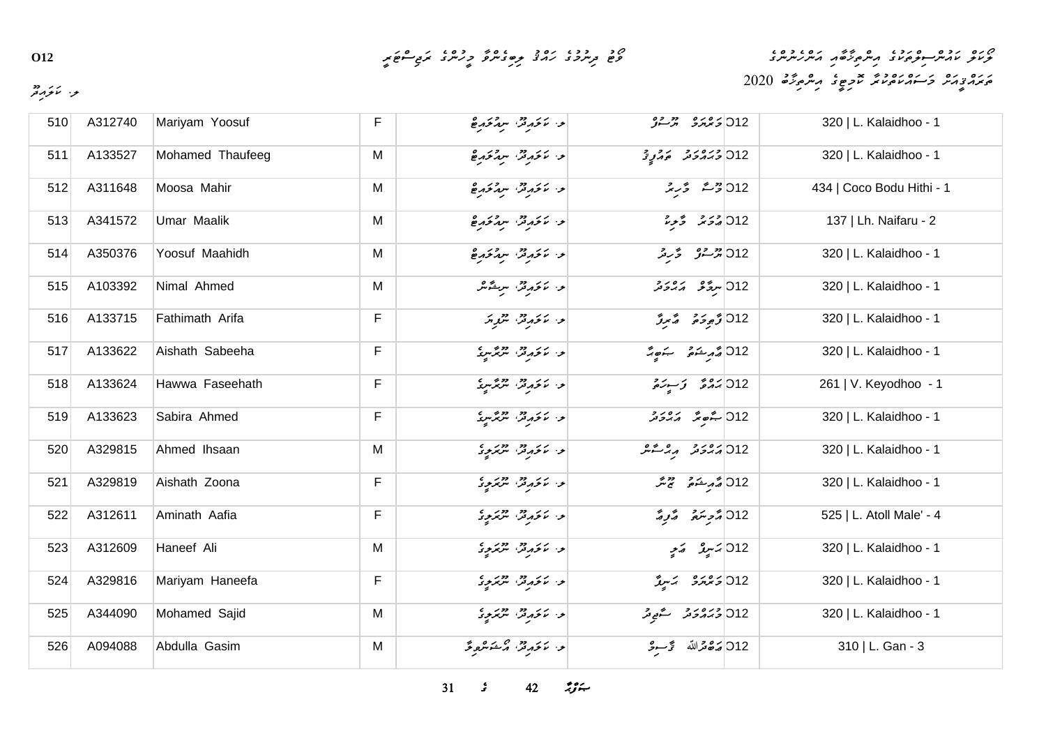*sCw7q7s5w7m< o<n9nOoAw7o< sCq;mAwBoEw7q<m; wBm;vB* م من المرة المرة المرة المرجع المرجع في المركبة 2020<br>مجم*د المريض المربوط المربع المرجع في المراجع المركبة* 

| $\overline{\phantom{a}}$ |  |  |
|--------------------------|--|--|
| ىو. سورىر                |  |  |

| 510 | A312740 | Mariyam Yoosuf     | $\mathsf F$ | و ، ئاڭروش سرگرمى        | 012 كەبەر بۇر بۇر                  | 320   L. Kalaidhoo - 1    |
|-----|---------|--------------------|-------------|--------------------------|------------------------------------|---------------------------|
| 511 | A133527 | Mohamed Thaufeeg   | M           | و كورش سركرمو            | 012 <i>\$بەممۇرى مەممۇرى</i>       | 320   L. Kalaidhoo - 1    |
| 512 | A311648 | Moosa Mahir        | M           | و ، ئاكرون سركروغ        | $2.52$ $2.3012$                    | 434   Coco Bodu Hithi - 1 |
| 513 | A341572 | <b>Umar Maalik</b> | M           | والأكروج البرقرارة       | 012ھ تحریفہ گھورتم                 | 137   Lh. Naifaru - 2     |
| 514 | A350376 | Yoosuf Maahidh     | M           | و ، مَوَرِسٌ سِمْ وَرِمِ | 012 بۇستۇ ئېرىتى                   | 320   L. Kalaidhoo - 1    |
| 515 | A103392 | Nimal Ahmed        | M           | ى ئەكرىرى سىشكىر         | 012 س <i>بۇ ئىم ئەرەت</i> ر        | 320   L. Kalaidhoo - 1    |
| 516 | A133715 | Fathimath Arifa    | F           | والأقرار فتحريكم         | 012 <i>وُّجِوَءُ – مُ</i> سِرَّ    | 320   L. Kalaidhoo - 1    |
| 517 | A133622 | Aishath Sabeeha    | $\mathsf F$ | و. ئاڭروقر، ئىرگەنىرى    | 012 مۇم شكۇ بىك بىر                | 320   L. Kalaidhoo - 1    |
| 518 | A133624 | Hawwa Faseehath    | $\mathsf F$ | و ، ئاقرىرى ، شرشىرى     | 012   يَرْدُوَّ كَرَسِيَرَيْمُوْ   | 261   V. Keyodhoo - 1     |
| 519 | A133623 | Sabira Ahmed       | F           | و ، ئاڭروقر، ئىرتگەرى    | 012 جنوعد وبردند                   | 320   L. Kalaidhoo - 1    |
| 520 | A329815 | Ahmed Ihsaan       | M           | والأقرارة التركزوة       | 012 كەبرى قىر مەرشىشىر             | 320   L. Kalaidhoo - 1    |
| 521 | A329819 | Aishath Zoona      | F           | و ، ئاڭرىق شرىرى         | 012 ۾ په شمق هي تي                 | 320   L. Kalaidhoo - 1    |
| 522 | A312611 | Aminath Aafia      | F           | والأقرارة التركزوي       | 012 مَّ <i>جِسَعْه مَّ بِ</i> مََّ | 525   L. Atoll Male' - 4  |
| 523 | A312609 | Haneef Ali         | M           | والأقرارة التركزوي       | 012 ترسو - مَرِ -                  | 320   L. Kalaidhoo - 1    |
| 524 | A329816 | Mariyam Haneefa    | F           | و ، ئاڭرىق شرىر دى       | 012 كەنگەر ئەرىگە                  | 320   L. Kalaidhoo - 1    |
| 525 | A344090 | Mohamed Sajid      | M           | والأقرارة التركزوي       | 012 دېمگە دىگە ئىستەر              | 320   L. Kalaidhoo - 1    |
| 526 | A094088 | Abdulla Gasim      | M           | و ، ئاقەق ، مۇشەھرىگە    | 012 كەڭداللە گەسىۋ                 | 310   L. Gan - 3          |

 $31$  *s*  $42$  *n***<sub>s</sub>**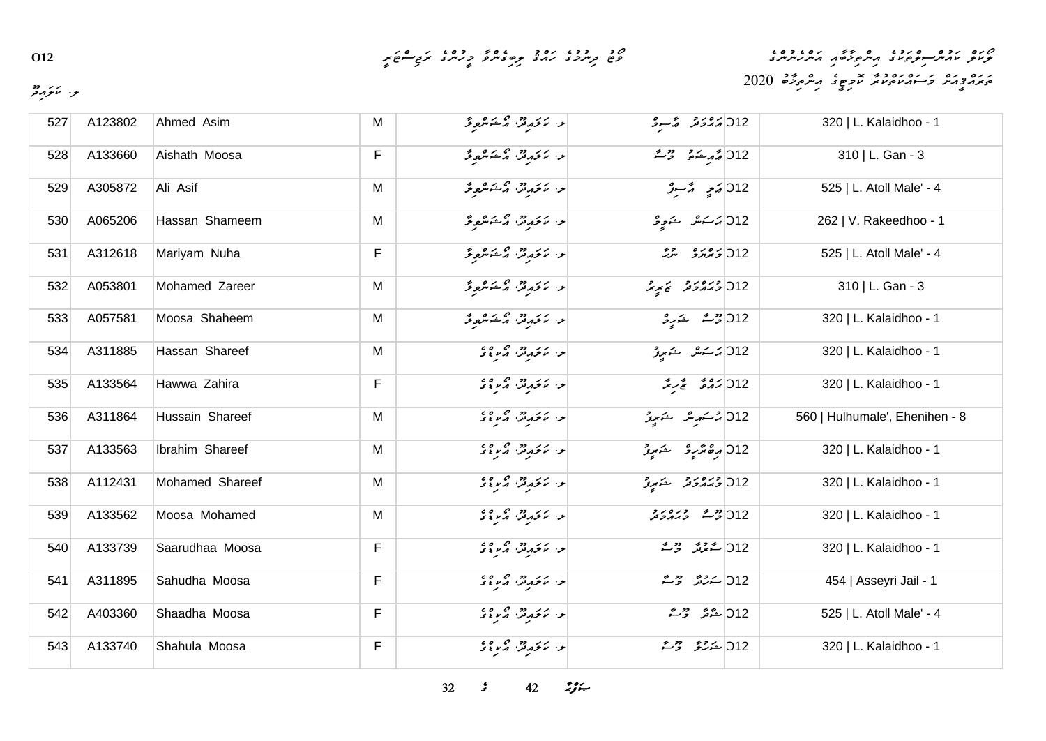*sCw7q7s5w7m< o<n9nOoAw7o< sCq;mAwBoEw7q<m; wBm;vB* م من المرة المرة المرة المرجع المرجع في المركبة 2020<br>مجم*د المريض المربوط المربع المرجع في المراجع المركبة* 

| י ככ     |  |
|----------|--|
| ىق سەھەم |  |
|          |  |

| 527 | A123802 | Ahmed Asim      | M | و ، ئەقەرشى ، ئەشكىرى ق | 012 كەندۇقىر كەسىرى          | 320   L. Kalaidhoo - 1         |
|-----|---------|-----------------|---|-------------------------|------------------------------|--------------------------------|
| 528 | A133660 | Aishath Moosa   | F | و ، ئەقەرتى ، كەشكەھوق  | 012 مۇم شەھرەت تۆگ           | 310   L. Gan - 3               |
| 529 | A305872 | Ali Asif        | M | و ، ئەقەرتى ، كەشكەھ گ  | 012ھ پر مگسور                | 525   L. Atoll Male' - 4       |
| 530 | A065206 | Hassan Shameem  | M | و. ئۇرۇش كەشكىرۇ        | 012 كەشكەر خەمەبى            | 262   V. Rakeedhoo - 1         |
| 531 | A312618 | Mariyam Nuha    | F | و ، ئاقەق ، ئەشكەھ ق    | 012 دَ بَرْدَ دَ سَرَرَّ     | 525   L. Atoll Male' - 4       |
| 532 | A053801 | Mohamed Zareer  | M | و ، ئەقەرتى ، كەشكەھ گ  | 012 <i>\$نەۋەقى تەيرى</i> گە | 310   L. Gan - 3               |
| 533 | A057581 | Moosa Shaheem   | M | و. ئەكرىرى كەشكىرىگە    | 012 جنگ ڪريرو                | 320   L. Kalaidhoo - 1         |
| 534 | A311885 | Hassan Shareef  | M | والأقرارص والمعالمي     | 012 كەستەش خۇمبوتر           | 320   L. Kalaidhoo - 1         |
| 535 | A133564 | Hawwa Zahira    | F | والأقرارص والمعالمي     | 012 ئەيمۇ ئىچ رىتى           | 320   L. Kalaidhoo - 1         |
| 536 | A311864 | Hussain Shareef | M | والأقرار والملاء        | 012 پرڪيريش ڪيور             | 560   Hulhumale', Ehenihen - 8 |
| 537 | A133563 | Ibrahim Shareef | M | والأقرارص والمعالمي     | 012 مەھەر بۇ ھەمرۇ           | 320   L. Kalaidhoo - 1         |
| 538 | A112431 | Mohamed Shareef | M | و ، ئەقرىق، مايولا      | 012 دُبَرْدْدَتْر شَمِيزْ    | 320   L. Kalaidhoo - 1         |
| 539 | A133562 | Moosa Mohamed   | M | والأقهق مهاوي           | 012 ۾ جي مقامت               | 320   L. Kalaidhoo - 1         |
| 540 | A133739 | Saarudhaa Moosa | F | والأقرار ودام والمحافي  | $23$ مَحْمَدُ 22 $\sim$ 012  | 320   L. Kalaidhoo - 1         |
| 541 | A311895 | Sahudha Moosa   | F | والأقرار ودام والمحافي  | $23$ $-22$ $-$ 012           | 454   Asseyri Jail - 1         |
| 542 | A403360 | Shaadha Moosa   | F | والأقراري أراءى         | $2\degree$ ڪَنَر $\degree$ ڪ | 525   L. Atoll Male' - 4       |
| 543 | A133740 | Shahula Moosa   | F | و ، ئەقرىقى كەرەپى      | $23$ $22$ $\approx$ 012      | 320   L. Kalaidhoo - 1         |

**32** *s* **42** *n***<sub>s</sub>***n***<sub>s</sub>**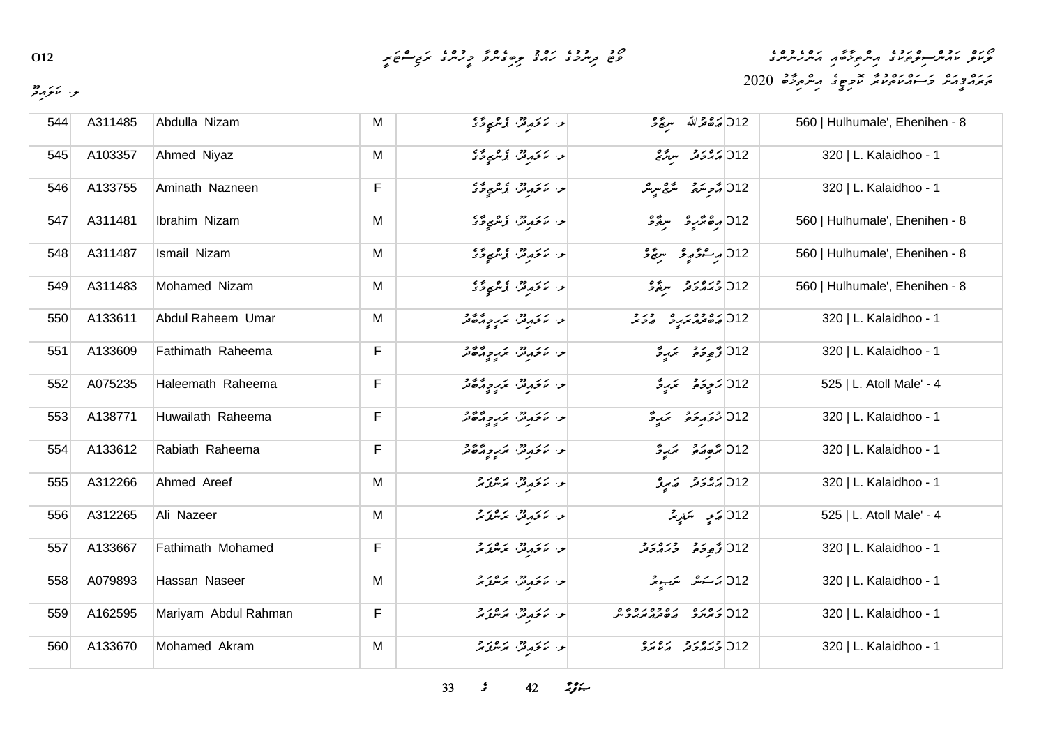*sCw7q7s5w7m< o<n9nOoAw7o< sCq;mAwBoEw7q<m; wBm;vB* م من المرة المرة المرة المرجع المرجع في المركبة 2020<br>مجم*د المريض المربوط المربع المرجع في المراجع المركبة* 

| י ככ    |  |
|---------|--|
| ىق سومى |  |

| 544 | A311485 | Abdulla Nizam        | M           | و ، ئاڭرىق ئۇشپەردۇ          | 012 <i>مَدَّة مَّ</i> رَاللَّهُ م <i>َّسِمَّ</i> حَ | 560   Hulhumale', Ehenihen - 8 |
|-----|---------|----------------------|-------------|------------------------------|-----------------------------------------------------|--------------------------------|
| 545 | A103357 | Ahmed Niyaz          | M           | و. ئاڭرونۇ، ئۇشپۇرۇ          | 012 كەشكەتقى سىترىنى                                | 320   L. Kalaidhoo - 1         |
| 546 | A133755 | Aminath Nazneen      | $\mathsf F$ | و ، ئەقەرشى ، ئەشرى قەتم     | 012 مُّ حِسَمُ مِّسْمَّى سِرْ مَّرْ                 | 320   L. Kalaidhoo - 1         |
| 547 | A311481 | Ibrahim Nizam        | M           | و. ئاڭروش ۋىھى ئ             | 012 مەھمگىر ئىس سىمگە                               | 560   Hulhumale', Ehenihen - 8 |
| 548 | A311487 | Ismail Nizam         | M           | و. ئاڭروش، ۋىرىپە دى         | 012 م گۇمۇ سېڭى                                     | 560   Hulhumale', Ehenihen - 8 |
| 549 | A311483 | Mohamed Nizam        | M           | أوا الأقراش وتكريج والمحالي  | 012 جەمھ بىر سىنگە                                  | 560   Hulhumale', Ehenihen - 8 |
| 550 | A133611 | Abdul Raheem Umar    | M           | و ، مَوَرِسٌ مَدِ وَ مُصَوَّ | 012 كەھىر كەير قەر مەدىر                            | 320   L. Kalaidhoo - 1         |
| 551 | A133609 | Fathimath Raheema    | F           | و ، ئاكرارو ، ئارچارەتر      | 012 <i>ؤُ<sub>ّج</sub>وَءُ</i> تَرَبِّرً            | 320   L. Kalaidhoo - 1         |
| 552 | A075235 | Haleemath Raheema    | $\mathsf F$ | و ، مَوَرِسٌ مَدِ وَ مُصَوَّ | 012 <i>بَرْجِرَة تَرَبِ</i> رَّ                     | 525   L. Atoll Male' - 4       |
| 553 | A138771 | Huwailath Raheema    | F           | و ، ئاكروژ، ئرىردورەتر       | 012 <i>جُوَم وَجُوتْهِ - مَدْيِ</i> رَةُ-           | 320   L. Kalaidhoo - 1         |
| 554 | A133612 | Rabiath Raheema      | $\mathsf F$ | و ، مَوَرِقْ مَدِ وَ مُصْرَ  | 012 <i>بَنْھەمَۃ</i> بَرَبِرَةً                     | 320   L. Kalaidhoo - 1         |
| 555 | A312266 | Ahmed Areef          | M           | والأقهاش بملائم              | 012 كەنزى كەر كەر                                   | 320   L. Kalaidhoo - 1         |
| 556 | A312265 | Ali Nazeer           | M           | والأقهاش بمالكة بما          | 012   مَرِ سَنَدِيْر                                | 525   L. Atoll Male' - 4       |
| 557 | A133667 | Fathimath Mohamed    | $\mathsf F$ | والأقهاش بملائم              | 012 ۇ <sub>ج</sub> وڭ ئەرەپەتر                      | 320   L. Kalaidhoo - 1         |
| 558 | A079893 | Hassan Naseer        | M           | أوا الأقراري الأسمار و       | 012 كەستەش - ئەسبەتى                                | 320   L. Kalaidhoo - 1         |
| 559 | A162595 | Mariyam Abdul Rahman | $\mathsf F$ | و ، ئاقەتق بۇرەر د           | 012 كومروم مەمەمەر مەم                              | 320   L. Kalaidhoo - 1         |
| 560 | A133670 | Mohamed Akram        | M           | والأقراري لامرور             | 012 دېم دېم د پره بره ک                             | 320   L. Kalaidhoo - 1         |

**33** *s* **42** *z*<sub>*s*</sub> *z*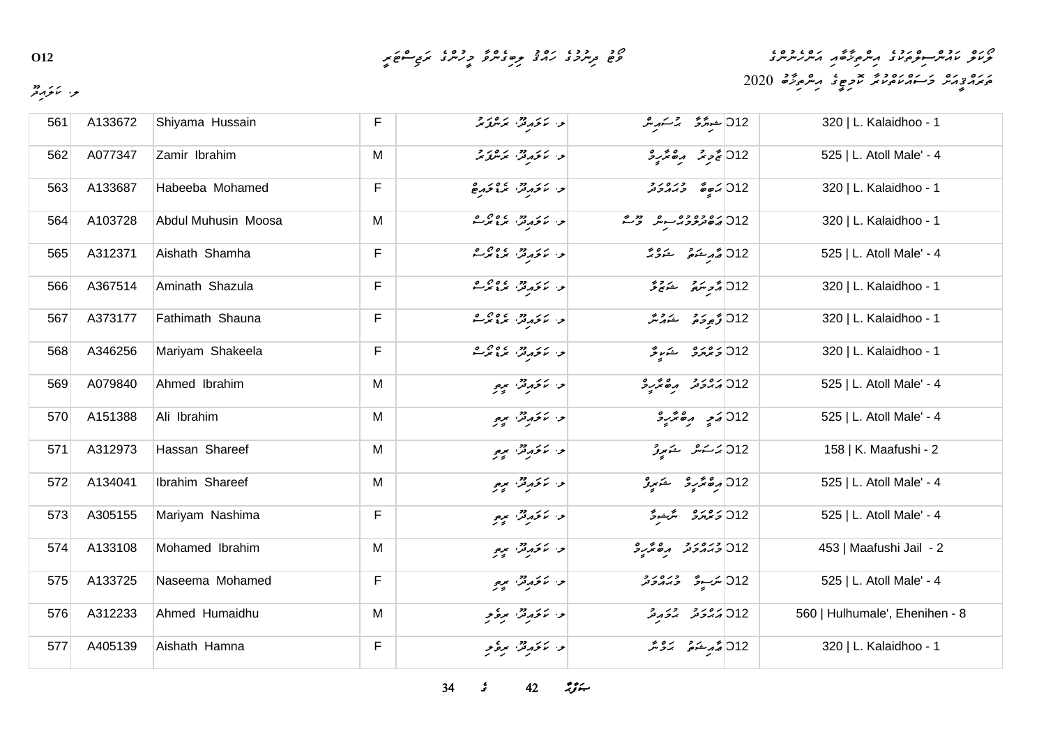*sCw7q7s5w7m< o<n9nOoAw7o< sCq;mAwBoEw7q<m; wBm;vB* م من المسجد المسجد المسجد المسجد المسجد العام 2020<br>مسجد المسجد المسجد المسجد المسجد المسجد المسجد المسجد المسجد ال

| 561 | A133672 | Shiyama Hussain     | F         | و ، ئاڭەتر، ئارەر د             | 012 شوپژۇ ئەسكەر بىر                         | 320   L. Kalaidhoo - 1         |
|-----|---------|---------------------|-----------|---------------------------------|----------------------------------------------|--------------------------------|
| 562 | A077347 | Zamir Ibrahim       | M         | أوا الأقراري الأسمار والمحمد    | 012 تج د بر مقترر 3                          | 525   L. Atoll Male' - 4       |
| 563 | A133687 | Habeeba Mohamed     | F         | و ، مَعَمَّدِينَ مَنْ عَمَّدِهِ | 012 بَرَصِعٌ وَبَرْدُونَر                    | 320   L. Kalaidhoo - 1         |
| 564 | A103728 | Abdul Muhusin Moosa | ${\sf M}$ | و. ئۇرۇش ئوق ھ                  | 012 كەھىر بور بىر بور يېشى                   | 320   L. Kalaidhoo - 1         |
| 565 | A312371 | Aishath Shamha      | F         | أوا الأقرار ووالمع والمحاصر     | 012 <i>مُّ مِ</i> حْمَى حَوَيْرَ             | 525   L. Atoll Male' - 4       |
| 566 | A367514 | Aminath Shazula     | F         | و كورتر، موجوع                  | 012 مَّ حِبَمَةَ شَيَءَّ                     | 320   L. Kalaidhoo - 1         |
| 567 | A373177 | Fathimath Shauna    | F         | و ، ئاقەق ، ئەق بول             | 012 <i>وُ<sub>ّج</sub>وحَمْ</i> شَهَرْ مَّرْ | 320   L. Kalaidhoo - 1         |
| 568 | A346256 | Mariyam Shakeela    | F         | والأقرار ووالمحافظ والمحافظ     | 012 كەبىر ئەرگە ئىقرىدىگە                    | 320   L. Kalaidhoo - 1         |
| 569 | A079840 | Ahmed Ibrahim       | M         | و ، ئاڭروقر، برە                | 012 كەبرى قىر مەھگەر ئى                      | 525   L. Atoll Male' - 4       |
| 570 | A151388 | Ali Ibrahim         | M         | و ، ئاڭروتر، برە                | 012 کړې د هڅرېږ د                            | 525   L. Atoll Male' - 4       |
| 571 | A312973 | Hassan Shareef      | M         | و ، ئەقەق بوھ                   | 012 پرسترچی حقانیوژ                          | 158   K. Maafushi - 2          |
| 572 | A134041 | Ibrahim Shareef     | M         | و ، ئەقەقرى بوھ                 | 012 مەھمگىر ئىس سىمبرا بىر                   | 525   L. Atoll Male' - 4       |
| 573 | A305155 | Mariyam Nashima     | F         | و ، مَوَمِرْتِنْ مِرْمِ         | 012 كەبۇرۇ سۇيىسۇ                            | 525   L. Atoll Male' - 4       |
| 574 | A133108 | Mohamed Ibrahim     | M         | ا د ، مَ دَروْرْ، بره           | 012 دُبَرْدُونَدَ بِرَهْنَدِيْرَ             | 453   Maafushi Jail - 2        |
| 575 | A133725 | Naseema Mohamed     | F         | و ، ئاقرىق بىرە                 | 012 ىترىيەنىڭ بۇ ئەرەبەتە                    | 525   L. Atoll Male' - 4       |
| 576 | A312233 | Ahmed Humaidhu      | M         | أوا مأقررة الرؤو                | 012 <i>222 23 مقرم</i> قر                    | 560   Hulhumale', Ehenihen - 8 |
| 577 | A405139 | Aishath Hamna       | F         | و ، ئاڭەقرا بوغامى              | 012 <i>مۇم شەق بە</i> ۋى <i>گ</i>            | 320   L. Kalaidhoo - 1         |

**34** *s* **42** *z***<sub>***s***</sub>**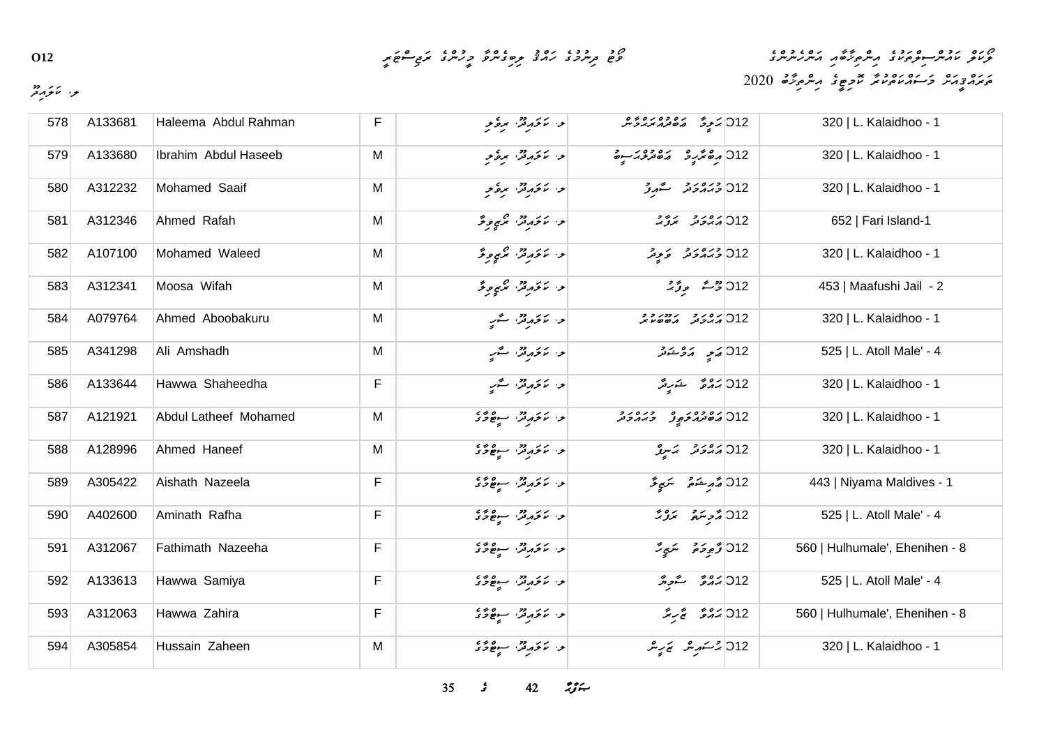*sCw7q7s5w7m< o<n9nOoAw7o< sCq;mAwBoEw7q<m; wBm;vB* م من المرة المرة المرة المرجع المرجع في المركبة 2020<br>مجم*د المريض المربوط المربع المرجع في المراجع المركبة* 

| 578 | A133681 | Haleema Abdul Rahman  | F            | و ، ئەخەرقى بىرغام   | 012 كەردۇ ھەممەر ئەرەپىر     | 320   L. Kalaidhoo - 1         |
|-----|---------|-----------------------|--------------|----------------------|------------------------------|--------------------------------|
| 579 | A133680 | Ibrahim Abdul Haseeb  | M            | و ، ئاڭەتر، برۇپر    | 012 مەھمگىر ئەھەر ئەسمە      | 320   L. Kalaidhoo - 1         |
| 580 | A312232 | Mohamed Saaif         | M            | و ، ئەقەقرى بىرە بو  | 012 ق. بروتە ئىس قىلىدۇ      | 320   L. Kalaidhoo - 1         |
| 581 | A312346 | Ahmed Rafah           | M            | و ، ئەقەبىر ، ئۇي ئ  | 012 كەبرۇ تۇرگىز ئىرگە تە    | 652   Fari Island-1            |
| 582 | A107100 | Mohamed Waleed        | M            | و ، ئەقەبىر، ئىي دۇ. | 012 تر پروتر کا مومتر        | 320   L. Kalaidhoo - 1         |
| 583 | A312341 | Moosa Wifah           | M            | و ، ئەقەبىر، ئىي دۇ  | 012 ح ع توجه شار 13          | 453   Maafushi Jail - 2        |
| 584 | A079764 | Ahmed Aboobakuru      | M            | ىن ئەقرەتقى سەر      | $77227$ $722$                | 320   L. Kalaidhoo - 1         |
| 585 | A341298 | Ali Amshadh           | M            | ىن ئەقەرىش سەپ       | 012   رَمٍ    دَحْشَة تَر    | 525   L. Atoll Male' - 4       |
| 586 | A133644 | Hawwa Shaheedha       | F            | ى ئەقەبىق شې         | 012  يَرْدُوَّ شَيْتِرْ      | 320   L. Kalaidhoo - 1         |
| 587 | A121921 | Abdul Latheef Mohamed | M            | و ، ئۇرۇق سوھ دى     | 012 كەھەر كەندە جەر دىر د    | 320   L. Kalaidhoo - 1         |
| 588 | A128996 | Ahmed Haneef          | M            | و ، ئۇرۇش سوھۇى      | 012 كەندى كەر ئەرىپ          | 320   L. Kalaidhoo - 1         |
| 589 | A305422 | Aishath Nazeela       | $\mathsf F$  | و ، ئەقەرش سوھ دى    | 012 مۇم شىم ئىستىم ئىش       | 443   Niyama Maldives - 1      |
| 590 | A402600 | Aminath Rafha         | $\mathsf{F}$ | و ، ئۇرۇق سوھ دى     | 012 مٌ مِسَعَمٍ سَوْرٌ       | 525   L. Atoll Male' - 4       |
| 591 | A312067 | Fathimath Nazeeha     | $\mathsf F$  | و ، ئۇرۇش سوھۇى      | 012 گ <sub>رگ</sub> و5ۇ سىرچ | 560   Hulhumale', Ehenihen - 8 |
| 592 | A133613 | Hawwa Samiya          | $\mathsf F$  | و ، ئۇرۇق سوھۇي      | 012 يَرْدُوَّ سُنَّجِيزً     | 525   L. Atoll Male' - 4       |
| 593 | A312063 | Hawwa Zahira          | F            | و ، ئۇرۇق سوھ دى     | 012 ئەيمۇ ئىچ رىتى           | 560   Hulhumale', Ehenihen - 8 |
| 594 | A305854 | Hussain Zaheen        | M            | و ، ئۇرۇش سوھى ئى    | 012  پرستمبر سے پر میں       | 320   L. Kalaidhoo - 1         |

**35** *s* **42** *n***<sub>s</sub>***n***<sub>s</sub>**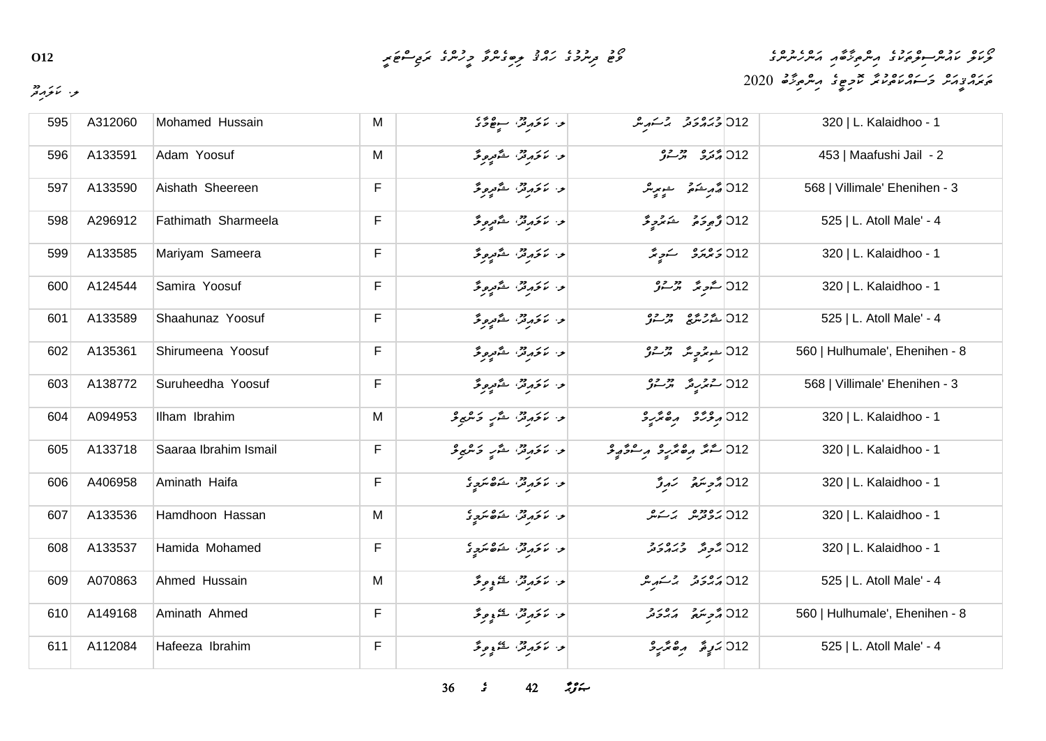*sCw7q7s5w7m< o<n9nOoAw7o< sCq;mAwBoEw7q<m; wBm;vB* م من المرة المرة المرة المرجع المرجع في المركبة 2020<br>مجم*د المريض المربوط المربع المرجع في المراجع المركبة* 

| 595 | A312060 | Mohamed Hussain       | M           | و نکورنش سوچون               | 012  ج. ي. چ. چ ڪمبر نگر                   | 320   L. Kalaidhoo - 1         |
|-----|---------|-----------------------|-------------|------------------------------|--------------------------------------------|--------------------------------|
| 596 | A133591 | Adam Yoosuf           | M           | د. ئاقرارتش، ئىشتورونتى      | 012 أَرْمَرْدَ بِرْمِيسْرُ                 | 453   Maafushi Jail - 2        |
| 597 | A133590 | Aishath Sheereen      | F           | و ، ئەقەرش شەرەرگە           | 012 مۇمەشقىق ھەمپىگر                       | 568   Villimale' Ehenihen - 3  |
| 598 | A296912 | Fathimath Sharmeela   | $\mathsf F$ | د. ئاقرارتش، ئىشتورونتى      | 012 زَّەپرىقى سَىمْرىدىگە                  | 525   L. Atoll Male' - 4       |
| 599 | A133585 | Mariyam Sameera       | F           | وا الأكرونق الشَّعروفخ       | 012 كۇنىز ئىگە سىمبەتتىر                   | 320   L. Kalaidhoo - 1         |
| 600 | A124544 | Samira Yoosuf         | F           | و ، ئەقەرش شەرەق             | 012 ڪريم پر چيز                            | 320   L. Kalaidhoo - 1         |
| 601 | A133589 | Shaahunaz Yoosuf      | $\mathsf F$ | و، ئاڭرونق، ئىشتۇرونق        | 012 شَرْبَرْجْ بَرْبَةْ وَ                 | 525   L. Atoll Male' - 4       |
| 602 | A135361 | Shirumeena Yoosuf     | F           | و، ئاڭرونق، ئىشتۇرونق        | 012 سوبۇرچىگە تەرجىقۇ                      | 560   Hulhumale', Ehenihen - 8 |
| 603 | A138772 | Suruheedha Yoosuf     | F           | و، ئاڭرونق، ئىشتۇرونق        | 012 ڪيمبريگر پڙڪر                          | 568   Villimale' Ehenihen - 3  |
| 604 | A094953 | Ilham Ibrahim         | M           | وا الأكرارين الشرك و كرهي و  | 012  موترى مەمگەرى                         | 320   L. Kalaidhoo - 1         |
| 605 | A133718 | Saaraa Ibrahim Ismail | F           | أوا الأقراري المثمر الأشياني | 012 جۇ رەپرىۋ رىشۇرپۇ                      | 320   L. Kalaidhoo - 1         |
| 606 | A406958 | Aminath Haifa         | F           | و ، ئاكروفر، ئاھ ئردى        | 012 م <i>ۇج ئىم</i> ق ئى <i>ر</i> ۇ        | 320   L. Kalaidhoo - 1         |
| 607 | A133536 | Hamdhoon Hassan       | M           | و ، ئاقرىقى شەھ ئىچاق        | 012 ئۇۋرىش بەسەر                           | 320   L. Kalaidhoo - 1         |
| 608 | A133537 | Hamida Mohamed        | F           | و ، ئاقرىقى شەھ ئىچ ئى       | 012 ت <sub>ى</sub> جەمىر ئ <i>ەندۇنى</i> ر | 320   L. Kalaidhoo - 1         |
| 609 | A070863 | Ahmed Hussain         | M           | و ، ئەقرىق شۇ يوق            | 012 كەيرى بىر يەسىر يىل                    | 525   L. Atoll Male' - 4       |
| 610 | A149168 | Aminath Ahmed         | F           | والأكرونش الشوونج            | 012 مَّ صِبَع <sub>ة م</sub> َدْحَدَّ      | 560   Hulhumale', Ehenihen - 8 |
| 611 | A112084 | Hafeeza Ibrahim       | F           | و ، ئەقەرش شۇمۇق             | 012 <i>] بَرْدٍ بُنَّ مِنْ بِرْدُ</i>      | 525   L. Atoll Male' - 4       |

**36** *s* **42** *z***<sub>***s***</sub>**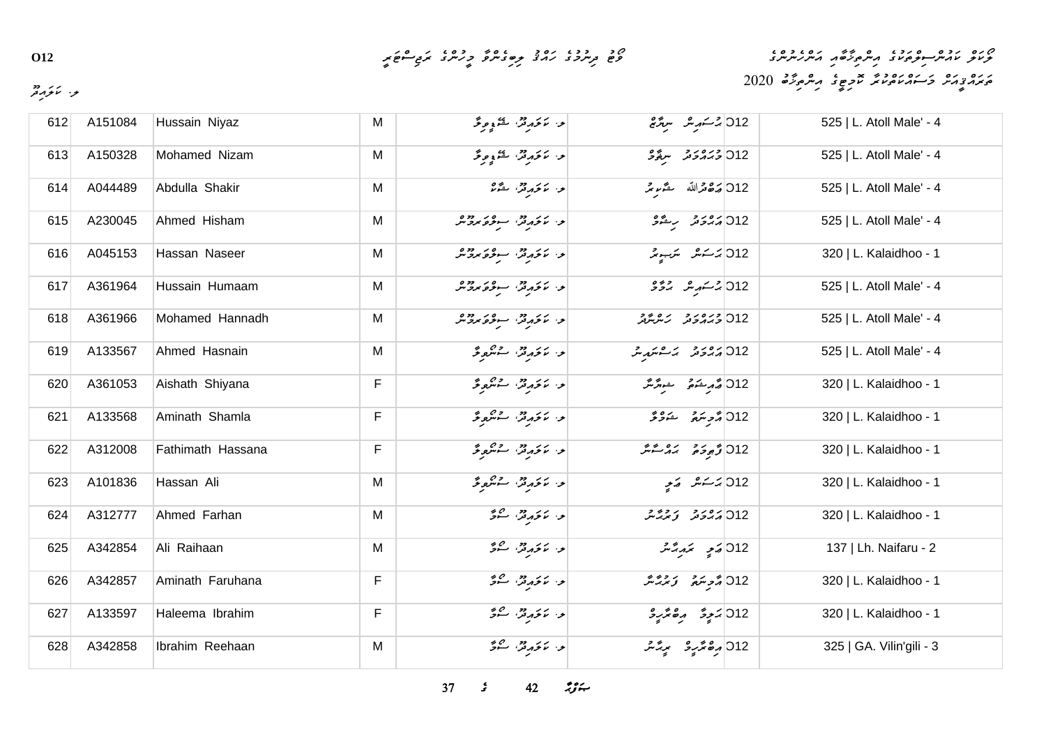*sCw7q7s5w7m< o<n9nOoAw7o< sCq;mAwBoEw7q<m; wBm;vB* م من المرة المرة المرة المرجع المرجع في المركبة 2020<br>مجم*د المريض المربوط المربع المرجع في المراجع المركبة* 

| 612 | A151084 | Hussain Niyaz     | M           | و ، ئەقەرتى، شەردۇ.                          | 012  برستمبر شهر سبزعم                | 525   L. Atoll Male' - 4 |
|-----|---------|-------------------|-------------|----------------------------------------------|---------------------------------------|--------------------------|
| 613 | A150328 | Mohamed Nizam     | M           | و ، ئەقەرتى، كەندە بوق                       | 012 دېممگړی سرگړی                     | 525   L. Atoll Male' - 4 |
| 614 | A044489 | Abdulla Shakir    | M           | والأقرار فتراثي                              | 012 كەنھەتراللە شەرىخە                | 525   L. Atoll Male' - 4 |
| 615 | A230045 | Ahmed Hisham      | M           | كالحزا الأكروجي سوفر لاردوه                  | 012 كەندى بەشكى                       | 525   L. Atoll Male' - 4 |
| 616 | A045153 | Hassan Naseer     | M           | و ، ئەقەبىر، سوۋە بەدە بە                    | 012  تەسىھ - شەيبوش                   | 320   L. Kalaidhoo - 1   |
| 617 | A361964 | Hussain Humaam    | M           | و ، ئەقەبى سوۋىرومۇ                          | 012  جُسَم مِعْر مِرْدَّدْ            | 525   L. Atoll Male' - 4 |
| 618 | A361966 | Mohamed Hannadh   | M           | و ، ئەقەبىر، سوۋە ئەدەر                      | 012 <i>ۋېزە</i> رو ئەرتىرىتى          | 525   L. Atoll Male' - 4 |
| 619 | A133567 | Ahmed Hasnain     | M           | و ، ئاڭروش شىر ھۇ                            | 012 كەبرى كىلى ئەسىمبەسى              | 525   L. Atoll Male' - 4 |
| 620 | A361053 | Aishath Shiyana   | F           | د. ئاۋەرتى <sup>3</sup> سىنگھونى             | 012 <i>۾ مرڪمو</i> ھو <i>مگرمگر</i>   | 320   L. Kalaidhoo - 1   |
| 621 | A133568 | Aminath Shamla    | $\mathsf F$ | و ، ئاڭروقر، سىشھوقە                         | 012 مَّ حِسَمَّةٌ شَوَّخَّ            | 320   L. Kalaidhoo - 1   |
| 622 | A312008 | Fathimath Hassana | F           | د. ئائۇرۇش س <sup>ى</sup> شھ <sub>ى</sub> گە | 012 <i>ؤ<sub>جوخ</sub>ۇ بەيرىشى</i> ر | 320   L. Kalaidhoo - 1   |
| 623 | A101836 | Hassan Ali        | M           | د. ئاڭرونى سىتىروگى                          | 012 يَرَ يَرْ مَرْمِرِ _              | 320   L. Kalaidhoo - 1   |
| 624 | A312777 | Ahmed Farhan      | M           | و ، ئەقرىق سىر                               | 012 كەبروتىر كەتبەتلىر                | 320   L. Kalaidhoo - 1   |
| 625 | A342854 | Ali Raihaan       | M           | ى ئەنگەنى سىر                                | 012 <i>مَ</i> جِ عَم <i>دِ شَ</i> رْ  | 137   Lh. Naifaru - 2    |
| 626 | A342857 | Aminath Faruhana  | F           | و ، ئەقرىق سىر                               |                                       | 320   L. Kalaidhoo - 1   |
| 627 | A133597 | Haleema Ibrahim   | F           | و ، ئەقرىق سىر                               | 012 كَمْدٍوَّرٌ مُتَقَمَّدِوْ         | 320   L. Kalaidhoo - 1   |
| 628 | A342858 | Ibrahim Reehaan   | M           | والأقرار في المحمد المحمد                    | 012  مەھەرىرى بىرىمىتىر               | 325   GA. Vilin'gili - 3 |

*37 sC 42 nNw?mS*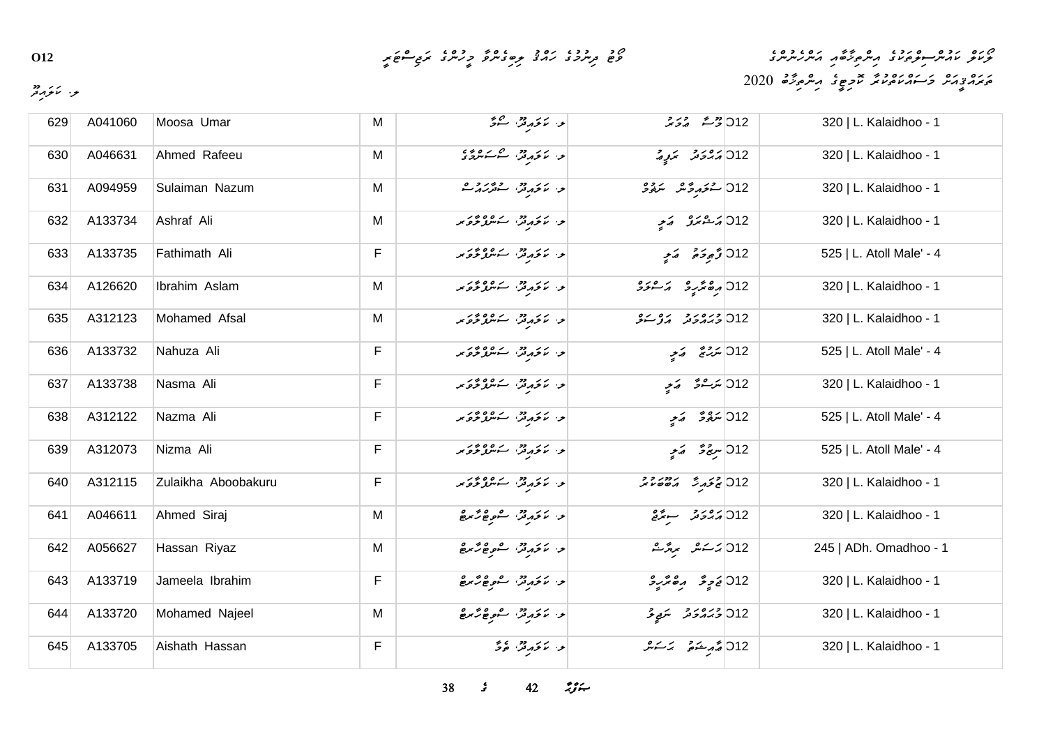*sCw7q7s5w7m< o<n9nOoAw7o< sCq;mAwBoEw7q<m; wBm;vB* م من المرة المرة المرة المرجع المرجع في المركبة 2020<br>مجم*د المريض المربوط المربع المرجع في المراجع المركبة* 

| 629 | A041060 | Moosa Umar          | M | ى ئەنگەنى سىر                    | $752$ $23$ 012                              | 320   L. Kalaidhoo - 1   |
|-----|---------|---------------------|---|----------------------------------|---------------------------------------------|--------------------------|
| 630 | A046631 | Ahmed Rafeeu        | M | و ، ئۈرۈش سەستەترى               | 012 <i>ړې. دې</i> تر <i>و</i> ړ             | 320   L. Kalaidhoo - 1   |
| 631 | A094959 | Sulaiman Nazum      | M | و ، ئائۇرۇش سۇگرىرمىش            | 012 <i>ستخدق شهر محمد محمد ال</i>           | 320   L. Kalaidhoo - 1   |
| 632 | A133734 | Ashraf Ali          | M | و ، ئەنزەق سەس ئۇغۇمد            | 012 كەشقىزق كەمچە                           | 320   L. Kalaidhoo - 1   |
| 633 | A133735 | Fathimath Ali       | F | و ، ئەقەق سەھەقۇقەر              | 012 گوچر تھ تھ                              | 525   L. Atoll Male' - 4 |
| 634 | A126620 | Ibrahim Aslam       | M | و ، ئەقەق سەھەقۇقەتد             | 012 مەھ ئەر بۇ سىنىدۇ                       | 320   L. Kalaidhoo - 1   |
| 635 | A312123 | Mohamed Afsal       | M | و ، ئەقەق سەھەقۇقەتد             | 012 دېرونو پروت                             | 320   L. Kalaidhoo - 1   |
| 636 | A133732 | Nahuza Ali          | F | و ، ئەقەتى سەرۋۇقاير             | 012 يَرْرُجٌ – مَ وِ                        | 525   L. Atoll Male' - 4 |
| 637 | A133738 | Nasma Ali           | F | و ، ئەقەق سەھەتمۇمە              | 012] سَرَسْرَةٌ – مَدَمٍ                    | 320   L. Kalaidhoo - 1   |
| 638 | A312122 | Nazma Ali           | F | ى ئائۇرىق سەھرىگەنى              | 012 يَمَيْرُوَّ - مَرِ                      | 525   L. Atoll Male' - 4 |
| 639 | A312073 | Nizma Ali           | F | ى ئائۇرىق سەھرىگەند              | 012 سِيِّيَّ – مَرِ                         | 525   L. Atoll Male' - 4 |
| 640 | A312115 | Zulaikha Aboobakuru | F | و ، ئەقەق ئەشلاقرە بر            | 012 ىنجور شەھ ئەسىر                         | 320   L. Kalaidhoo - 1   |
| 641 | A046611 | Ahmed Siraj         | M | و ، مَوَرِيْنَ سُوءِ صَرْحِرِ صَ | 012 كەندى كىرىسىدىقى                        | 320   L. Kalaidhoo - 1   |
| 642 | A056627 | Hassan Riyaz        | M | و ، ئاكرىردو ، سوھ ئارىم         | 012  پرسکس مرمزمنگ                          | 245   ADh. Omadhoo - 1   |
| 643 | A133719 | Jameela Ibrahim     | F | و ، ئەكرونى سوھ ئەرھ             | 012 ق پو په موگر پوځا                       | 320   L. Kalaidhoo - 1   |
| 644 | A133720 | Mohamed Najeel      | M | و ، ئاكروز، سوھ دىرھ             | 012 <i>وَبَرُوُدَوْ</i> سَھ <sub>ِ</sub> وُ | 320   L. Kalaidhoo - 1   |
| 645 | A133705 | Aishath Hassan      | F | و ، ئەقەرش ئۇ ئ                  | 012 مۇم شىم ئەسكەنلە                        | 320   L. Kalaidhoo - 1   |

**38** *s* **42** *n***<sub>s</sub>**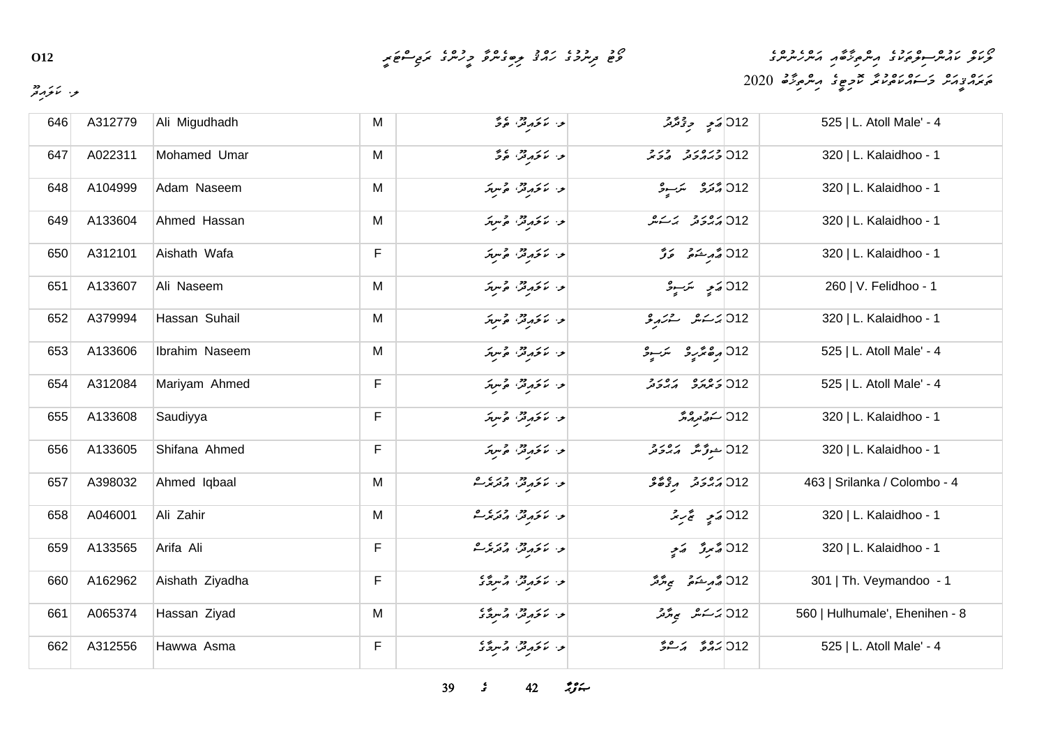*sCw7q7s5w7m< o<n9nOoAw7o< sCq;mAwBoEw7q<m; wBm;vB* م من المرة المرة المرة المرجع المرجع في المركبة 2020<br>مجم*د المريض المربوط المربع المرجع في المراجع المركبة* 

| י ככ        |  |
|-------------|--|
| و• المرار م |  |
|             |  |

| 646 | A312779 | Ali Migudhadh   | M           | و ، ئەقرىرقى ئۇق            | 012 کم په وقومگوگر                                 | 525   L. Atoll Male' - 4       |
|-----|---------|-----------------|-------------|-----------------------------|----------------------------------------------------|--------------------------------|
| 647 | A022311 | Mohamed Umar    | M           | و ، مَعَهِ قُرْ ، وَوَّ     | $222 2 2 2 2 2 2 2 2 2$                            | 320   L. Kalaidhoo - 1         |
| 648 | A104999 | Adam Naseem     | M           | و ، مَکْرُونْ وْسِرْ        | 012 مُمَرَدٌ - سَرَ-دِرْ                           | 320   L. Kalaidhoo - 1         |
| 649 | A133604 | Ahmed Hassan    | M           | و ، مَوَمِدْنَ وَسِلَمَ     | 012 كەبروتى كەسكەنلە                               | 320   L. Kalaidhoo - 1         |
| 650 | A312101 | Aishath Wafa    | F           | والأكرمرس وسركر             | 012 مەم شىم ئىق                                    | 320   L. Kalaidhoo - 1         |
| 651 | A133607 | Ali Naseem      | M           | و ، ئاڭرونق ھەسىد           | 012] رَمِ _ سَرَسِودُ                              | 260   V. Felidhoo - 1          |
| 652 | A379994 | Hassan Suhail   | M           | و ، مَكْرَمْ قَرْ ، وَسِلاَ | 012 يزير شرته و به ديگر                            | 320   L. Kalaidhoo - 1         |
| 653 | A133606 | Ibrahim Naseem  | M           | و ، مَكْرَمْ قَرْ ، وَسِلاَ | 012 <i>مەھتىر ۋە سەب</i> ىر 3                      | 525   L. Atoll Male' - 4       |
| 654 | A312084 | Mariyam Ahmed   | $\mathsf F$ | و ، مَوَمِدْنَ وَسِلَمَ     | 012 كەبىر مەركىمى                                  | 525   L. Atoll Male' - 4       |
| 655 | A133608 | Saudiyya        | F           | و ، ئاڭروش ھېرىد            | 012 كىم <i>ۇمەمە</i> م                             | 320   L. Kalaidhoo - 1         |
| 656 | A133605 | Shifana Ahmed   | $\mathsf F$ | والأكرمرس وسركر             | 012 خوتر مەردىر                                    | 320   L. Kalaidhoo - 1         |
| 657 | A398032 | Ahmed Iqbaal    | M           | و ، ئائۇرۇش مەترىرگ         | 012 كەبرى قىر مەدھۇ                                | 463   Srilanka / Colombo - 4   |
| 658 | A046001 | Ali Zahir       | M           | و ، ئاڭەر قارىرىنىڭ         | 012ھ پہ چ پ                                        | 320   L. Kalaidhoo - 1         |
| 659 | A133565 | Arifa Ali       | $\mathsf F$ | و ، ئاڭەر قارىرىنىڭ         | 012 مَمَعِ مَتَحٍ                                  | 320   L. Kalaidhoo - 1         |
| 660 | A162962 | Aishath Ziyadha | F           | و ، ئاڭروقر، ماسرۇ ئ        | 012 م <i>ۇم شىمۇ</i> س <sub>ى ت</sub> رتى <i>گ</i> | 301   Th. Veymandoo - 1        |
| 661 | A065374 | Hassan Ziyad    | M           | و ، ئاڭروش راسرۇي           | 012 ئەسەنىش بىر پۇتىر                              | 560   Hulhumale', Ehenihen - 8 |
| 662 | A312556 | Hawwa Asma      | F           | والأقراري أرسروي            | $5 - 2$ $5 - 2$ $012$                              | 525   L. Atoll Male' - 4       |

**39** *s* **42** *n***<sub>s</sub>**: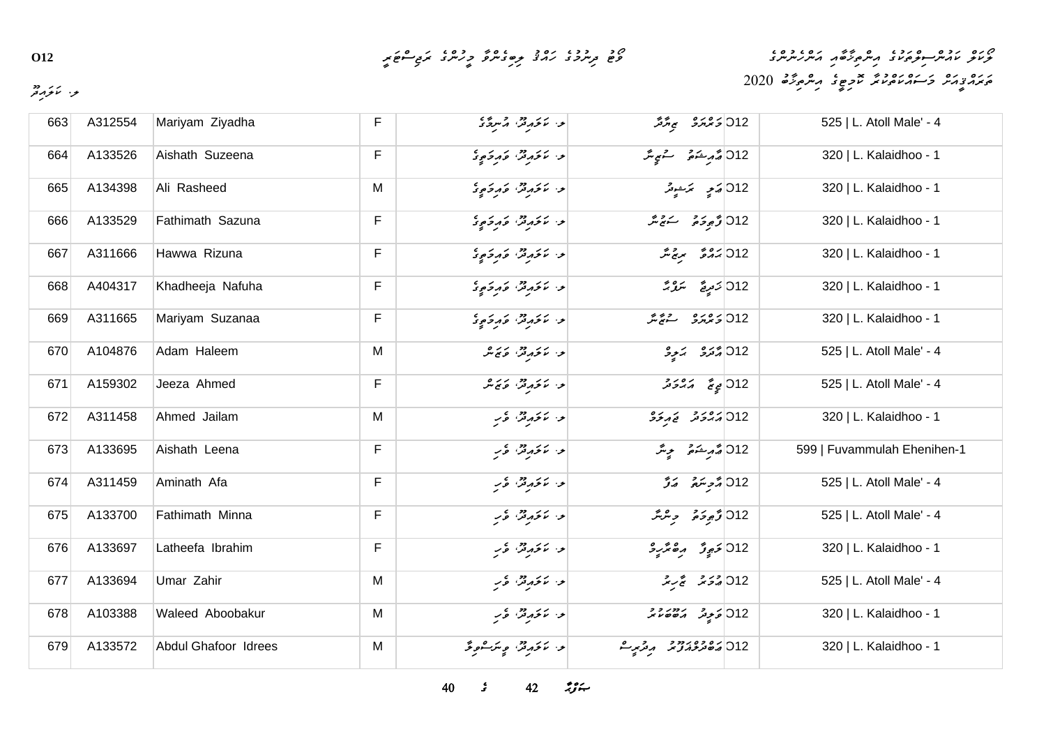*sCw7q7s5w7m< o<n9nOoAw7o< sCq;mAwBoEw7q<m; wBm;vB* م من المرة المرة المرة المرجع المرجع في المركبة 2020<br>مجم*د المريض المربوط المربع المرجع في المراجع المركبة* 

| $\overline{\phantom{a}}$ |  |
|--------------------------|--|
| ىر. ئاتومىز              |  |
|                          |  |

| 663 | A312554 | Mariyam Ziyadha      | $\mathsf F$  | و ، ئاڭروقر، مەسرىگى       | 012 <i>ٰ خ<sup>8</sup>نگرد</i> ج‰مگر    | 525   L. Atoll Male' - 4    |
|-----|---------|----------------------|--------------|----------------------------|-----------------------------------------|-----------------------------|
| 664 | A133526 | Aishath Suzeena      | F            | والأقرار وترافروني         | 012 ۾ پرڪنو ڪي سگ                       | 320   L. Kalaidhoo - 1      |
| 665 | A134398 | Ali Rasheed          | M            | والأقراري فاردوني          | 012 کھ پر مرکبونڈ                       | 320   L. Kalaidhoo - 1      |
| 666 | A133529 | Fathimath Sazuna     | $\mathsf{F}$ | و ، ئاڭروقر، ئامرچونى      | 012 گۇجۇڭمۇ سىنى تىگە                   | 320   L. Kalaidhoo - 1      |
| 667 | A311666 | Hawwa Rizuna         | $\mathsf{F}$ | والأقرار والمركبي          | 012 ئەۋەتقە سېرىنى ئىگە                 | 320   L. Kalaidhoo - 1      |
| 668 | A404317 | Khadheeja Nafuha     | $\mathsf F$  | و ، ئاڭرونق قرمرى ئ        | 012 كَرْمِيعٌ مَمَعْ بِرَّ              | 320   L. Kalaidhoo - 1      |
| 669 | A311665 | Mariyam Suzanaa      | F            | والأقرارص فردقوة           | 012 كەندىر ئەسىمىتىر                    | 320   L. Kalaidhoo - 1      |
| 670 | A104876 | Adam Haleem          | M            | والممكوم فتركا المحاجم للر | 012 <i>مُمَرَّدٌ بَرْدِ</i> دُ          | 525   L. Atoll Male' - 4    |
| 671 | A159302 | Jeeza Ahmed          | $\mathsf{F}$ | والأقرار ووالان كالمحاش    | 012 <sub>حي</sub> تج مگر <i>مگر ح</i> م | 525   L. Atoll Male' - 4    |
| 672 | A311458 | Ahmed Jailam         | M            | ى ئەنزەق ئەر               | 012 كەندى قىم ئوق                       | 320   L. Kalaidhoo - 1      |
| 673 | A133695 | Aishath Leena        | $\mathsf F$  | ى ئەنزەق ئەر               | 012 مُ مِسْدَمْ وِسَّر                  | 599   Fuvammulah Ehenihen-1 |
| 674 | A311459 | Aminath Afa          | F            | والأقرارة وكالحاب          | 012 م <i>مْ</i> حِسَمَّة مَتَرَ         | 525   L. Atoll Male' - 4    |
| 675 | A133700 | Fathimath Minna      | $\mathsf{F}$ | ى ئەنزەق ئەر               | 012 <i>  وُجِ دَمْ</i> وِ عِرْمَرُ      | 525   L. Atoll Male' - 4    |
| 676 | A133697 | Latheefa Ibrahim     | $\mathsf F$  | والأقراريق كالرا           | 012 حَمِوِرٌ مِنْ مُرْحِدٌ              | 320   L. Kalaidhoo - 1      |
| 677 | A133694 | Umar Zahir           | M            | و ، ئەقرىق ئۈپ             | 012 ج ج س مج ب                          | 525   L. Atoll Male' - 4    |
| 678 | A103388 | Waleed Aboobakur     | M            | و ، ئەقەرىق ئەر            | 012 ءَ مِيھُ مُرْھُوسکر                 | 320   L. Kalaidhoo - 1      |
| 679 | A133572 | Abdul Ghafoor Idrees | M            | و ، ئاڭرونق وٍ ئىرگورۇ     | 012 كەھىر ئەردىس مەمرىيەت               | 320   L. Kalaidhoo - 1      |

*40 s* 42 *i*<sub>s</sub> $\approx$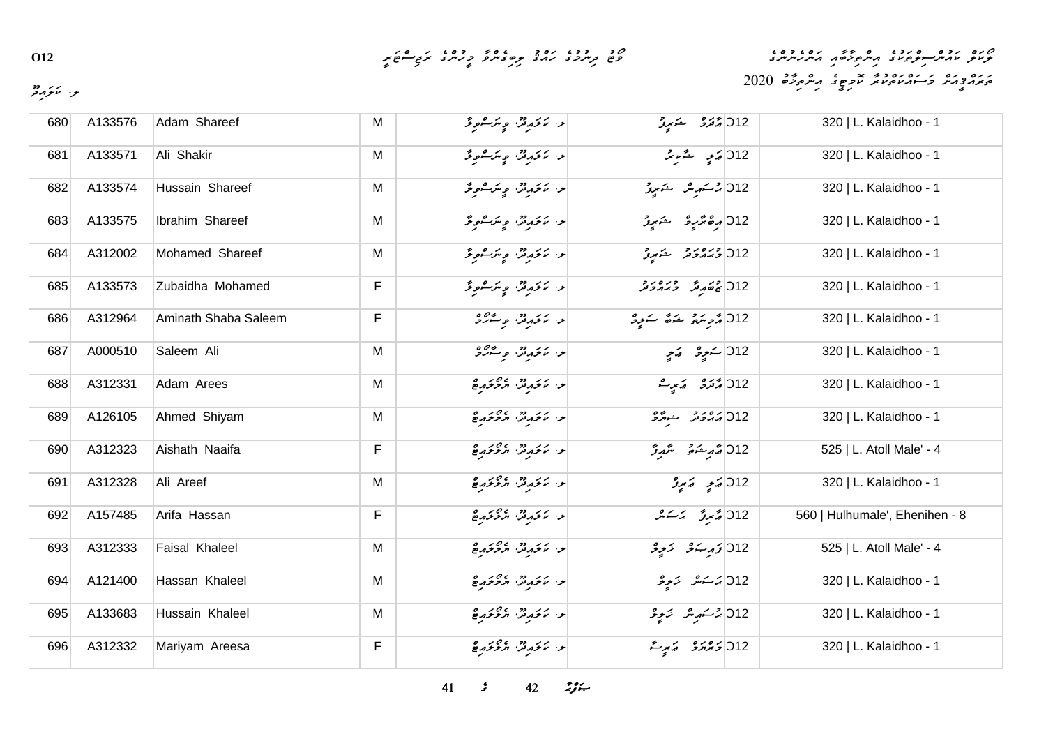*sCw7q7s5w7m< o<n9nOoAw7o< sCq;mAwBoEw7q<m; wBm;vB* م من المرة المرة المرة المرجع المرجع في المركبة 2020<br>مجم*د المريض المربوط المربع المرجع في المراجع المركبة* 

| 680 | A133576 | Adam Shareef         | M           | و ، ئاڭەرتى ، يەنگەنچە ئ | 012 ۾ تنزو - ڪتابير ق        | 320   L. Kalaidhoo - 1         |
|-----|---------|----------------------|-------------|--------------------------|------------------------------|--------------------------------|
| 681 | A133571 | Ali Shakir           | M           | و ، ئاڭەرنى ، يەنگىر شوڭ | 012 ڪيپ ڪيپيمر               | 320   L. Kalaidhoo - 1         |
| 682 | A133574 | Hussain Shareef      | M           | والأقرارين ويتركونى      | 012 پرڪيريش ڪيور             | 320   L. Kalaidhoo - 1         |
| 683 | A133575 | Ibrahim Shareef      | M           | و ، ئەقەرش جەنگەمۇق      | 012 مەھەر بۇ سىمبرۇ          | 320   L. Kalaidhoo - 1         |
| 684 | A312002 | Mohamed Shareef      | M           | والأقراري ويتركونى       | 012 دېمگەنگە شىمبى           | 320   L. Kalaidhoo - 1         |
| 685 | A133573 | Zubaidha Mohamed     | $\mathsf F$ | والأقراري ويتركونى       | 012 <i>تحقوقر تحكم تحف</i>   | 320   L. Kalaidhoo - 1         |
| 686 | A312964 | Aminath Shaba Saleem | F           | و ، ئۇرۇش ھەشرى          | 012 مٌ حِ سَمَعٌ صَمْحِ \$   | 320   L. Kalaidhoo - 1         |
| 687 | A000510 | Saleem Ali           | M           | و ، ئاقەق ، ئەممى        | 012  سَمِرِوْ - رَمِ         | 320   L. Kalaidhoo - 1         |
| 688 | A312331 | Adam Arees           | M           | و ، ئاڭەرتى، مەركۇم ھ    | 012  مَرْتَزَةُ    مَاسِرْتْ | 320   L. Kalaidhoo - 1         |
| 689 | A126105 | Ahmed Shiyam         | M           | و ، ئاڭرونز، ورمۇمرەغ    | $3.525$ $\sim$ 012           | 320   L. Kalaidhoo - 1         |
| 690 | A312323 | Aishath Naaifa       | F           | والمتورقة المروقراء      | 012 مۇم شىم ئىستىرتى         | 525   L. Atoll Male' - 4       |
| 691 | A312328 | Ali Areef            | M           | و ، ئاڭرېڭ ، مركز كرم    | 012] رَمٍ _ رَمِرِرْ         | 320   L. Kalaidhoo - 1         |
| 692 | A157485 | Arifa Hassan         | F           | و ، ئاڭرىق ، ئۇ ئۇرغ     | 012 مگمبرنش - برسکسر         | 560   Hulhumale', Ehenihen - 8 |
| 693 | A312333 | Faisal Khaleel       | M           | و ، ئاڭەرتى، مەركۇم ھ    | 012 ق.م يىنى - ئىچى          | 525   L. Atoll Male' - 4       |
| 694 | A121400 | Hassan Khaleel       | ${\sf M}$   | و ، ئاڭروقر، مركز كرو    | 012  پَرَسُش کَ مِوْتَوْ     | 320   L. Kalaidhoo - 1         |
| 695 | A133683 | Hussain Khaleel      | M           | و ، ئاڭروق ، دوڭروڭ      | 012  پرستهر بھ ترچی          | 320   L. Kalaidhoo - 1         |
| 696 | A312332 | Mariyam Areesa       | F           | و ، ئاڭروش ور دورغ       | 012 كۇنزىز ھىمپەش            | 320   L. Kalaidhoo - 1         |

*41 sC 42 nNw?mS*